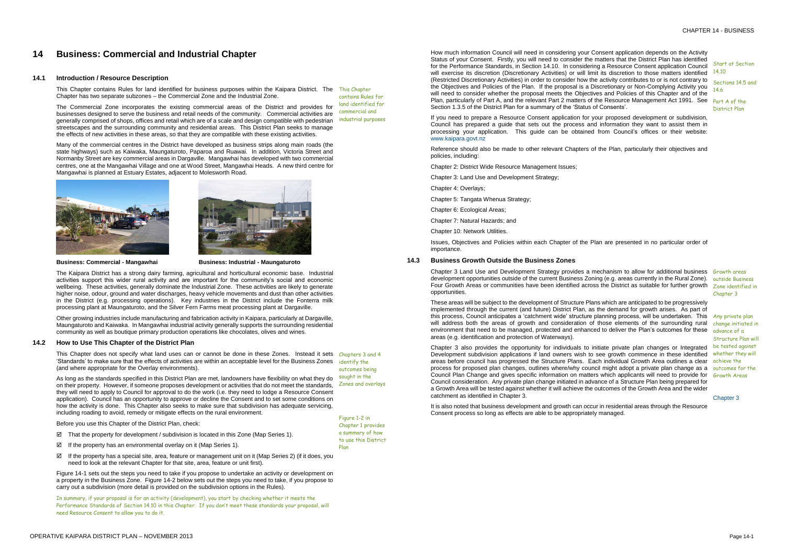OPERATIVE KAIPARA DISTRICT PLAN – NOVEMBER 2013 Page 14-1

# **14 Business: Commercial and Industrial Chapter**

#### **14.1 Introduction / Resource Description**

This Chapter contains Rules for land identified for business purposes within the Kaipara District. The This Chapter Chapter has two separate subzones – the Commercial Zone and the Industrial Zone.

The Commercial Zone incorporates the existing commercial areas of the District and provides for businesses designed to serve the business and retail needs of the community. Commercial activities are generally comprised of shops, offices and retail which are of a scale and design compatible with pedestrian streetscapes and the surrounding community and residential areas. This District Plan seeks to manage the effects of new activities in these areas, so that they are compatible with these existing activities.

Many of the commercial centres in the District have developed as business strips along main roads (the state highways) such as Kaiwaka, Maungaturoto, Paparoa and Ruawai. In addition, Victoria Street and Normanby Street are key commercial areas in Dargaville. Mangawhai has developed with two commercial centres, one at the Mangawhai Village and one at Wood Street, Mangawhai Heads. A new third centre for Mangawhai is planned at Estuary Estates, adjacent to Molesworth Road.



contains Rules for land identified for commercial and industrial purposes



**Business: Commercial - Mangawhai Business: Industrial - Maungaturoto**

The Kaipara District has a strong dairy farming, agricultural and horticultural economic base. Industrial activities support this wider rural activity and are important for the community's social and economic wellbeing. These activities, generally dominate the Industrial Zone. These activities are likely to generate higher noise, odour, ground and water discharges, heavy vehicle movements and dust than other activities in the District (e.g. processing operations). Key industries in the District include the Fonterra milk processing plant at Maungaturoto, and the Silver Fern Farms meat processing plant at Dargaville.

- $\boxtimes$  That the property for development / subdivision is located in this Zone (Map Series 1).
- $\boxtimes$  If the property has an environmental overlay on it (Map Series 1).
- If the property has a special site, area, feature or management unit on it (Map Series 2) (if it does, you need to look at the relevant Chapter for that site, area, feature or unit first).

This Chapter does not specify what land uses can or cannot be done in these Zones. Instead it sets Chapters 3 and 4 'Standards' to make sure that the effects of activities are within an acceptable level for the Business Zones identify the (and where appropriate for the Overlay environments). outcomes being

Other growing industries include manufacturing and fabrication activity in Kaipara, particularly at Dargaville, Maungaturoto and Kaiwaka. In Mangawhai industrial activity generally supports the surrounding residential community as well as boutique primary production operations like chocolates, olives and wines.

# **14.2 How to Use This Chapter of the District Plan**

Chapter 3 Land Use and Development Strategy provides a mechanism to allow for additional business Growth areas development opportunities outside of the current Business Zoning (e.g. areas currently in the Rural Zone). <sub>outside Business</sub> Four Growth Areas or communities have been identified across the District as suitable for further growth Zone identified in opportunities.

Before you use this Chapter of the District Plan, check:

As long as the standards specified in this District Plan are met, landowners have flexibility on what they do on their property. However, if someone proposes development or activities that do not meet the standards, they will need to apply to Council for approval to do the work (i.e. they need to lodge a Resource Consent application). Council has an opportunity to approve or decline the Consent and to set some conditions on how the activity is done. This Chapter also seeks to make sure that subdivision has adequate servicing, including roading to avoid, remedy or mitigate effects on the rural environment. sought in the Zones and overlays

Figure 14-1 sets out the steps you need to take if you propose to undertake an activity or development on a property in the Business Zone. Figure 14-2 below sets out the steps you need to take, if you propose to carry out a subdivision (more detail is provided on the subdivision options in the Rules).

In summary, if your proposal is for an activity (development), you start by checking whether it meets the Performance Standards of Section 14.10 in this Chapter. If you don't meet these standards your proposal, will need Resource Consent to allow you to do it.

Figure 1-2 in Chapter 1 provides a summary of how to use this District

Plan

How much information Council will need in considering your Consent application depends on the Activity Status of your Consent. Firstly, you will need to consider the matters that the District Plan has identified for the Performance Standards, in Section 14.10. In considering a Resource Consent application Council will exercise its discretion (Discretionary Activities) or will limit its discretion to those matters identified <sup>14.10</sup> (Restricted Discretionary Activities) in order to consider how the activity contributes to or is not contrary to the Objectives and Policies of the Plan. If the proposal is a Discretionary or Non-Complying Activity you will need to consider whether the proposal meets the Objectives and Policies of this Chapter and of the Plan, particularly of Part A, and the relevant Part 2 matters of the Resource Management Act 1991. See Part A of the Section 1.3.5 of the District Plan for a summary of the 'Status of Consents'.

If you need to prepare a Resource Consent application for your proposed development or subdivision, Council has prepared a guide that sets out the process and information they want to assist them in processing your application. This guide can be obtained from Council's offices or their website: [www.kaipara.govt.nz](http://www.kaipara.govt.nz/)

Reference should also be made to other relevant Chapters of the Plan, particularly their objectives and policies, including:

Chapter 2: District Wide Resource Management Issues;

Chapter 3: Land Use and Development Strategy;

Chapter 4: Overlays;

Chapter 5: Tangata Whenua Strategy;

Chapter 6: Ecological Areas;

Chapter 7: Natural Hazards; and

Chapter 10: Network Utilities.

Issues, Objectives and Policies within each Chapter of the Plan are presented in no particular order of importance.

Start at Section

Sections 14.5 and 14.6

District Plan

# **14.3 Business Growth Outside the Business Zones**

These areas will be subject to the development of Structure Plans which are anticipated to be progressively implemented through the current (and future) District Plan, as the demand for growth arises. As part of this process, Council anticipates a 'catchment wide' structure planning process, will be undertaken. This Any private plan will address both the areas of growth and consideration of those elements of the surrounding rural change initiated in environment that need to be managed, protected and enhanced to deliver the Plan's outcomes for these areas (e.g. identification and protection of Waterways).

Chapter 3 also provides the opportunity for individuals to initiate private plan changes or Integrated Development subdivision applications if land owners wish to see growth commence in these identified areas before council has progressed the Structure Plans. Each individual Growth Area outlines a clear achieve the process for proposed plan changes, outlines where/why council might adopt a private plan change as a outcomes for the Council Plan Change and gives specific information on matters which applicants will need to provide for Growth Areas Council consideration. Any private plan change initiated in advance of a Structure Plan being prepared for a Growth Area will be tested against whether it will achieve the outcomes of the Growth Area and the wider catchment as identified in Chapter 3.

It is also noted that business development and growth can occur in residential areas through the Resource Consent process so long as effects are able to be appropriately managed.

Chapter 3

advance of a Structure Plan will be tested against whether they will

Chapter 3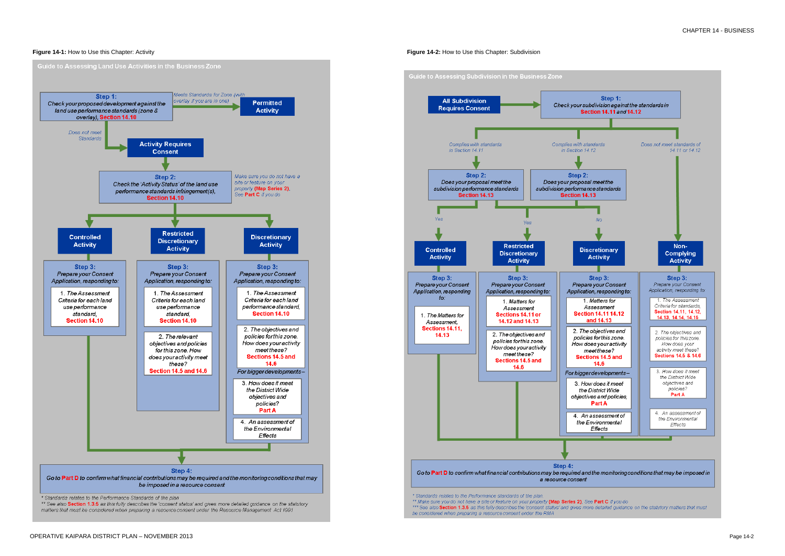

# **Figure 14-1:** How to Use this Chapter: Activity **Figure 14-2:** How to Use this Chapter: Subdivision



\*\*\* See also Section 1.3.5 as this fully describes the 'consent status' and gives more detailed guidance on the statutory matters that must be considered when preparing a resource consent under the RMA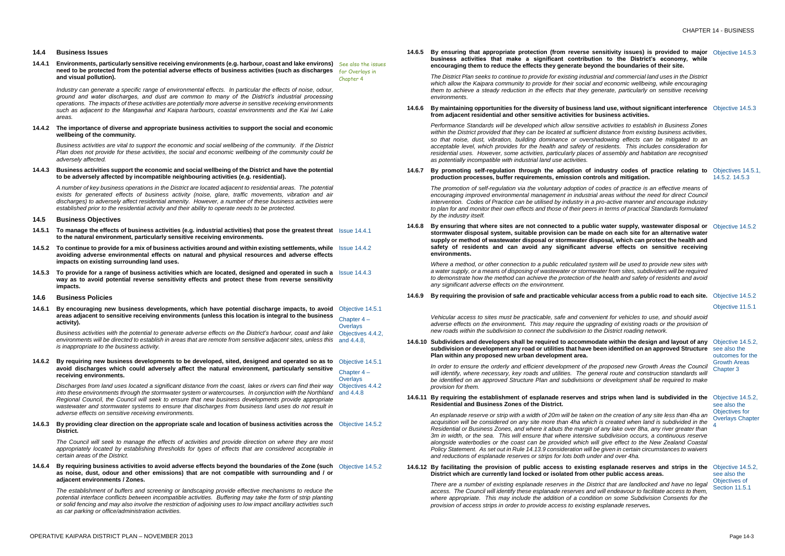#### **14.4 Business Issues**

**14.4.1 Environments, particularly sensitive receiving environments (e.g. harbour, coast and lake environs)**  See also the issues **need to be protected from the potential adverse effects of business activities (such as discharges**  for Overlays in **and visual pollution).** Chapter 4

*Industry can generate a specific range of environmental effects. In particular the effects of noise, odour, ground and water discharges, and dust are common to many of the District's industrial processing operations. The impacts of these activities are potentially more adverse in sensitive receiving environments such as adjacent to the Mangawhai and Kaipara harbours, coastal environments and the Kai Iwi Lake areas.*

#### **14.4.2 The importance of diverse and appropriate business activities to support the social and economic wellbeing of the community.**

- **14.5.1 To manage the effects of business activities (e.g. industrial activities) that pose the greatest threat**  Issue 14.4.1 **to the natural environment, particularly sensitive receiving environments***.*
- **14.5.2 To continue to provide for a mix of business activities around and within existing settlements, while**  Issue 14.4.2 **avoiding adverse environmental effects on natural and physical resources and adverse effects impacts on existing surrounding land uses.**
- **14.5.3 To provide for a range of business activities which are located, designed and operated in such a**  Issue 14.4.3 **way as to avoid potential reverse sensitivity effects and protect these from reverse sensitivity impacts.**
- **14.6 Business Policies**
- **14.6.1 By encouraging new business developments***,* **which have potential discharge impacts, to avoid**  Objective 14.5.1 **areas adjacent to sensitive receiving environments (unless this location is integral to the business activity).** Chapter 4 – **Overlays**

*Business activities are vital to support the economic and social wellbeing of the community. If the District Plan does not provide for these activities, the social and economic wellbeing of the community could be adversely affected.*

#### **14.4.3 Business activities support the economic and social wellbeing of the District and have the potential to be adversely affected by incompatible neighbouring activities (e.g. residential).**

Business activities with the potential to generate adverse effects on the District's harbour, coast and lake Objectives 4.4.2, environments will be directed to establish in areas that are remote from sensitive adjacent sites, unless this and 4.4.8, *is inappropriate to the business activity.*

**14.6.2 By requiring new business developments to be developed, sited, designed and operated so as to** Objective 14.5.1 **avoid discharges which could adversely affect the natural environment, particularly sensitive receiving environments.** Chapter 4 – **Overlays** 

*A number of key business operations in the District are located adjacent to residential areas. The potential exists for generated effects of business activity (noise, glare, traffic movements, vibration and air discharges) to adversely affect residential amenity. However, a number of these business activities were established prior to the residential activity and their ability to operate needs to be protected.*

## **14.5 Business Objectives**

Discharges from land uses located a significant distance from the coast, lakes or rivers can find their way Objectives 4.4.2 into these environments through the stormwater system or watercourses. In conjunction with the Northland and 4.4.8 *Regional Council, the Council will seek to ensure that new business developments provide appropriate wastewater and stormwater systems to ensure that discharges from business land uses do not result in adverse effects on sensitive receiving environments.*

**14.6.3 By providing clear direction on the appropriate scale and location of business activities across the Objective 14.5.2 District.**

#### **14.6.6 By maintaining opportunities for the diversity of business lang use**, white **from adjacent residential and other sensitive activities for business activities.**

| rial and commercial land uses in the District<br>nd economic wellbeing, while encouraging<br>enerate, particularly on sensitive receiving<br>and use, without significant interference<br>Objective 14.5.3<br>business activities.<br>e activities to establish in Business Zones<br>t distance from existing business activities,<br>hadowing effects can be mitigated to an<br>residents. This includes consideration for<br>of assembly and habitation are recognised<br>industry codes of practice relating to<br>rols and mitigation.<br>14.5.2. 14.5.3<br>codes of practice is an effective means of<br>I areas without the need for direct Council<br>pro-active manner and encourage industry<br>s in terms of practical Standards formulated<br>Objective 14.5.2<br>Objective 14.5.2<br>Objective 11.5.1<br>Objective 14.5.2,<br>see also the<br>outcomes for the<br><b>Growth Areas</b><br>Chapter 3<br>Objective 14.5.2,<br>see also the<br>Objectives for<br><b>Overlays Chapter</b><br>4<br>esplanade reserves and strips in the<br>Objective 14.5.2,<br>see also the                                   | $m$ and $m$ and $m$ and $m$ |                    |
|----------------------------------------------------------------------------------------------------------------------------------------------------------------------------------------------------------------------------------------------------------------------------------------------------------------------------------------------------------------------------------------------------------------------------------------------------------------------------------------------------------------------------------------------------------------------------------------------------------------------------------------------------------------------------------------------------------------------------------------------------------------------------------------------------------------------------------------------------------------------------------------------------------------------------------------------------------------------------------------------------------------------------------------------------------------------------------------------------------------------|-----------------------------|--------------------|
|                                                                                                                                                                                                                                                                                                                                                                                                                                                                                                                                                                                                                                                                                                                                                                                                                                                                                                                                                                                                                                                                                                                      |                             |                    |
|                                                                                                                                                                                                                                                                                                                                                                                                                                                                                                                                                                                                                                                                                                                                                                                                                                                                                                                                                                                                                                                                                                                      |                             |                    |
|                                                                                                                                                                                                                                                                                                                                                                                                                                                                                                                                                                                                                                                                                                                                                                                                                                                                                                                                                                                                                                                                                                                      |                             |                    |
|                                                                                                                                                                                                                                                                                                                                                                                                                                                                                                                                                                                                                                                                                                                                                                                                                                                                                                                                                                                                                                                                                                                      |                             | Objectives 14.5.1, |
| c water supply, wastewater disposal or<br>ide on each site for an alternative water<br>sposal, which can protect the health and<br>Iverse effects on sensitive receiving<br>stem will be used to provide new sites with<br>vater from sites, subdividers will be required<br>he health and safety of residents and avoid<br>r access from a public road to each site.<br>nient for vehicles to use, and should avoid<br>rading of existing roads or the provision of<br>the District roading network.<br>date within the design and layout of any<br>een identified on an approved Structure<br>proposed new Growth Areas the Council<br>neral route and construction standards will<br>or development shall be required to make<br>d strips when land is subdivided in the<br>on the creation of any site less than 4ha an<br>h is created when land is subdivided in the<br>of any lake over 8ha, any river greater than<br>subdivision occurs, a continuous reserve<br>ill give effect to the New Zealand Coastal<br>e given in certain circumstances to waivers<br>der and over 4ha.<br>her public access areas. |                             |                    |
|                                                                                                                                                                                                                                                                                                                                                                                                                                                                                                                                                                                                                                                                                                                                                                                                                                                                                                                                                                                                                                                                                                                      |                             |                    |
|                                                                                                                                                                                                                                                                                                                                                                                                                                                                                                                                                                                                                                                                                                                                                                                                                                                                                                                                                                                                                                                                                                                      |                             |                    |
|                                                                                                                                                                                                                                                                                                                                                                                                                                                                                                                                                                                                                                                                                                                                                                                                                                                                                                                                                                                                                                                                                                                      |                             |                    |
|                                                                                                                                                                                                                                                                                                                                                                                                                                                                                                                                                                                                                                                                                                                                                                                                                                                                                                                                                                                                                                                                                                                      |                             |                    |
|                                                                                                                                                                                                                                                                                                                                                                                                                                                                                                                                                                                                                                                                                                                                                                                                                                                                                                                                                                                                                                                                                                                      |                             |                    |
|                                                                                                                                                                                                                                                                                                                                                                                                                                                                                                                                                                                                                                                                                                                                                                                                                                                                                                                                                                                                                                                                                                                      |                             |                    |
|                                                                                                                                                                                                                                                                                                                                                                                                                                                                                                                                                                                                                                                                                                                                                                                                                                                                                                                                                                                                                                                                                                                      |                             |                    |
|                                                                                                                                                                                                                                                                                                                                                                                                                                                                                                                                                                                                                                                                                                                                                                                                                                                                                                                                                                                                                                                                                                                      |                             |                    |
|                                                                                                                                                                                                                                                                                                                                                                                                                                                                                                                                                                                                                                                                                                                                                                                                                                                                                                                                                                                                                                                                                                                      |                             |                    |
|                                                                                                                                                                                                                                                                                                                                                                                                                                                                                                                                                                                                                                                                                                                                                                                                                                                                                                                                                                                                                                                                                                                      |                             | Objectives of      |

*Performance Standards will be developed which allow sensitiv within the District provided that they can be located at sufficient so that noise, dust, vibration, building dominance or overshadowing acceptable level, which provides for the health and safety of residential uses. However, some activities, particularly places as potentially incompatible with industrial land use activities.* 

**14.6.7** By promoting self-regulation through the adoption of industry production processes, buffer requirements, emission contr

**14.6.8** By ensuring that where sites are not connected to a public stormwater disposal system, suitable provision can be made supply or method of wastewater disposal or stormwater dis safety of residents and can avoid any significant ad **environments.**

> *Where a method, or other connection to a public reticulated system with view a method, or other connection to a public reticulated system in a water supply, or a means of disposing of wastewater or stormw* to demonstrate how the method can achieve the protection of the *any significant adverse effects on the environment.*

*The Council will seek to manage the effects of activities and provide direction on where they are most appropriately located by establishing thresholds for types of effects that are considered acceptable in certain areas of the District.* 

#### **14.6.10 Subdividers and developers shall be required to accommodation 3.14.6.10 subdivision or development any road or utilities that have be Plan within any proposed new urban development area.**

**14.6.4 By requiring business activities to avoid adverse effects beyond the boundaries of the Zone (such**  Objective 14.5.2 **as noise, dust, odour and other emissions) that are not compatible with surrounding and / or adjacent environments / Zones.**

In order to ensure the orderly and efficient development of the *will identify, where necessary, key roads and utilities. The general route and construction standards will be identified on an approved Structure Plan and subdivisions or development shall be required to make provision for them.*

#### **14.6.11 By requiring the establishment of esplanade reserves and ideally Residential and Business Zones of the District.**

*An esplanade reserve or strip with a width of 20m will be taken acquisition will be considered on any site more than 4ha which is created when land is subdivided in the Residential or Business Zones, and where it abuts the margin o 3m in width, or the sea. This will ensure that where intensive alongside waterbodies or the coast can be provided which will give effect to the New Zealand Coastal Policy Statement.* As set out in Rule 14.13.9 consideration will b *and reductions of esplanade reserves or strips for lots both und* 

#### **14.6.12 By facilitating the provision of public access to existing District which are currently land locked or isolated from otherm**

*The establishment of buffers and screening or landscaping provide effective mechanisms to reduce the potential interface conflicts between incompatible activities. Buffering may take the form of strip planting or solid fencing and may also involve the restriction of adjoining uses to low impact ancillary activities such as car parking or office/administration activities.*

**14.6.5 By ensuring that appropriate protection (from reverse sensitivity issues) is provided to major**  Objective 14.5.3 **business activities that make a significant contribution to the District's economy, while encouraging them to reduce the effects they generate beyond the boundaries of their site.**

There are a number of existing esplanade reserves in the District that are landlocked and have no legal Section 11.5.1 *access. The Council will identify these esplanade reserves and will endeavour to facilitate access to them, where appropriate. This may include the addition of a condition on some Subdivision Consents for the provision of access strips in order to provide access to existing esplanade reserves.*

*The District Plan seeks to continue to provide for existing industrial and commercial land uses in the District*  which allow the Kaipara community to provide for their social and which *them to achieve a steady reduction in the effects that they generate. environments.* 

*The promotion of self-regulation via the voluntary adoption of codes of practice is an effective means of encouraging improved environmental management in industrial areas without the need for direct Council intervention. Codes of Practice can be utilised by industry in a to plan for and monitor their own effects and those of their peers in terms of practical Standards formulated by the industry itself.*

#### **14.6.9 By requiring the provision of safe and practicable vehicular access from a public road to each site.** Objective 14.5.2

*Vehicular access to sites must be practicable, safe and conver adverse effects on the environment. This may require the upgrading of existing roads or the provision of new roads within the subdivision to connect the subdivision to the District roads* within the Subdivision and  $n$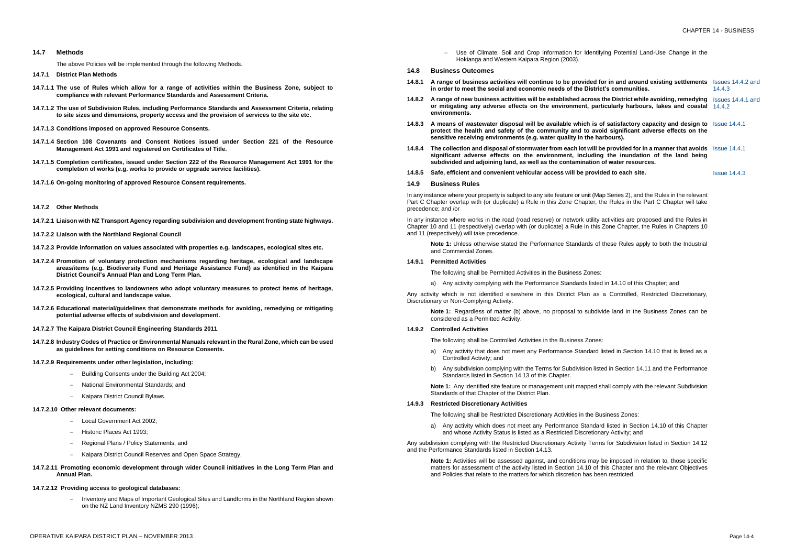#### **14.7 Methods**

The above Policies will be implemented through the following Methods.

- **14.7.2.2 Liaison with the Northland Regional Council**
- **14.7.2.3 Provide information on values associated with properties e.g. landscapes, ecological sites etc.**
- **14.7.2.4 Promotion of voluntary protection mechanisms regarding heritage, ecological and landscape areas/items (e.g. Biodiversity Fund and Heritage Assistance Fund) as identified in the Kaipara District Council's Annual Plan and Long Term Plan.**
- **14.7.2.5 Providing incentives to landowners who adopt voluntary measures to protect items of heritage, ecological, cultural and landscape value.**
- **14.7.2.6 Educational material/guidelines that demonstrate methods for avoiding, remedying or mitigating potential adverse effects of subdivision and development.**
- **14.7.2.7 The Kaipara District Council Engineering Standards 2011***.*
- **14.7.2.8 Industry Codes of Practice or Environmental Manuals relevant in the Rural Zone, which can be used as guidelines for setting conditions on Resource Consents.**
- **14.7.2.9 Requirements under other legislation, including:**
	- Building Consents under the Building Act 2004;
	- National Environmental Standards; and
	- Kaipara District Council Bylaws.
- **14.7.1 District Plan Methods**
- **14.7.1.1 The use of Rules which allow for a range of activities within the Business Zone, subject to compliance with relevant Performance Standards and Assessment Criteria.**
- **14.7.1.2 The use of Subdivision Rules, including Performance Standards and Assessment Criteria, relating to site sizes and dimensions, property access and the provision of services to the site etc.**
- **14.7.1.3 Conditions imposed on approved Resource Consents.**
- **14.7.1.4 Section 108 Covenants and Consent Notices issued under Section 221 of the Resource Management Act 1991 and registered on Certificates of Title.**
- **14.7.1.5 Completion certificates, issued under Section 222 of the Resource Management Act 1991 for the completion of works (e.g. works to provide or upgrade service facilities).**
- **14.7.1.6 On-going monitoring of approved Resource Consent requirements.**

#### **14.7.2 Other Methods**

**14.7.2.1 Liaison with NZ Transport Agency regarding subdivision and development fronting state highways.**

- Local Government Act 2002:
- Historic Places Act 1993;
- Regional Plans / Policy Statements; and
- Kaipara District Council Reserves and Open Space Strategy.
- **14.7.2.11 Promoting economic development through wider Council initiatives in the Long Term Plan and Annual Plan.**

- Inventory and Maps of Important Geological Sites and Landforms in the Northland Region shown on the NZ Land Inventory NZMS 290 (1996);

- Use of Climate, Soil and Crop Information for Identifying Potential Land-Use Change in the Hokianga and Western Kaipara Region (2003).
- **14.8 Business Outcomes**
- **14.8.1** A range of business activities will continue to be provide **in order to meet the social and economic needs of the District**
- **14.8.2** A range of new business activities will be established acros or mitigating any adverse effects on the environment, p **environments.**
- **14.8.3** A means of wastewater disposal will be available which protect the health and safety of the community and to sensitive receiving environments (e.g. water quality in the
- **14.8.4** The collection and disposal of stormwater from each lot will significant adverse effects on the environment, includ subdivided and adjoining land, as well as the contamination
- **14.8.5** Safe, efficient and convenient vehicular access will be pro

In any instance where your property is subject to any site feature or unit Part C Chapter overlap with (or duplicate) a Rule in this Zone Chapte precedence; and /or

#### **14.7.2.10 Other relevant documents:**

In any instance where works in the road (road reserve) or network util Chapter 10 and 11 (respectively) overlap with (or duplicate) a Rule in the and 11 (respectively) will take precedence.

> **Note 1:** Unless otherwise stated the Performance Standards and Commercial Zones.

Any activity which is not identified elsewhere in this District Plan Discretionary or Non-Complying Activity.

> **Note 1:** Regardless of matter (b) above, no proposal to sub considered as a Permitted Activity.

## **14.7.2.12 Providing access to geological databases:**

- a) Any activity that does not meet any Performance Standard Controlled Activity; and
- b) Any subdivision complying with the Terms for Subdivision Standards listed in Section 14.13 of this Chapter.

**Note 1:** Any identified site feature or management unit mappe Standards of that Chapter of the District Plan.

| d for in and around existing settlements<br>trict's communities.                                               | Issues 14.4.2 and<br>14.4.3 |
|----------------------------------------------------------------------------------------------------------------|-----------------------------|
| ss the District while avoiding, remedying<br>particularly harbours, lakes and coastal                          | Issues 14.4.1 and<br>14.4.2 |
| is of satisfactory capacity and design to<br>avoid significant adverse effects on the<br>harbours).            | <b>Issue 14.4.1</b>         |
| ill be provided for in a manner that avoids<br>ding the inundation of the land being<br>on of water resources. | <b>Issue 14.4.1</b>         |
| pvided to each site.                                                                                           | <b>Issue 14.4.3</b>         |
| (Map Series 2), and the Rules in the relevant<br>r, the Rules in the Part C Chapter will take                  |                             |
| lity activities are proposed and the Rules in<br>his Zone Chapter, the Rules in Chapters 10                    |                             |
| of these Rules apply to both the Industrial                                                                    |                             |
|                                                                                                                |                             |
| ies:                                                                                                           |                             |
| sted in 14.10 of this Chapter; and                                                                             |                             |
| as a Controlled, Restricted Discretionary,                                                                     |                             |
| pdivide land in the Business Zones can be                                                                      |                             |
| nes:                                                                                                           |                             |
| ird listed in Section 14.10 that is listed as a                                                                |                             |
| listed in Section 14.11 and the Performance                                                                    |                             |
| ed shall comply with the relevant Subdivision                                                                  |                             |
|                                                                                                                |                             |
|                                                                                                                |                             |

- 
- 
- 

#### **14.9 Business Rules**

#### **14.9.1 Permitted Activities**

The following shall be Permitted Activities in the Business Zones

a) Any activity complying with the Performance Standards list

#### **14.9.2 Controlled Activities**

The following shall be Controlled Activities in the Business Zor

# **14.9.3 Restricted Discretionary Activities**

The following shall be Restricted Discretionary Activities in the Business Zones:

a) Any activity which does not meet any Performance Standard listed in Section 14.10 of this Chapter and whose Activity Status is listed as a Restricted Discretionary Activity; and

Any subdivision complying with the Restricted Discretionary Activity Terms for Subdivision listed in Section 14.12 and the Performance Standards listed in Section 14.13.

**Note 1:** Activities will be assessed against, and conditions may be imposed in relation to, those specific matters for assessment of the activity listed in Section 14.10 of this Chapter and the relevant Objectives and Policies that relate to the matters for which discretion has been restricted.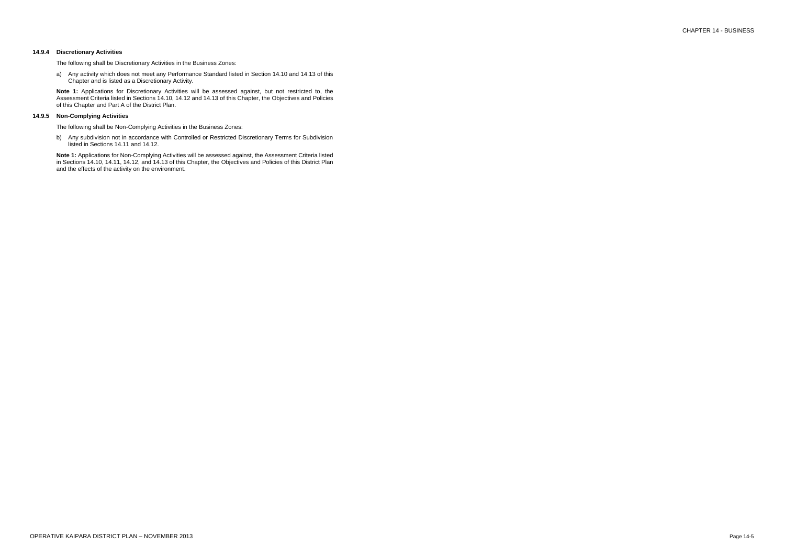# CHAPTER 14 - BUSINESS

# **14.9.4 Discretionary Activities**

The following shall be Discretionary Activities in the Business Zones:

a) Any activity which does not meet any Performance Standard listed in Section 14.10 and 14.13 of this Chapter and is listed as a Discretionary Activity.

**Note 1:** Applications for Discretionary Activities will be assessed against, but not restricted to, the Assessment Criteria listed in Sections 14.10, 14.12 and 14.13 of this Chapter, the Objectives and Policies of this Chapter and Part A of the District Plan.

# **14.9.5 Non-Complying Activities**

The following shall be Non-Complying Activities in the Business Zones:

b) Any subdivision not in accordance with Controlled or Restricted Discretionary Terms for Subdivision listed in Sections 14.11 and 14.12.

**Note 1:** Applications for Non-Complying Activities will be assessed against, the Assessment Criteria listed in Sections 14.10, 14.11, 14.12, and 14.13 of this Chapter, the Objectives and Policies of this District Plan and the effects of the activity on the environment.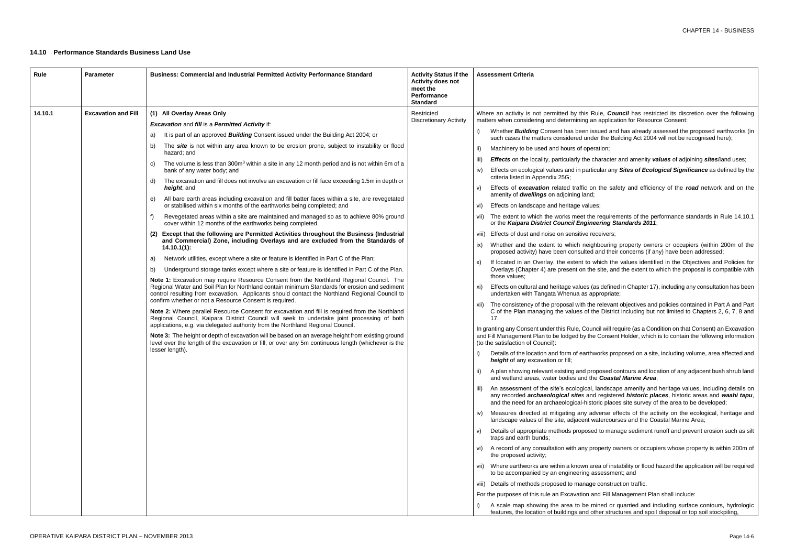sued and has already assessed the proposed earthworks (in der the Building Act 2004 will not be recognised here);

ration;

character and amenity *values* of adjoining *sites*/land uses;

icular any *Sites of Ecological Significance* as defined by the

 $n$  the safety and efficiency of the *road* network and on the

# **14.10 Performance Standards Business Land Use**

e requirements of the performance standards in Rule 14.10.1 or the *Kaipara District Council Engineering Standards 2011*;

eceivers;

hbouring property owners or occupiers (within 200m of the and their concerns (if any) have been addressed;

which the values identified in the Objectives and Policies for e site, and the extent to which the proposal is compatible with

(as defined in Chapter 17), including any consultation has been ppropriate;

e relevant objectives and policies contained in Part A and Part he District including but not limited to Chapters 2, 6, 7, 8 and

ncil will require (as a Condition on that Consent) an Excavation e Consent Holder, which is to contain the following information

works proposed on a site, including volume, area affected and

pposed contours and location of any adjacent bush shrub land and **Coastal Marine Area**;

landscape amenity and heritage values, including details on any recorded *archaeological site*s and registered *historic places*, historic areas and *waahi tapu*, oric places site survey of the area to be developed;

dverse effects of the activity on the ecological, heritage and watercourses and the Coastal Marine Area;

d to manage sediment runoff and prevent erosion such as silt

roperty owners or occupiers whose property is within 200m of

rea of instability or flood hazard the application will be required assessment; and

e construction traffic.

Ind Fill Management Plan shall include:

nined or quarried and including surface contours, hydrologic other structures and spoil disposal or top soil stockpiling,

| Rule    | <b>Parameter</b>           | <b>Business: Commercial and Industrial Permitted Activity Performance Standard</b>                                                                                                                                                                                                                                                                                                                                                                                                                                                                                                                                                                                                                                                                                                                                                                                                                                                                                                                                                                                                                                                                                                                                                                                                                                                                                                                                                                                                                                                                                                                                                                                                                                                                                                                                                                                                                                                                                                                                                                                                                                                                                                                                | <b>Activity Status if the</b><br><b>Activity does not</b><br>meet the<br>Performance<br><b>Standard</b> | <b>Assessment Criteria</b>                                                                                                                                                                                                                                                                                                                                                                                                                                                                                                                                                                                                                                                                                                                                                                                                                                                                                                                                                                                                                                                                                                                                                                                                                                                                                                                                                                                                                                                                                                                                                                                                                                                                                                                                                                                                                                                                                                                                                                                                                                                                                                                                                          |
|---------|----------------------------|-------------------------------------------------------------------------------------------------------------------------------------------------------------------------------------------------------------------------------------------------------------------------------------------------------------------------------------------------------------------------------------------------------------------------------------------------------------------------------------------------------------------------------------------------------------------------------------------------------------------------------------------------------------------------------------------------------------------------------------------------------------------------------------------------------------------------------------------------------------------------------------------------------------------------------------------------------------------------------------------------------------------------------------------------------------------------------------------------------------------------------------------------------------------------------------------------------------------------------------------------------------------------------------------------------------------------------------------------------------------------------------------------------------------------------------------------------------------------------------------------------------------------------------------------------------------------------------------------------------------------------------------------------------------------------------------------------------------------------------------------------------------------------------------------------------------------------------------------------------------------------------------------------------------------------------------------------------------------------------------------------------------------------------------------------------------------------------------------------------------------------------------------------------------------------------------------------------------|---------------------------------------------------------------------------------------------------------|-------------------------------------------------------------------------------------------------------------------------------------------------------------------------------------------------------------------------------------------------------------------------------------------------------------------------------------------------------------------------------------------------------------------------------------------------------------------------------------------------------------------------------------------------------------------------------------------------------------------------------------------------------------------------------------------------------------------------------------------------------------------------------------------------------------------------------------------------------------------------------------------------------------------------------------------------------------------------------------------------------------------------------------------------------------------------------------------------------------------------------------------------------------------------------------------------------------------------------------------------------------------------------------------------------------------------------------------------------------------------------------------------------------------------------------------------------------------------------------------------------------------------------------------------------------------------------------------------------------------------------------------------------------------------------------------------------------------------------------------------------------------------------------------------------------------------------------------------------------------------------------------------------------------------------------------------------------------------------------------------------------------------------------------------------------------------------------------------------------------------------------------------------------------------------------|
| 14.10.1 | <b>Excavation and Fill</b> | (1) All Overlay Areas Only<br><b>Excavation and fill is a Permitted Activity if:</b><br>It is part of an approved <b>Building</b> Consent issued under the Building Act 2004; or<br>a)<br>The site is not within any area known to be erosion prone, subject to instability or flood<br>b)<br>hazard; and<br>The volume is less than 300m <sup>3</sup> within a site in any 12 month period and is not within 6m of a<br>C)<br>bank of any water body; and<br>The excavation and fill does not involve an excavation or fill face exceeding 1.5m in depth or<br>d)<br>height, and<br>All bare earth areas including excavation and fill batter faces within a site, are revegetated<br>e)<br>or stabilised within six months of the earthworks being completed; and<br>Revegetated areas within a site are maintained and managed so as to achieve 80% ground<br>f)<br>cover within 12 months of the earthworks being completed.<br>Except that the following are Permitted Activities throughout the Business (Industrial<br>and Commercial) Zone, including Overlays and are excluded from the Standards of<br>$14.10.1(1)$ :<br>Network utilities, except where a site or feature is identified in Part C of the Plan;<br>a)<br>Underground storage tanks except where a site or feature is identified in Part C of the Plan.<br>b)<br>Note 1: Excavation may require Resource Consent from the Northland Regional Council. The<br>Regional Water and Soil Plan for Northland contain minimum Standards for erosion and sediment<br>control resulting from excavation. Applicants should contact the Northland Regional Council to<br>confirm whether or not a Resource Consent is required.<br>Note 2: Where parallel Resource Consent for excavation and fill is required from the Northland<br>Regional Council, Kaipara District Council will seek to undertake joint processing of both<br>applications, e.g. via delegated authority from the Northland Regional Council.<br>Note 3: The height or depth of excavation will be based on an average height from existing ground<br>level over the length of the excavation or fill, or over any 5m continuous length (whichever is the<br>lesser length). | Restricted<br><b>Discretionary Activity</b>                                                             | Where an activity is not permitted by this Rul<br>matters when considering and determining an a<br>Whether <b>Building</b> Consent has been issu<br>such cases the matters considered under<br>Machinery to be used and hours of operat<br>ii)<br><b>Effects</b> on the locality, particularly the cha<br>iii)<br>Effects on ecological values and in particu<br>IV)<br>criteria listed in Appendix 25G;<br>Effects of excavation related traffic on t<br>V)<br>amenity of <b>dwellings</b> on adjoining land;<br>Effects on landscape and heritage values;<br>Vi)<br>The extent to which the works meet the re<br>VII)<br>or the Kaipara District Council Enginee.<br>Effects of dust and noise on sensitive rece<br>Viii)<br>Whether and the extent to which neighb<br>IX)<br>proposed activity) have been consulted ar<br>If located in an Overlay, the extent to wh<br>X)<br>Overlays (Chapter 4) are present on the s<br>those values:<br>Effects on cultural and heritage values (as<br>xi)<br>undertaken with Tangata Whenua as appr<br>The consistency of the proposal with the re<br>XII)<br>C of the Plan managing the values of the<br>17.<br>In granting any Consent under this Rule, Counci<br>and Fill Management Plan to be lodged by the C<br>(to the satisfaction of Council):<br>Details of the location and form of earthwo<br>height of any excavation or fill;<br>A plan showing relevant existing and prope<br>and wetland areas, water bodies and the<br>An assessment of the site's ecological, la<br>iii)<br>any recorded archaeological sites and r<br>and the need for an archaeological-histori<br>Measures directed at mitigating any adve<br>IV)<br>landscape values of the site, adjacent wat<br>Details of appropriate methods proposed t<br>V)<br>traps and earth bunds;<br>A record of any consultation with any prop<br>VI)<br>the proposed activity;<br>vii) Where earthworks are within a known area<br>to be accompanied by an engineering ass<br>viii) Details of methods proposed to manage c<br>For the purposes of this rule an Excavation and<br>A scale map showing the area to be min<br>features, the location of buildings and other |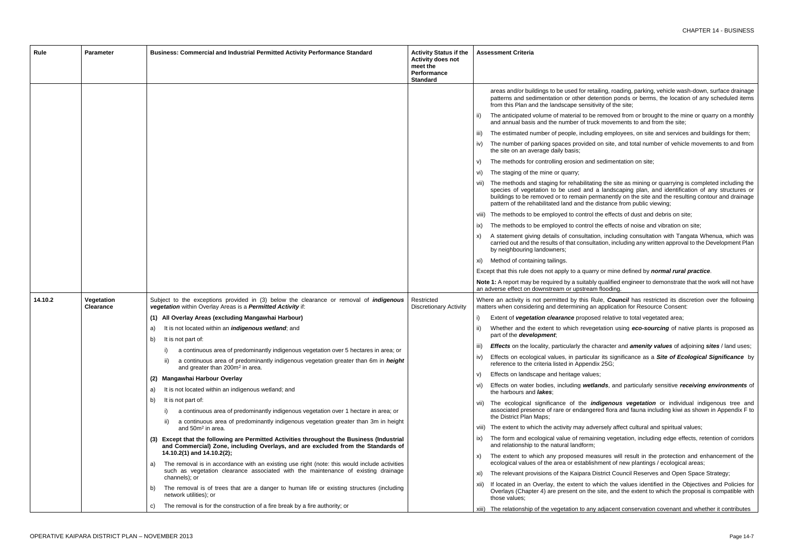- etailing, roading, parking, vehicle wash-down, surface drainage letention ponds or berms, the location of any scheduled items itivity of the site;
- be removed from or brought to the mine or quarry on a monthly uck movements to and from the site;
- iding employees, on site and services and buildings for them;
- ed on site, and total number of vehicle movements to and from
- nd sedimentation on site;
- vii) The methods and staging for rehabilitating the site as mining or quarrying is completed including the species of vegetation to be used and a landscaping plan, and identification of any structures or bermanently on the site and the resulting contour and drainage e distance from public viewing;
	- ol the effects of dust and debris on site;
	- bithe effects of noise and vibration on site;
	- tion, including consultation with Tangata Whenua, which was ultation, including any written approval to the Development Plan
	- arry or mine defined by *normal rural practice*.
	- bly qualified engineer to demonstrate that the work will not have am flooding.
	- Rule, **Council** has restricted its discretion over the following an application for Resource Consent:
	- $p$  sed relative to total vegetated area;
	- egetation using *eco-sourcing* of native plants is proposed as
	- *character and amenity values* of adjoining *sites* / land uses;
	- ular its significance as a *Site of Ecological Significance* by ndix 25G;
	-
	- etlands, and particularly sensitive *receiving environments* of
	- indigenous vegetation or individual indigenous tree and gered flora and fauna including kiwi as shown in Appendix F to
	- dversely affect cultural and spiritual values;
	- aining vegetation, including edge effects, retention of corridors
	- easures will result in the protection and enhancement of the ishment of new plantings / ecological areas;
	- District Council Reserves and Open Space Strategy;
	- which the values identified in the Objectives and Policies for he site, and the extent to which the proposal is compatible with
	- ny adjacent conservation covenant and whether it contributes

| <b>Rule</b> | <b>Parameter</b>               | Business: Commercial and Industrial Permitted Activity Performance Standard                                                                                                | <b>Activity Status if the</b><br><b>Activity does not</b><br>meet the<br><b>Performance</b><br><b>Standard</b> | <b>Assessment Criteria</b>                                                                                                                                                                |
|-------------|--------------------------------|----------------------------------------------------------------------------------------------------------------------------------------------------------------------------|----------------------------------------------------------------------------------------------------------------|-------------------------------------------------------------------------------------------------------------------------------------------------------------------------------------------|
|             |                                |                                                                                                                                                                            |                                                                                                                | areas and/or buildings to be used for retail<br>patterns and sedimentation or other deter<br>from this Plan and the landscape sensitivit                                                  |
|             |                                |                                                                                                                                                                            |                                                                                                                | The anticipated volume of material to be re<br>and annual basis and the number of truck                                                                                                   |
|             |                                |                                                                                                                                                                            |                                                                                                                | The estimated number of people, including<br>$\parallel$                                                                                                                                  |
|             |                                |                                                                                                                                                                            |                                                                                                                | The number of parking spaces provided o<br>IV)<br>the site on an average daily basis;                                                                                                     |
|             |                                |                                                                                                                                                                            |                                                                                                                | The methods for controlling erosion and so<br>V)                                                                                                                                          |
|             |                                |                                                                                                                                                                            |                                                                                                                | The staging of the mine or quarry;<br>Vİ)                                                                                                                                                 |
|             |                                |                                                                                                                                                                            |                                                                                                                | The methods and staging for rehabilitating<br>VII)<br>species of vegetation to be used and a<br>buildings to be removed or to remain pern<br>pattern of the rehabilitated land and the di |
|             |                                |                                                                                                                                                                            |                                                                                                                | viii) The methods to be employed to control the                                                                                                                                           |
|             |                                |                                                                                                                                                                            |                                                                                                                | The methods to be employed to control th<br>IX)                                                                                                                                           |
|             |                                |                                                                                                                                                                            |                                                                                                                | A statement giving details of consultation<br>carried out and the results of that consultat<br>by neighbouring landowners;                                                                |
|             |                                |                                                                                                                                                                            |                                                                                                                | Method of containing tailings.<br>XI)                                                                                                                                                     |
|             |                                |                                                                                                                                                                            |                                                                                                                | Except that this rule does not apply to a quarry                                                                                                                                          |
|             |                                |                                                                                                                                                                            |                                                                                                                | Note 1: A report may be required by a suitably of<br>an adverse effect on downstream or upstream f                                                                                        |
| 14.10.2     | Vegetation<br><b>Clearance</b> | Subject to the exceptions provided in (3) below the clearance or removal of <i>indigenous</i><br>vegetation within Overlay Areas is a Permitted Activity if:               | Restricted<br><b>Discretionary Activity</b>                                                                    | Where an activity is not permitted by this Rul<br>matters when considering and determining an a                                                                                           |
|             |                                | (1) All Overlay Areas (excluding Mangawhai Harbour)                                                                                                                        |                                                                                                                | Extent of vegetation clearance proposed                                                                                                                                                   |
|             |                                | It is not located within an <i>indigenous wetland</i> ; and<br>a)<br>b) It is not part of:                                                                                 |                                                                                                                | Whether and the extent to which reveget<br>part of the <b>development</b> ,                                                                                                               |
|             |                                | a continuous area of predominantly indigenous vegetation over 5 hectares in area; or                                                                                       |                                                                                                                | <b>Effects</b> on the locality, particularly the cha                                                                                                                                      |
|             |                                | a continuous area of predominantly indigenous vegetation greater than 6m in height<br>ii)<br>and greater than 200m <sup>2</sup> in area.                                   |                                                                                                                | Effects on ecological values, in particular<br>IV)<br>reference to the criteria listed in Appendix                                                                                        |
|             |                                | Mangawhai Harbour Overlay<br>(2)                                                                                                                                           |                                                                                                                | Effects on landscape and heritage values;<br>V)                                                                                                                                           |
|             |                                | It is not located within an indigenous wetland; and<br>a)                                                                                                                  |                                                                                                                | Effects on water bodies, including wetlar<br>VI)<br>the harbours and <i>lakes</i> ;                                                                                                       |
|             |                                | It is not part of:<br>b)<br>a continuous area of predominantly indigenous vegetation over 1 hectare in area; or                                                            |                                                                                                                | The ecological significance of the <i>ind</i><br>VII)<br>associated presence of rare or endangere                                                                                         |
|             |                                | a continuous area of predominantly indigenous vegetation greater than 3m in height<br>and 50m <sup>2</sup> in area.                                                        |                                                                                                                | the District Plan Maps;<br>viii) The extent to which the activity may adver                                                                                                               |
|             |                                | Except that the following are Permitted Activities throughout the Business (Industrial<br>and Commercial) Zone, including Overlays, and are excluded from the Standards of |                                                                                                                | The form and ecological value of remainir<br>IX)<br>and relationship to the natural landform;                                                                                             |
|             |                                | 14.10.2(1) and 14.10.2(2);<br>The removal is in accordance with an existing use right (note: this would include activities<br>a)                                           |                                                                                                                | The extent to which any proposed meas<br>X)<br>ecological values of the area or establishn                                                                                                |
|             |                                | such as vegetation clearance associated with the maintenance of existing drainage<br>channels); or                                                                         |                                                                                                                | The relevant provisions of the Kaipara Dis<br>XI)                                                                                                                                         |
|             |                                | The removal is of trees that are a danger to human life or existing structures (including<br>b)<br>network utilities); or                                                  |                                                                                                                | If located in an Overlay, the extent to wh<br>XII)<br>Overlays (Chapter 4) are present on the s<br>those values;                                                                          |
|             |                                | The removal is for the construction of a fire break by a fire authority; or<br>C)                                                                                          |                                                                                                                | xiii) The relationship of the vegetation to any a                                                                                                                                         |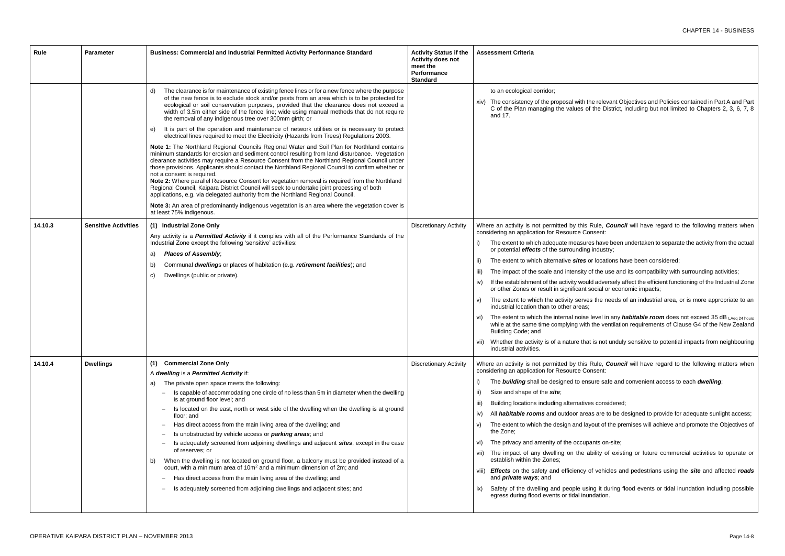ne relevant Objectives and Policies contained in Part A and Part the District, including but not limited to Chapters 2, 3, 6, 7, 8

- Rule, *Council* will have regard to the following matters when nsent:
- es have been undertaken to separate the activity from the actual industry;
- r locations have been considered;
- of the use and its compatibility with surrounding activities;
- id adversely affect the efficient functioning of the Industrial Zone social or economic impacts;
- the needs of an industrial area, or is more appropriate to an
- level in any *habitable room* does not exceed 35 dB LAeq 24 hours the ventilation requirements of Clause G4 of the New Zealand
- t is not unduly sensitive to potential impacts from neighbouring
- Rule, *Council* will have regard to the following matters when nsent:
- sure safe and convenient access to each *dwelling*;
- es considered;
- as are to be designed to provide for adequate sunlight access; yout of the premises will achieve and promote the Objectives of
- ants on-site;
- bility of existing or future commercial activities to operate or
- f vehicles and pedestrians using the *site* and affected *roads*
- ng it during flood events or tidal inundation including possible ndation.

| Rule    | <b>Parameter</b>            | Business: Commercial and Industrial Permitted Activity Performance Standard                                                                                                                                                                                                                                                                                                                                                                                                                                                                                                                                                                                                                                                                                                                                                                                                                                                                                                                                                                                                                                                                                                                                                                                                                                                                                                                                                                                                                                  | <b>Activity Status if the</b><br><b>Activity does not</b><br>meet the<br><b>Performance</b><br><b>Standard</b> | <b>Assessment Criteria</b>                                                                                                                                                                                                                                                                                                                                                                                                                                                                                                                                                                                                                                                        |
|---------|-----------------------------|--------------------------------------------------------------------------------------------------------------------------------------------------------------------------------------------------------------------------------------------------------------------------------------------------------------------------------------------------------------------------------------------------------------------------------------------------------------------------------------------------------------------------------------------------------------------------------------------------------------------------------------------------------------------------------------------------------------------------------------------------------------------------------------------------------------------------------------------------------------------------------------------------------------------------------------------------------------------------------------------------------------------------------------------------------------------------------------------------------------------------------------------------------------------------------------------------------------------------------------------------------------------------------------------------------------------------------------------------------------------------------------------------------------------------------------------------------------------------------------------------------------|----------------------------------------------------------------------------------------------------------------|-----------------------------------------------------------------------------------------------------------------------------------------------------------------------------------------------------------------------------------------------------------------------------------------------------------------------------------------------------------------------------------------------------------------------------------------------------------------------------------------------------------------------------------------------------------------------------------------------------------------------------------------------------------------------------------|
|         |                             | The clearance is for maintenance of existing fence lines or for a new fence where the purpose<br>d)<br>of the new fence is to exclude stock and/or pests from an area which is to be protected for<br>ecological or soil conservation purposes, provided that the clearance does not exceed a<br>width of 3.5m either side of the fence line; wide using manual methods that do not require<br>the removal of any indigenous tree over 300mm girth; or<br>It is part of the operation and maintenance of network utilities or is necessary to protect<br>e)<br>electrical lines required to meet the Electricity (Hazards from Trees) Regulations 2003.<br>Note 1: The Northland Regional Councils Regional Water and Soil Plan for Northland contains<br>minimum standards for erosion and sediment control resulting from land disturbance. Vegetation<br>clearance activities may require a Resource Consent from the Northland Regional Council under<br>those provisions. Applicants should contact the Northland Regional Council to confirm whether or<br>not a consent is required.<br>Note 2: Where parallel Resource Consent for vegetation removal is required from the Northland<br>Regional Council, Kaipara District Council will seek to undertake joint processing of both<br>applications, e.g. via delegated authority from the Northland Regional Council.<br>Note 3: An area of predominantly indigenous vegetation is an area where the vegetation cover is<br>at least 75% indigenous. |                                                                                                                | to an ecological corridor;<br>xiv) The consistency of the proposal with th<br>C of the Plan managing the values of<br>and 17.                                                                                                                                                                                                                                                                                                                                                                                                                                                                                                                                                     |
| 14.10.3 | <b>Sensitive Activities</b> | (1) Industrial Zone Only<br>Any activity is a Permitted Activity if it complies with all of the Performance Standards of the<br>Industrial Zone except the following 'sensitive' activities:<br><b>Places of Assembly;</b><br>a)<br>Communal dwellings or places of habitation (e.g. retirement facilities); and<br>b)<br>Dwellings (public or private).<br>C)                                                                                                                                                                                                                                                                                                                                                                                                                                                                                                                                                                                                                                                                                                                                                                                                                                                                                                                                                                                                                                                                                                                                               | <b>Discretionary Activity</b>                                                                                  | Where an activity is not permitted by this F<br>considering an application for Resource Cor<br>The extent to which adequate measure<br>or potential effects of the surrounding<br>The extent to which alternative sites of<br>ii)<br>The impact of the scale and intensity o<br>iii)<br>If the establishment of the activity would<br>iv)<br>or other Zones or result in significant so<br>The extent to which the activity serves<br>V)<br>industrial location than to other areas;<br>The extent to which the internal noise I<br>VI)<br>while at the same time complying with<br>Building Code; and<br>vii) Whether the activity is of a nature that<br>industrial activities. |
| 14.10.4 | <b>Dwellings</b>            | (1) Commercial Zone Only<br>A dwelling is a Permitted Activity if:<br>The private open space meets the following:<br>a)<br>Is capable of accommodating one circle of no less than 5m in diameter when the dwelling<br>is at ground floor level; and<br>Is located on the east, north or west side of the dwelling when the dwelling is at ground<br>floor; and<br>Has direct access from the main living area of the dwelling; and<br>Is unobstructed by vehicle access or <i>parking areas</i> ; and<br>Is adequately screened from adjoining dwellings and adjacent sites, except in the case<br>of reserves; or<br>When the dwelling is not located on ground floor, a balcony must be provided instead of a<br>court, with a minimum area of 10m <sup>2</sup> and a minimum dimension of 2m; and<br>Has direct access from the main living area of the dwelling; and<br>Is adequately screened from adjoining dwellings and adjacent sites; and                                                                                                                                                                                                                                                                                                                                                                                                                                                                                                                                                          | <b>Discretionary Activity</b>                                                                                  | Where an activity is not permitted by this F<br>considering an application for Resource Cor<br>The <b>building</b> shall be designed to ensi<br>Size and shape of the site;<br>ii)<br>Building locations including alternatives<br>iii)<br>All <i>habitable rooms</i> and outdoor area<br>iv)<br>The extent to which the design and lay<br>V)<br>the Zone:<br>The privacy and amenity of the occupa<br>vi)<br>vii) The impact of any dwelling on the at<br>establish within the Zones;<br>viii) Effects on the safety and efficiency o<br>and <i>private</i> ways; and<br>Safety of the dwelling and people usir<br>ix)<br>egress during flood events or tidal inun               |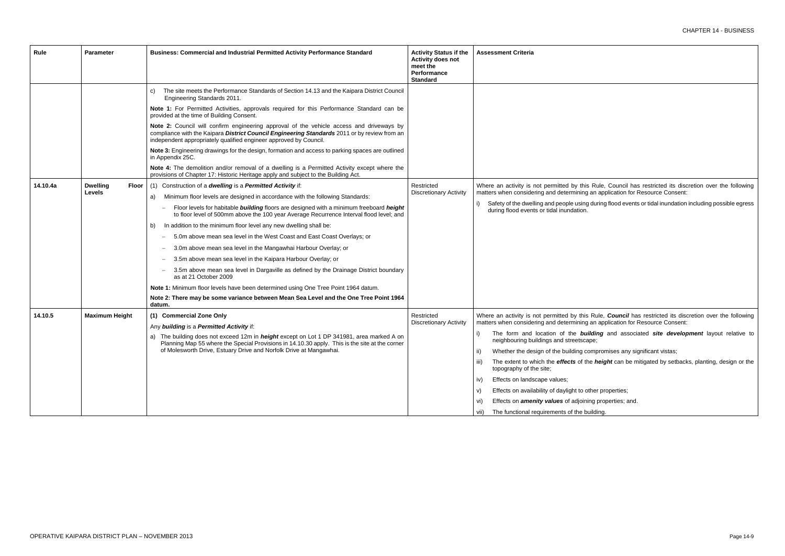| Rule     | <b>Parameter</b>         | Business: Commercial and Industrial Permitted Activity Performance Standard                                                                                                                                                                                   | <b>Activity Status if the</b><br><b>Activity does not</b><br>meet the<br>Performance<br><b>Standard</b> | <b>Assessment Criteria</b>                                                                                                  |
|----------|--------------------------|---------------------------------------------------------------------------------------------------------------------------------------------------------------------------------------------------------------------------------------------------------------|---------------------------------------------------------------------------------------------------------|-----------------------------------------------------------------------------------------------------------------------------|
|          |                          | The site meets the Performance Standards of Section 14.13 and the Kaipara District Council<br>C)<br>Engineering Standards 2011.                                                                                                                               |                                                                                                         |                                                                                                                             |
|          |                          | Note 1: For Permitted Activities, approvals required for this Performance Standard can be<br>provided at the time of Building Consent.                                                                                                                        |                                                                                                         |                                                                                                                             |
|          |                          | Note 2: Council will confirm engineering approval of the vehicle access and driveways by<br>compliance with the Kaipara District Council Engineering Standards 2011 or by review from an<br>independent appropriately qualified engineer approved by Council. |                                                                                                         |                                                                                                                             |
|          |                          | Note 3: Engineering drawings for the design, formation and access to parking spaces are outlined<br>in Appendix 25C.                                                                                                                                          |                                                                                                         |                                                                                                                             |
|          |                          | Note 4: The demolition and/or removal of a dwelling is a Permitted Activity except where the<br>provisions of Chapter 17: Historic Heritage apply and subject to the Building Act.                                                                            |                                                                                                         |                                                                                                                             |
| 14.10.4a | <b>Dwelling</b><br>Floor | (1) Construction of a dwelling is a Permitted Activity if:                                                                                                                                                                                                    | Restricted                                                                                              | Where an activity is not permitted by this Rule, Council has restricted its disc                                            |
|          | Levels                   | Minimum floor levels are designed in accordance with the following Standards:<br>a)                                                                                                                                                                           | <b>Discretionary Activity</b>                                                                           | matters when considering and determining an application for Resource Consent:                                               |
|          |                          | Floor levels for habitable <b>building</b> floors are designed with a minimum freeboard height<br>to floor level of 500mm above the 100 year Average Recurrence Interval flood level; and                                                                     |                                                                                                         | Safety of the dwelling and people using during flood events or tidal inundation<br>during flood events or tidal inundation. |
|          |                          | In addition to the minimum floor level any new dwelling shall be:<br>b)                                                                                                                                                                                       |                                                                                                         |                                                                                                                             |
|          |                          | 5.0m above mean sea level in the West Coast and East Coast Overlays; or<br>$\overline{\phantom{m}}$                                                                                                                                                           |                                                                                                         |                                                                                                                             |
|          |                          | 3.0m above mean sea level in the Mangawhai Harbour Overlay; or                                                                                                                                                                                                |                                                                                                         |                                                                                                                             |
|          |                          | 3.5m above mean sea level in the Kaipara Harbour Overlay; or                                                                                                                                                                                                  |                                                                                                         |                                                                                                                             |
|          |                          | 3.5m above mean sea level in Dargaville as defined by the Drainage District boundary<br>as at 21 October 2009                                                                                                                                                 |                                                                                                         |                                                                                                                             |
|          |                          | Note 1: Minimum floor levels have been determined using One Tree Point 1964 datum.                                                                                                                                                                            |                                                                                                         |                                                                                                                             |
|          |                          | Note 2: There may be some variance between Mean Sea Level and the One Tree Point 1964<br>datum.                                                                                                                                                               |                                                                                                         |                                                                                                                             |
| 14.10.5  | <b>Maximum Height</b>    | (1) Commercial Zone Only                                                                                                                                                                                                                                      | Restricted                                                                                              | Where an activity is not permitted by this Rule, <b>Council</b> has restricted its dis-                                     |
|          |                          | Any building is a Permitted Activity if:                                                                                                                                                                                                                      | <b>Discretionary Activity</b>                                                                           | matters when considering and determining an application for Resource Consent:                                               |
|          |                          | a) The building does not exceed 12m in <i>height</i> except on Lot 1 DP 341981, area marked A on<br>Planning Map 55 where the Special Provisions in 14.10.30 apply. This is the site at the corner                                                            |                                                                                                         | The form and location of the <b>building</b> and associated site develop<br>neighbouring buildings and streetscape;         |
|          |                          | of Molesworth Drive, Estuary Drive and Norfolk Drive at Mangawhai.                                                                                                                                                                                            |                                                                                                         | ii)<br>Whether the design of the building compromises any significant vistas;                                               |
|          |                          |                                                                                                                                                                                                                                                               |                                                                                                         | The extent to which the effects of the height can be mitigated by setbacl<br>iii)<br>topography of the site;                |
|          |                          |                                                                                                                                                                                                                                                               |                                                                                                         | Effects on landscape values;<br>iv)                                                                                         |
|          |                          |                                                                                                                                                                                                                                                               |                                                                                                         | Effects on availability of daylight to other properties;<br>V)                                                              |
|          |                          |                                                                                                                                                                                                                                                               |                                                                                                         | Effects on <b>amenity values</b> of adjoining properties; and.<br>vi)                                                       |
|          |                          |                                                                                                                                                                                                                                                               |                                                                                                         | The functional requirements of the building.<br>vii)                                                                        |

Where an activity is not permitted by this Rule, Council has restricted its discretion over the following

during flood events or tidal inundation including possible egress

Rule, **Council** has restricted its discretion over the following an application for Resource Consent:

Iding and associated site development layout relative to

ie *height* can be mitigated by setbacks, planting, design or the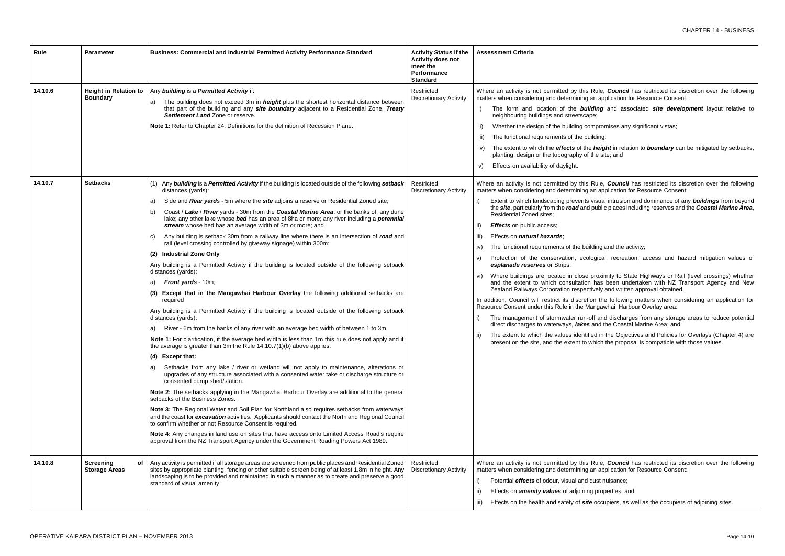Iding and associated site development layout relative to

mpromises any significant vistas;

iilding;

 $e$  *height* in relation to *boundary* can be mitigated by setbacks, the site; and

Rule, *Council* has restricted its discretion over the following an application for Resource Consent:

visual intrusion and dominance of any **buildings** from beyond public places including reserves and the **Coastal Marine Area**,

Iding and the activity;

logical, recreation, access and hazard mitigation values of

proximity to State Highways or Rail (level crossings) whether has been undertaken with NZ Transport Agency and New tively and written approval obtained.

on the following matters when considering an application for angawhai Harbour Overlay area:

off and discharges from any storage areas to reduce potential and the Coastal Marine Area; and

ied in the Objectives and Policies for Overlays (Chapter 4) are which the proposal is compatible with those values.

Rule, **Council** has restricted its discretion over the following an application for Resource Consent:

dust nuisance;

g properties; and

**e** occupiers, as well as the occupiers of adjoining sites.

| Rule    | <b>Parameter</b>                                | Business: Commercial and Industrial Permitted Activity Performance Standard                                                                                                                                                                                                                                                                                                                                                                                                                                                                                                                                                                                                                                                                                                                                                                                                                                                                                                                                                                                                                                                                                                                                                                                                                                                                                                                                                                                                                                                                                                                                                                                                                                                                                                                                                                                                                                                                                                                                                                                                                                                                                                                               | <b>Activity Status if the</b><br>Activity does not<br>meet the<br><b>Performance</b><br><b>Standard</b> | <b>Assessment Criteria</b>                                                                                                                                                                                                                                                                                                                                                                                                                                                                                                                                                                                                                                                                                                                                                                                                                                                            |
|---------|-------------------------------------------------|-----------------------------------------------------------------------------------------------------------------------------------------------------------------------------------------------------------------------------------------------------------------------------------------------------------------------------------------------------------------------------------------------------------------------------------------------------------------------------------------------------------------------------------------------------------------------------------------------------------------------------------------------------------------------------------------------------------------------------------------------------------------------------------------------------------------------------------------------------------------------------------------------------------------------------------------------------------------------------------------------------------------------------------------------------------------------------------------------------------------------------------------------------------------------------------------------------------------------------------------------------------------------------------------------------------------------------------------------------------------------------------------------------------------------------------------------------------------------------------------------------------------------------------------------------------------------------------------------------------------------------------------------------------------------------------------------------------------------------------------------------------------------------------------------------------------------------------------------------------------------------------------------------------------------------------------------------------------------------------------------------------------------------------------------------------------------------------------------------------------------------------------------------------------------------------------------------------|---------------------------------------------------------------------------------------------------------|---------------------------------------------------------------------------------------------------------------------------------------------------------------------------------------------------------------------------------------------------------------------------------------------------------------------------------------------------------------------------------------------------------------------------------------------------------------------------------------------------------------------------------------------------------------------------------------------------------------------------------------------------------------------------------------------------------------------------------------------------------------------------------------------------------------------------------------------------------------------------------------|
| 14.10.6 | <b>Height in Relation to</b><br><b>Boundary</b> | Any building is a Permitted Activity if:<br>The building does not exceed 3m in <i>height</i> plus the shortest horizontal distance between<br>a)<br>that part of the building and any site boundary adjacent to a Residential Zone, Treaty<br>Settlement Land Zone or reserve.<br>Note 1: Refer to Chapter 24: Definitions for the definition of Recession Plane.                                                                                                                                                                                                                                                                                                                                                                                                                                                                                                                                                                                                                                                                                                                                                                                                                                                                                                                                                                                                                                                                                                                                                                                                                                                                                                                                                                                                                                                                                                                                                                                                                                                                                                                                                                                                                                         | Restricted<br><b>Discretionary Activity</b>                                                             | Where an activity is not permitted by this Ru<br>matters when considering and determining an<br>The form and location of the <b>buildi</b><br>neighbouring buildings and streetscape;<br>Whether the design of the building comp<br>ii)<br>The functional requirements of the build<br>iii)<br>The extent to which the effects of the h<br>IV)<br>planting, design or the topography of the<br>Effects on availability of daylight.<br>V)                                                                                                                                                                                                                                                                                                                                                                                                                                             |
| 14.10.7 | <b>Setbacks</b>                                 | (1) Any building is a Permitted Activity if the building is located outside of the following setback<br>distances (yards):<br>Side and Rear yards - 5m where the site adjoins a reserve or Residential Zoned site;<br>a)<br>Coast / Lake / River yards - 30m from the Coastal Marine Area, or the banks of: any dune<br>b)<br>lake; any other lake whose bed has an area of 8ha or more; any river including a perennial<br>stream whose bed has an average width of 3m or more; and<br>Any building is setback 30m from a railway line where there is an intersection of road and<br>C)<br>rail (level crossing controlled by giveway signage) within 300m;<br>(2) Industrial Zone Only<br>Any building is a Permitted Activity if the building is located outside of the following setback<br>distances (yards):<br><b>Front yards - 10m;</b><br>a)<br>(3) Except that in the Mangawhai Harbour Overlay the following additional setbacks are<br>required<br>Any building is a Permitted Activity if the building is located outside of the following setback<br>distances (yards):<br>River - 6m from the banks of any river with an average bed width of between 1 to 3m.<br>Note 1: For clarification, if the average bed width is less than 1m this rule does not apply and if<br>the average is greater than 3m the Rule 14.10.7(1)(b) above applies.<br>(4) Except that:<br>Setbacks from any lake / river or wetland will not apply to maintenance, alterations or<br>a)<br>upgrades of any structure associated with a consented water take or discharge structure or<br>consented pump shed/station.<br>Note 2: The setbacks applying in the Mangawhai Harbour Overlay are additional to the general<br>setbacks of the Business Zones.<br>Note 3: The Regional Water and Soil Plan for Northland also requires setbacks from waterways<br>and the coast for excavation activities. Applicants should contact the Northland Regional Council<br>to confirm whether or not Resource Consent is required.<br>Note 4: Any changes in land use on sites that have access onto Limited Access Road's require<br>approval from the NZ Transport Agency under the Government Roading Powers Act 1989. | Restricted<br><b>Discretionary Activity</b>                                                             | Where an activity is not permitted by this Ru<br>matters when considering and determining an<br>Extent to which landscaping prevents vis<br>the site, particularly from the road and pu<br><b>Residential Zoned sites;</b><br><b>Effects</b> on public access;<br>ii)<br>Effects on natural hazards;<br>iii)<br>The functional requirements of the buildir<br>iv)<br>Protection of the conservation, ecolog<br>V)<br>esplanade reserves or Strips;<br>Where buildings are located in close pro<br>VI)<br>and the extent to which consultation h<br>Zealand Railways Corporation respective<br>In addition, Council will restrict its discretion<br>Resource Consent under this Rule in the Man<br>The management of stormwater run-off<br>direct discharges to waterways, lakes are<br>The extent to which the values identified<br>ii)<br>present on the site, and the extent to whi |
| 14.10.8 | Screening<br>оf<br><b>Storage Areas</b>         | Any activity is permitted if all storage areas are screened from public places and Residential Zoned<br>sites by appropriate planting, fencing or other suitable screen being of at least 1.8m in height. Any<br>landscaping is to be provided and maintained in such a manner as to create and preserve a good<br>standard of visual amenity.                                                                                                                                                                                                                                                                                                                                                                                                                                                                                                                                                                                                                                                                                                                                                                                                                                                                                                                                                                                                                                                                                                                                                                                                                                                                                                                                                                                                                                                                                                                                                                                                                                                                                                                                                                                                                                                            | Restricted<br><b>Discretionary Activity</b>                                                             | Where an activity is not permitted by this Ru<br>matters when considering and determining an<br>Potential <i>effects</i> of odour, visual and dus<br>Effects on <i>amenity values</i> of adjoining p<br>$\vert \vert$<br>Effects on the health and safety of site o<br>iii)                                                                                                                                                                                                                                                                                                                                                                                                                                                                                                                                                                                                           |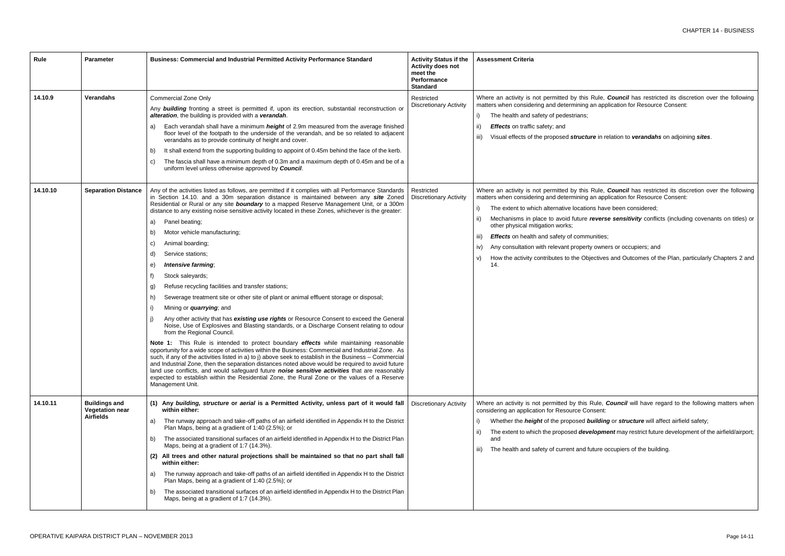*ire* in relation to *verandahs* on adjoining *sites*.

Rule, **Council** has restricted its discretion over the following an application for Resource Consent:

ns have been considered;

reverse sensitivity conflicts (including covenants on titles) or

unities;

y owners or occupiers; and

jectives and Outcomes of the Plan, particularly Chapters 2 and

Rule, **Council** will have regard to the following matters when nsent:

 $\boldsymbol{\omega}$ *uilding* or *structure* will affect airfield safety;

elopment may restrict future development of the airfield/airport;

uture occupiers of the building.

| Rule     | Parameter                                                          | Business: Commercial and Industrial Permitted Activity Performance Standard                                                                                                                                                                                                                                                                                                                                                                                                                                                                                                                                                                                                                                                                                                                                                                                                                                                                                                                                                                                                                                                                                                                                                                                                                                                                                                                                                                                                                                                                                                                                                                       | <b>Activity Status if the</b><br><b>Activity does not</b><br>meet the<br><b>Performance</b><br><b>Standard</b> | <b>Assessment Criteria</b>                                                                                                                                                                                                                                                                                                                                                                     |
|----------|--------------------------------------------------------------------|---------------------------------------------------------------------------------------------------------------------------------------------------------------------------------------------------------------------------------------------------------------------------------------------------------------------------------------------------------------------------------------------------------------------------------------------------------------------------------------------------------------------------------------------------------------------------------------------------------------------------------------------------------------------------------------------------------------------------------------------------------------------------------------------------------------------------------------------------------------------------------------------------------------------------------------------------------------------------------------------------------------------------------------------------------------------------------------------------------------------------------------------------------------------------------------------------------------------------------------------------------------------------------------------------------------------------------------------------------------------------------------------------------------------------------------------------------------------------------------------------------------------------------------------------------------------------------------------------------------------------------------------------|----------------------------------------------------------------------------------------------------------------|------------------------------------------------------------------------------------------------------------------------------------------------------------------------------------------------------------------------------------------------------------------------------------------------------------------------------------------------------------------------------------------------|
| 14.10.9  | Verandahs                                                          | <b>Commercial Zone Only</b><br>Any <b>building</b> fronting a street is permitted if, upon its erection, substantial reconstruction or<br>alteration, the building is provided with a verandah.<br>Each verandah shall have a minimum <i>height</i> of 2.9m measured from the average finished<br>a)<br>floor level of the footpath to the underside of the verandah, and be so related to adjacent<br>verandahs as to provide continuity of height and cover.<br>It shall extend from the supporting building to appoint of 0.45m behind the face of the kerb.<br>b)<br>The fascia shall have a minimum depth of 0.3m and a maximum depth of 0.45m and be of a<br>C)<br>uniform level unless otherwise approved by <b>Council</b> .                                                                                                                                                                                                                                                                                                                                                                                                                                                                                                                                                                                                                                                                                                                                                                                                                                                                                                              | Restricted<br><b>Discretionary Activity</b>                                                                    | Where an activity is not permitted by this<br>matters when considering and determining<br>The health and safety of pedestrians;<br>i)<br><b>Effects</b> on traffic safety; and<br>ΪÏ<br>Visual effects of the proposed structu<br>iii)                                                                                                                                                         |
| 14.10.10 | <b>Separation Distance</b>                                         | Any of the activities listed as follows, are permitted if it complies with all Performance Standards<br>in Section 14.10. and a 30m separation distance is maintained between any site Zoned<br>Residential or Rural or any site <b>boundary</b> to a mapped Reserve Management Unit, or a 300m<br>distance to any existing noise sensitive activity located in these Zones, whichever is the greater:<br>Panel beating;<br>a)<br>Motor vehicle manufacturing;<br>b)<br>Animal boarding;<br>C)<br>Service stations;<br>d)<br>Intensive farming;<br>e)<br>f)<br>Stock saleyards;<br>Refuse recycling facilities and transfer stations;<br>g)<br>Sewerage treatment site or other site of plant or animal effluent storage or disposal;<br>h)<br>Mining or <i>quarrying</i> ; and<br>-i)<br>Any other activity that has existing use rights or Resource Consent to exceed the General<br>Noise, Use of Explosives and Blasting standards, or a Discharge Consent relating to odour<br>from the Regional Council.<br>Note 1: This Rule is intended to protect boundary effects while maintaining reasonable<br>opportunity for a wide scope of activities within the Business: Commercial and Industrial Zone. As<br>such, if any of the activities listed in a) to j) above seek to establish in the Business - Commercial<br>and Industrial Zone, then the separation distances noted above would be required to avoid future<br>land use conflicts, and would safeguard future noise sensitive activities that are reasonably<br>expected to establish within the Residential Zone, the Rural Zone or the values of a Reserve<br>Management Unit. | Restricted<br><b>Discretionary Activity</b>                                                                    | Where an activity is not permitted by this<br>matters when considering and determining a<br>The extent to which alternative location<br>i)<br>Mechanisms in place to avoid future<br>ii)<br>other physical mitigation works;<br><b>Effects</b> on health and safety of commi<br>iii)<br>Any consultation with relevant property<br>IV)<br>How the activity contributes to the Obj<br>V)<br>14. |
| 14.10.11 | <b>Buildings and</b><br><b>Vegetation near</b><br><b>Airfields</b> | (1) Any building, structure or aerial is a Permitted Activity, unless part of it would fall<br>within either:<br>The runway approach and take-off paths of an airfield identified in Appendix H to the District<br>a)<br>Plan Maps, being at a gradient of 1:40 (2.5%); or<br>The associated transitional surfaces of an airfield identified in Appendix H to the District Plan<br>b)<br>Maps, being at a gradient of 1:7 (14.3%).<br>(2) All trees and other natural projections shall be maintained so that no part shall fall<br>within either:<br>The runway approach and take-off paths of an airfield identified in Appendix H to the District<br>a)<br>Plan Maps, being at a gradient of 1:40 (2.5%); or<br>The associated transitional surfaces of an airfield identified in Appendix H to the District Plan<br>b)<br>Maps, being at a gradient of 1:7 (14.3%).                                                                                                                                                                                                                                                                                                                                                                                                                                                                                                                                                                                                                                                                                                                                                                           | <b>Discretionary Activity</b>                                                                                  | Where an activity is not permitted by this I<br>considering an application for Resource Cor<br>Whether the <b>height</b> of the proposed <b>b</b><br>i)<br>The extent to which the proposed deve<br>ii)<br>and<br>The health and safety of current and fu<br>iii)                                                                                                                              |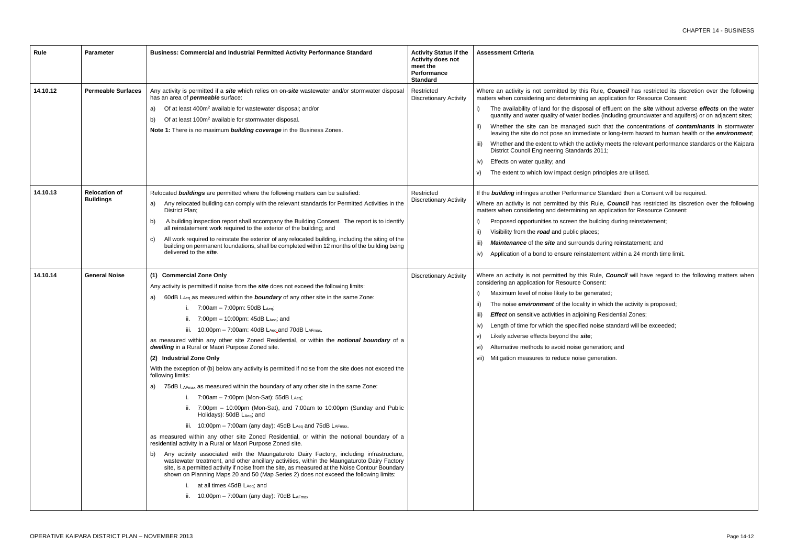I of effluent on the *site* without adverse *effects* on the water dies (including groundwater and aquifers) or on adjacent sites;

iuch that the concentrations of *contaminants* in stormwater late or long-term hazard to human health or the *environment*;

ctivity meets the relevant performance standards or the Kaipara  $s 2011;$ 

principles are utilised.

ce Standard then a Consent will be required.

Rule, **Council** has restricted its discretion over the following an application for Resource Consent:

uilding during reinstatement;

**is during reinstatement; and** 

tement within a 24 month time limit.

Rule, *Council* will have regard to the following matters when nsent:

herated;

in which the activity is proposed;

ng Residential Zones;

noise standard will be exceeded;

neration; and

eneration.

| Rule                 | <b>Parameter</b>                                  | <b>Business: Commercial and Industrial Permitted Activity Performance Standard</b>                                                                                                                                                                                                                                                                                                                                                                                                                                                                                                                                                                                                                                                                                                                                                                                                                                                                                                                                                                                                                                                                                                                                                                                                                                                                                                                                                                                                                                                                                                                                                                                                     | <b>Activity Status if the</b><br><b>Activity does not</b><br>meet the<br>Performance<br><b>Standard</b> | <b>Assessment Criteria</b>                                                                                                                                                                                                                                                                                                                                                                                                                                                                                                                     |  |  |  |  |
|----------------------|---------------------------------------------------|----------------------------------------------------------------------------------------------------------------------------------------------------------------------------------------------------------------------------------------------------------------------------------------------------------------------------------------------------------------------------------------------------------------------------------------------------------------------------------------------------------------------------------------------------------------------------------------------------------------------------------------------------------------------------------------------------------------------------------------------------------------------------------------------------------------------------------------------------------------------------------------------------------------------------------------------------------------------------------------------------------------------------------------------------------------------------------------------------------------------------------------------------------------------------------------------------------------------------------------------------------------------------------------------------------------------------------------------------------------------------------------------------------------------------------------------------------------------------------------------------------------------------------------------------------------------------------------------------------------------------------------------------------------------------------------|---------------------------------------------------------------------------------------------------------|------------------------------------------------------------------------------------------------------------------------------------------------------------------------------------------------------------------------------------------------------------------------------------------------------------------------------------------------------------------------------------------------------------------------------------------------------------------------------------------------------------------------------------------------|--|--|--|--|
| 14.10.12<br>14.10.13 | <b>Permeable Surfaces</b><br><b>Relocation of</b> | Any activity is permitted if a site which relies on on-site wastewater and/or stormwater disposal<br>has an area of <i>permeable</i> surface:<br>Of at least 400m <sup>2</sup> available for wastewater disposal; and/or<br>a)<br>Of at least 100m <sup>2</sup> available for stormwater disposal.<br>b)<br>Note 1: There is no maximum building coverage in the Business Zones.<br>Relocated buildings are permitted where the following matters can be satisfied:                                                                                                                                                                                                                                                                                                                                                                                                                                                                                                                                                                                                                                                                                                                                                                                                                                                                                                                                                                                                                                                                                                                                                                                                                    | Restricted<br><b>Discretionary Activity</b><br>Restricted                                               | Where an activity is not permitted by this Ru<br>matters when considering and determining an<br>The availability of land for the disposal o<br>quantity and water quality of water bodies<br>Whether the site can be managed such<br>ii)<br>leaving the site do not pose an immediate<br>Whether and the extent to which the activi<br>$\parallel$<br>District Council Engineering Standards 20<br>Effects on water quality; and<br>iv)<br>The extent to which low impact design pri<br>If the <b>building</b> infringes another Performance ! |  |  |  |  |
|                      | <b>Buildings</b>                                  | Any relocated building can comply with the relevant standards for Permitted Activities in the<br>a)<br>District Plan;<br>A building inspection report shall accompany the Building Consent. The report is to identify<br>b)<br>all reinstatement work required to the exterior of the building; and<br>All work required to reinstate the exterior of any relocated building, including the siting of the<br>C)<br>building on permanent foundations, shall be completed within 12 months of the building being<br>delivered to the site.                                                                                                                                                                                                                                                                                                                                                                                                                                                                                                                                                                                                                                                                                                                                                                                                                                                                                                                                                                                                                                                                                                                                              | <b>Discretionary Activity</b>                                                                           | Where an activity is not permitted by this Ru<br>matters when considering and determining an<br>Proposed opportunities to screen the buil<br>Visibility from the road and public places;<br><b>Maintenance</b> of the site and surrounds of<br>iii)<br>Application of a bond to ensure reinstater<br>iv)                                                                                                                                                                                                                                       |  |  |  |  |
| 14.10.14             | <b>General Noise</b>                              | (1) Commercial Zone Only<br>Any activity is permitted if noise from the <i>site</i> does not exceed the following limits:<br>60dB LAeq as measured within the <b>boundary</b> of any other site in the same Zone:<br>a)<br>7:00am $-$ 7:00pm: 50dB LAeq;<br>Π.<br>7:00pm $-$ 10:00pm: 45dB LAeq; and<br>iii. $10:00 \text{pm} - 7:00 \text{am}$ : 40dB LAeq and 70dB LAFmax.<br>as measured within any other site Zoned Residential, or within the <b>notional boundary</b> of a<br>dwelling in a Rural or Maori Purpose Zoned site.<br>(2) Industrial Zone Only<br>With the exception of (b) below any activity is permitted if noise from the site does not exceed the<br>following limits:<br>75dB LAFmax as measured within the boundary of any other site in the same Zone:<br>a)<br>i. $7:00$ am - $7:00$ pm (Mon-Sat): 55dB LAeq;<br>ii. 7:00pm - 10:00pm (Mon-Sat), and 7:00am to 10:00pm (Sunday and Public<br>Holidays): 50dB LAeq; and<br>iii. 10:00pm - 7:00am (any day): 45dB $L_{Aeq}$ and 75dB $L_{AFmax}$ .<br>as measured within any other site Zoned Residential, or within the notional boundary of a<br>residential activity in a Rural or Maori Purpose Zoned site.<br>Any activity associated with the Maungaturoto Dairy Factory, including infrastructure,<br>b)<br>wastewater treatment, and other ancillary activities, within the Maungaturoto Dairy Factory<br>site, is a permitted activity if noise from the site, as measured at the Noise Contour Boundary<br>shown on Planning Maps 20 and 50 (Map Series 2) does not exceed the following limits:<br>i. at all times 45dB LAeq; and<br>ii. $10:00 \text{pm} - 7:00 \text{am}$ (any day): 70dB LAFmax | <b>Discretionary Activity</b>                                                                           | Where an activity is not permitted by this Rul<br>considering an application for Resource Conse<br>Maximum level of noise likely to be gener<br>The noise <i>environment</i> of the locality in<br>Effect on sensitive activities in adjoining<br>iii)<br>Length of time for which the specified noi<br>IV)<br>Likely adverse effects beyond the site;<br>V)<br>Alternative methods to avoid noise gener<br>vi).<br>Mitigation measures to reduce noise gene<br>VII)                                                                           |  |  |  |  |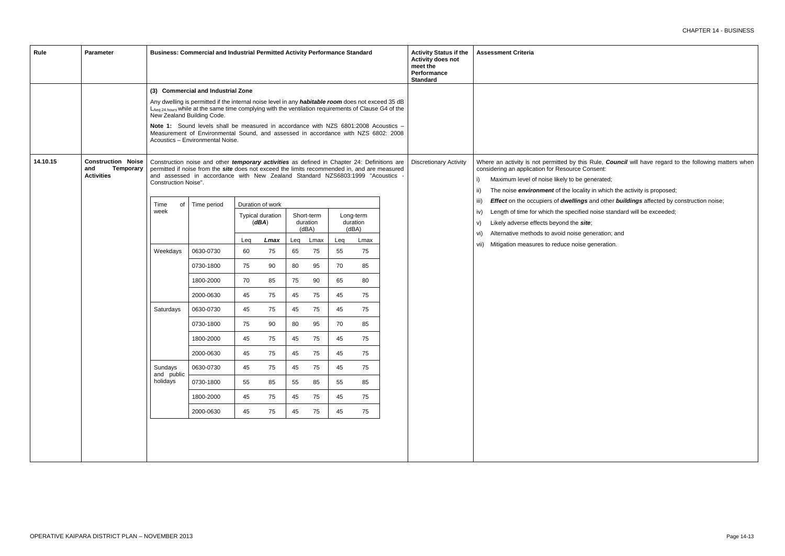Rule, *Council* will have regard to the following matters when hsent:

herated;

in which the activity is proposed;

ind other **buildings** affected by construction noise;

noise standard will be exceeded;

eration; and

eneration.

| Rule     | <b>Parameter</b>                                                          |                       |                                                                                                                                                                                                                                                                               | Business: Commercial and Industrial Permitted Activity Performance Standard |                                  |     |                                 |     | <b>Activity Status if the</b><br><b>Activity does not</b><br>meet the<br>Performance<br><b>Standard</b> | <b>Assessment Criteria</b> |                               |                                                                                                                                                                                                       |
|----------|---------------------------------------------------------------------------|-----------------------|-------------------------------------------------------------------------------------------------------------------------------------------------------------------------------------------------------------------------------------------------------------------------------|-----------------------------------------------------------------------------|----------------------------------|-----|---------------------------------|-----|---------------------------------------------------------------------------------------------------------|----------------------------|-------------------------------|-------------------------------------------------------------------------------------------------------------------------------------------------------------------------------------------------------|
|          |                                                                           |                       | (3) Commercial and Industrial Zone                                                                                                                                                                                                                                            |                                                                             |                                  |     |                                 |     |                                                                                                         |                            |                               |                                                                                                                                                                                                       |
|          |                                                                           |                       | Any dwelling is permitted if the internal noise level in any habitable room does not exceed 35 dB<br>LAeq 24 hours while at the same time complying with the ventilation requirements of Clause G4 of the<br>New Zealand Building Code.                                       |                                                                             |                                  |     |                                 |     |                                                                                                         |                            |                               |                                                                                                                                                                                                       |
|          |                                                                           |                       | Note 1: Sound levels shall be measured in accordance with NZS 6801:2008 Acoustics -<br>Measurement of Environmental Sound, and assessed in accordance with NZS 6802: 2008<br>Acoustics - Environmental Noise.                                                                 |                                                                             |                                  |     |                                 |     |                                                                                                         |                            |                               |                                                                                                                                                                                                       |
| 14.10.15 | <b>Construction Noise</b><br><b>Temporary</b><br>and<br><b>Activities</b> | Construction Noise".  | Construction noise and other temporary activities as defined in Chapter 24: Definitions are<br>permitted if noise from the site does not exceed the limits recommended in, and are measured<br>and assessed in accordance with New Zealand Standard NZS6803:1999 "Acoustics - |                                                                             |                                  |     |                                 |     |                                                                                                         |                            | <b>Discretionary Activity</b> | Where an activity is not permitted by this R<br>considering an application for Resource Con<br>Maximum level of noise likely to be gen<br>i)<br>The noise <i>environment</i> of the locality i<br>ii) |
|          |                                                                           | Time<br>of            | Time period                                                                                                                                                                                                                                                                   |                                                                             | Duration of work                 |     |                                 |     |                                                                                                         |                            |                               | Effect on the occupiers of dwellings a<br>iii)                                                                                                                                                        |
|          |                                                                           | week                  |                                                                                                                                                                                                                                                                               |                                                                             | <b>Typical duration</b><br>(dBA) |     | Short-term<br>duration<br>(dBA) |     | Long-term<br>duration<br>(dBA)                                                                          |                            |                               | Length of time for which the specified n<br>iv)<br>Likely adverse effects beyond the site;<br>V)                                                                                                      |
|          |                                                                           |                       |                                                                                                                                                                                                                                                                               | Leg                                                                         | Lmax                             | Leq | Lmax                            | Leg | Lmax                                                                                                    |                            |                               | Alternative methods to avoid noise gene<br>vi)<br>vii) Mitigation measures to reduce noise ge                                                                                                         |
|          |                                                                           | Weekdays              | 0630-0730                                                                                                                                                                                                                                                                     | 60                                                                          | 75                               | 65  | 75                              | 55  | 75                                                                                                      |                            |                               |                                                                                                                                                                                                       |
|          |                                                                           |                       | 0730-1800                                                                                                                                                                                                                                                                     | 75                                                                          | 90                               | 80  | 95                              | 70  | 85                                                                                                      |                            |                               |                                                                                                                                                                                                       |
|          |                                                                           |                       | 1800-2000                                                                                                                                                                                                                                                                     | 70                                                                          | 85                               | 75  | 90                              | 65  | 80                                                                                                      |                            |                               |                                                                                                                                                                                                       |
|          |                                                                           |                       | 2000-0630                                                                                                                                                                                                                                                                     | 45                                                                          | 75                               | 45  | 75                              | 45  | 75                                                                                                      |                            |                               |                                                                                                                                                                                                       |
|          |                                                                           | Saturdays             | 0630-0730                                                                                                                                                                                                                                                                     | 45                                                                          | 75                               | 45  | 75                              | 45  | 75                                                                                                      |                            |                               |                                                                                                                                                                                                       |
|          |                                                                           |                       | 0730-1800                                                                                                                                                                                                                                                                     | 75                                                                          | 90                               | 80  | 95                              | 70  | 85                                                                                                      |                            |                               |                                                                                                                                                                                                       |
|          |                                                                           |                       | 1800-2000                                                                                                                                                                                                                                                                     | 45                                                                          | 75                               | 45  | 75                              | 45  | 75                                                                                                      |                            |                               |                                                                                                                                                                                                       |
|          |                                                                           |                       | 2000-0630                                                                                                                                                                                                                                                                     | 45                                                                          | 75                               | 45  | 75                              | 45  | 75                                                                                                      |                            |                               |                                                                                                                                                                                                       |
|          |                                                                           | Sundays<br>and public | 0630-0730                                                                                                                                                                                                                                                                     | 45                                                                          | 75                               | 45  | 75                              | 45  | 75                                                                                                      |                            |                               |                                                                                                                                                                                                       |
|          |                                                                           | holidays              | 0730-1800                                                                                                                                                                                                                                                                     | 55                                                                          | 85                               | 55  | 85                              | 55  | 85                                                                                                      |                            |                               |                                                                                                                                                                                                       |
|          |                                                                           |                       | 1800-2000                                                                                                                                                                                                                                                                     | 45                                                                          | 75                               | 45  | 75                              | 45  | 75                                                                                                      |                            |                               |                                                                                                                                                                                                       |
|          |                                                                           |                       | 2000-0630                                                                                                                                                                                                                                                                     | 45                                                                          | 75                               | 45  | 75                              | 45  | 75                                                                                                      |                            |                               |                                                                                                                                                                                                       |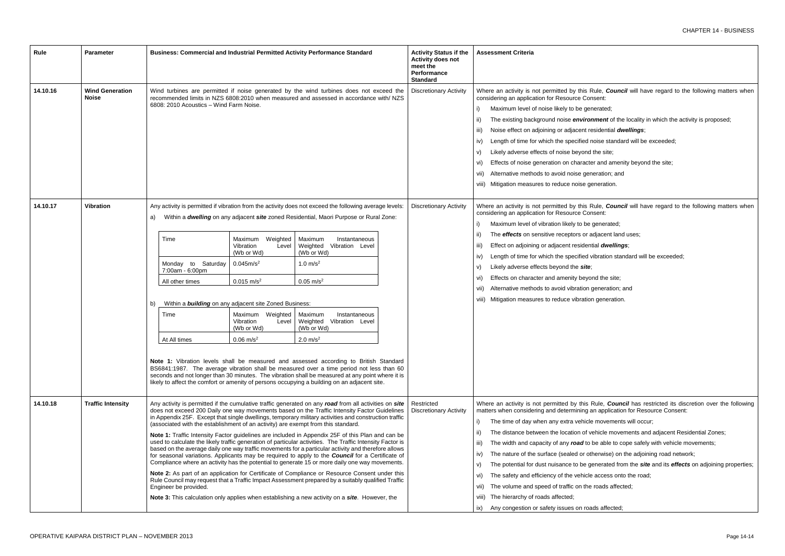- Rule, *Council* will have regard to the following matters when nsent:
- nerated;
- **nment** of the locality in which the activity is proposed;
- esidential *dwellings*;
- noise standard will be exceeded;
- d the site;
- er and amenity beyond the site;
- neration; and
- eneration.
- Rule, *Council* will have regard to the following matters when nsent:
- generated;
- adjacent land uses;
- htial *dwellings*;
- vibration standard will be exceeded;
- ond the site;
- generation; and
- on generation.

- e movements will occur;
- vehicle movements and adjacent Residential Zones;
- be able to cope safely with vehicle movements;
- therwise) on the adjoining road network;
- yenerated from the *site* and its *effects* on adjoining properties;
- e access onto the road;
- roads affected;

# ads affected;

| <b>Rule</b> | <b>Parameter</b>                       | Business: Commercial and Industrial Permitted Activity Performance Standard                                                                                                                                                  |                                                                                                                                                                                                                                                                     |                                                                                                                                                                                                                                                                                                                                                                                                                                                                                                                                                                                                                                                                                                                                                                                                                                                                                                                                                                                                                                                                                                                                                               | <b>Activity Status if the</b><br><b>Activity does not</b><br>meet the<br>Performance<br><b>Standard</b>                                                                                                                                                                                                                                                                                                                                                                                                | <b>Assessment Criteria</b>                  |                                                                                                                                                                                                                                                                                                                                                                                                                                                                                                                                                  |
|-------------|----------------------------------------|------------------------------------------------------------------------------------------------------------------------------------------------------------------------------------------------------------------------------|---------------------------------------------------------------------------------------------------------------------------------------------------------------------------------------------------------------------------------------------------------------------|---------------------------------------------------------------------------------------------------------------------------------------------------------------------------------------------------------------------------------------------------------------------------------------------------------------------------------------------------------------------------------------------------------------------------------------------------------------------------------------------------------------------------------------------------------------------------------------------------------------------------------------------------------------------------------------------------------------------------------------------------------------------------------------------------------------------------------------------------------------------------------------------------------------------------------------------------------------------------------------------------------------------------------------------------------------------------------------------------------------------------------------------------------------|--------------------------------------------------------------------------------------------------------------------------------------------------------------------------------------------------------------------------------------------------------------------------------------------------------------------------------------------------------------------------------------------------------------------------------------------------------------------------------------------------------|---------------------------------------------|--------------------------------------------------------------------------------------------------------------------------------------------------------------------------------------------------------------------------------------------------------------------------------------------------------------------------------------------------------------------------------------------------------------------------------------------------------------------------------------------------------------------------------------------------|
| 14.10.16    | <b>Wind Generation</b><br><b>Noise</b> | Wind turbines are permitted if noise generated by the wind turbines does not exceed the<br>recommended limits in NZS 6808:2010 when measured and assessed in accordance with/ NZS<br>6808: 2010 Acoustics - Wind Farm Noise. |                                                                                                                                                                                                                                                                     | <b>Discretionary Activity</b>                                                                                                                                                                                                                                                                                                                                                                                                                                                                                                                                                                                                                                                                                                                                                                                                                                                                                                                                                                                                                                                                                                                                 | Where an activity is not permitted by this F<br>considering an application for Resource Cor<br>Maximum level of noise likely to be ger<br>The existing background noise enviror<br>ii)<br>Noise effect on adjoining or adjacent re<br>iii)<br>Length of time for which the specified r<br>iv)<br>Likely adverse effects of noise beyond<br>V)<br>Effects of noise generation on characte<br>VI)<br>Alternative methods to avoid noise ger<br>Vii)<br>Mitigation measures to reduce noise go<br>viii) l |                                             |                                                                                                                                                                                                                                                                                                                                                                                                                                                                                                                                                  |
| 14.10.17    | <b>Vibration</b>                       | a)<br>Time<br>Monday to Saturday<br>7:00am - 6:00pm<br>All other times<br>b)<br>Time<br>At All times                                                                                                                         | Weighted<br>Maximum<br>Vibration<br>Level<br>(Wb or Wd)<br>0.045m/s <sup>2</sup><br>$0.015$ m/s <sup>2</sup><br>Within a <b>building</b> on any adjacent site Zoned Business:<br>Weighted<br>Maximum<br>Vibration<br>Level<br>(Wb or Wd)<br>$0.06$ m/s <sup>2</sup> | Any activity is permitted if vibration from the activity does not exceed the following average levels:<br>Within a dwelling on any adjacent site zoned Residential, Maori Purpose or Rural Zone:<br>Maximum<br>Instantaneous<br>Weighted<br>Vibration Level<br>(Wb or Wd)<br>1.0 m/s <sup>2</sup><br>$0.05 \text{ m/s}^2$<br>Maximum<br>Instantaneous<br>Weighted<br>Vibration Level<br>(Wb or Wd)<br>$2.0 \, \text{m/s}^2$<br>Note 1: Vibration levels shall be measured and assessed according to British Standard<br>BS6841:1987. The average vibration shall be measured over a time period not less than 60<br>seconds and not longer than 30 minutes. The vibration shall be measured at any point where it is<br>likely to affect the comfort or amenity of persons occupying a building on an adjacent site.                                                                                                                                                                                                                                                                                                                                          |                                                                                                                                                                                                                                                                                                                                                                                                                                                                                                        | <b>Discretionary Activity</b>               | Where an activity is not permitted by this F<br>considering an application for Resource Cor<br>Maximum level of vibration likely to be<br>The <i>effects</i> on sensitive receptors or a<br>ii)<br>Effect on adjoining or adjacent residen<br>iii)<br>Length of time for which the specified v<br>iv)<br>Likely adverse effects beyond the site;<br>V)<br>Effects on character and amenity beyo<br>VI)<br>Alternative methods to avoid vibration<br>Vii)<br>Mitigation measures to reduce vibratio<br>viii) l                                    |
| 14.10.18    | <b>Traffic Intensity</b>               | (associated with the establishment of an activity) are exempt from this standard.<br>Engineer be provided.                                                                                                                   |                                                                                                                                                                                                                                                                     | Any activity is permitted if the cumulative traffic generated on any road from all activities on site<br>does not exceed 200 Daily one way movements based on the Traffic Intensity Factor Guidelines<br>in Appendix 25F. Except that single dwellings, temporary military activities and construction traffic<br>Note 1: Traffic Intensity Factor guidelines are included in Appendix 25F of this Plan and can be<br>used to calculate the likely traffic generation of particular activities. The Traffic Intensity Factor is<br>based on the average daily one way traffic movements for a particular activity and therefore allows<br>for seasonal variations. Applicants may be required to apply to the <b>Council</b> for a Certificate of<br>Compliance where an activity has the potential to generate 15 or more daily one way movements.<br>Note 2: As part of an application for Certificate of Compliance or Resource Consent under this<br>Rule Council may request that a Traffic Impact Assessment prepared by a suitably qualified Traffic<br>Note 3: This calculation only applies when establishing a new activity on a site. However, the |                                                                                                                                                                                                                                                                                                                                                                                                                                                                                                        | Restricted<br><b>Discretionary Activity</b> | Where an activity is not permitted by this<br>matters when considering and determining a<br>The time of day when any extra vehicle<br>i)<br>The distance between the location of v<br>ii)<br>The width and capacity of any road to<br>iii)<br>The nature of the surface (sealed or ot<br>iv)<br>The potential for dust nuisance to be g<br>V)<br>The safety and efficiency of the vehicle<br>VI)<br>The volume and speed of traffic on the<br>VII)<br>The hierarchy of roads affected;<br>Viii)<br>Any congestion or safety issues on roa<br>ix) |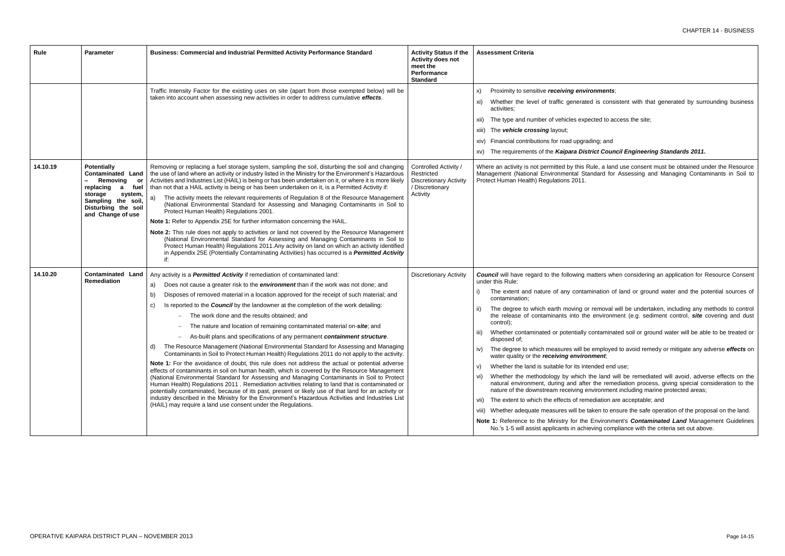# onments;

ed is consistent with that generated by surrounding business

ected to access the site;

ding; and

**xict Council Engineering Standards 2011.** 

ule, a land use consent must be obtained under the Resource ndard for Assessing and Managing Contaminants in Soil to

natters when considering an application for Resource Consent

hination of land or ground water and the potential sources of

removal will be undertaken, including any methods to control environment (e.g. sediment control, *site* covering and dust

contaminated soil or ground water will be able to be treated or

employed to avoid remedy or mitigate any adverse *effects* on ament;

ended end use;

he land will be remediated will avoid, adverse effects on the r the remediation process, giving special consideration to the nvironment including marine protected areas;

ediation are acceptable; and

aken to ensure the safe operation of the proposal on the land.

Environment's **Contaminated Land** Management Guidelines eving compliance with the criteria set out above.

| <b>Rule</b> | <b>Parameter</b>                                                                                                                                                                | Business: Commercial and Industrial Permitted Activity Performance Standard                                                                                                                                                                                                                                                                                                                                                                                                                                                                                                                                                                                                                                                                                                                                                                                                                                                                                                                                                                                                                                                                                                                                                                                                                                                                                                                                                                                          | <b>Activity Status if the</b><br><b>Activity does not</b><br>meet the<br>Performance<br><b>Standard</b> | <b>Assessment Criteria</b>                                                                                                                                                                                                                                                                                                                                                                                                                                                                                                                                                                                                                                                                                                                                                       |
|-------------|---------------------------------------------------------------------------------------------------------------------------------------------------------------------------------|----------------------------------------------------------------------------------------------------------------------------------------------------------------------------------------------------------------------------------------------------------------------------------------------------------------------------------------------------------------------------------------------------------------------------------------------------------------------------------------------------------------------------------------------------------------------------------------------------------------------------------------------------------------------------------------------------------------------------------------------------------------------------------------------------------------------------------------------------------------------------------------------------------------------------------------------------------------------------------------------------------------------------------------------------------------------------------------------------------------------------------------------------------------------------------------------------------------------------------------------------------------------------------------------------------------------------------------------------------------------------------------------------------------------------------------------------------------------|---------------------------------------------------------------------------------------------------------|----------------------------------------------------------------------------------------------------------------------------------------------------------------------------------------------------------------------------------------------------------------------------------------------------------------------------------------------------------------------------------------------------------------------------------------------------------------------------------------------------------------------------------------------------------------------------------------------------------------------------------------------------------------------------------------------------------------------------------------------------------------------------------|
|             |                                                                                                                                                                                 | Traffic Intensity Factor for the existing uses on site (apart from those exempted below) will be<br>taken into account when assessing new activities in order to address cumulative effects.                                                                                                                                                                                                                                                                                                                                                                                                                                                                                                                                                                                                                                                                                                                                                                                                                                                                                                                                                                                                                                                                                                                                                                                                                                                                         |                                                                                                         | Proximity to sensitive receiving envire<br>X)<br>Whether the level of traffic generated<br>xi)<br>activities:<br>The type and number of vehicles expe<br>XII)<br>The vehicle crossing layout;<br>XIII)<br>xiv) Financial contributions for road upgrad<br>xv) The requirements of the Kaipara Disti                                                                                                                                                                                                                                                                                                                                                                                                                                                                              |
| 14.10.19    | <b>Potentially</b><br><b>Contaminated Land</b><br>Removing or<br>replacing<br>fuel<br>a<br>storage<br>system,<br>Sampling the soil,<br>Disturbing the soil<br>and Change of use | Removing or replacing a fuel storage system, sampling the soil, disturbing the soil and changing<br>the use of land where an activity or industry listed in the Ministry for the Environment's Hazardous<br>Activities and Industries List (HAIL) is being or has been undertaken on it, or where it is more likely<br>than not that a HAIL activity is being or has been undertaken on it, is a Permitted Activity if:<br>The activity meets the relevant requirements of Regulation 8 of the Resource Management<br>a)<br>(National Environmental Standard for Assessing and Managing Contaminants in Soil to<br>Protect Human Health) Regulations 2001.<br>Note 1: Refer to Appendix 25E for further information concerning the HAIL.<br>Note 2: This rule does not apply to activities or land not covered by the Resource Management<br>(National Environmental Standard for Assessing and Managing Contaminants in Soil to<br>Protect Human Health) Regulations 2011. Any activity on land on which an activity identified<br>in Appendix 25E (Potentially Contaminating Activities) has occurred is a Permitted Activity<br>if:                                                                                                                                                                                                                                                                                                                               | Controlled Activity /<br>Restricted<br><b>Discretionary Activity</b><br>/ Discretionary<br>Activity     | Where an activity is not permitted by this R<br>Management (National Environmental Stai<br>Protect Human Health) Regulations 2011.                                                                                                                                                                                                                                                                                                                                                                                                                                                                                                                                                                                                                                               |
| 14.10.20    | <b>Contaminated Land</b><br><b>Remediation</b>                                                                                                                                  | Any activity is a Permitted Activity if remediation of contaminated land:<br>Does not cause a greater risk to the <i>environment</i> than if the work was not done; and<br>a)<br>Disposes of removed material in a location approved for the receipt of such material; and<br>b)<br>Is reported to the Council by the landowner at the completion of the work detailing:<br>C)<br>The work done and the results obtained; and<br>The nature and location of remaining contaminated material on-site; and<br>As-built plans and specifications of any permanent containment structure.<br>The Resource Management (National Environmental Standard for Assessing and Managing<br>d)<br>Contaminants in Soil to Protect Human Health) Regulations 2011 do not apply to the activity.<br>Note 1: For the avoidance of doubt, this rule does not address the actual or potential adverse<br>effects of contaminants in soil on human health, which is covered by the Resource Management<br>(National Environmental Standard for Assessing and Managing Contaminants in Soil to Protect<br>Human Health) Regulations 2011 . Remediation activities relating to land that is contaminated or<br>potentially contaminated, because of its past, present or likely use of that land for an activity or<br>industry described in the Ministry for the Environment's Hazardous Activities and Industries List<br>(HAIL) may require a land use consent under the Regulations. | <b>Discretionary Activity</b>                                                                           | <b>Council</b> will have regard to the following m<br>under this Rule:<br>The extent and nature of any contam<br>i)<br>contamination;<br>The degree to which earth moving or<br>ii)<br>the release of contaminants into the<br>control);<br>Whether contaminated or potentially c<br>iii)<br>disposed of;<br>The degree to which measures will be<br>iv)<br>water quality or the receiving environ<br>Whether the land is suitable for its inte<br>V)<br>Whether the methodology by which tl<br>Vi)<br>natural environment, during and after<br>nature of the downstream receiving en<br>The extent to which the effects of reme<br>VII)<br>viii) Whether adequate measures will be ta<br>Note 1: Reference to the Ministry for the<br>No.'s 1-5 will assist applicants in achie |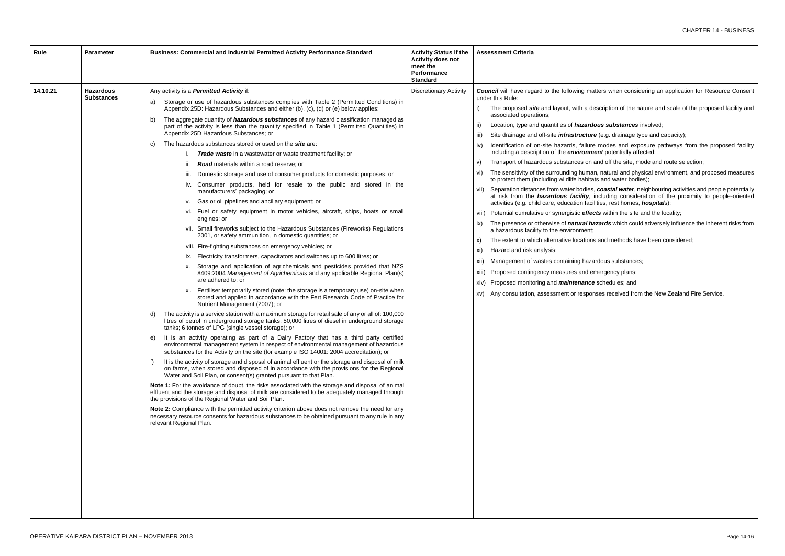atters when considering an application for Resource Consent

escription of the nature and scale of the proposed facility and

**ious substances** involved;

re (e.g. drainage type and capacity);

modes and exposure pathways from the proposed facility **nent** potentially affected;

and off the site, mode and route selection;

an, natural and physical environment, and proposed measures ats and water bodies);

coastal water, neighbouring activities and people potentially including consideration of the proximity to people-oriented ilities, rest homes, *hospital*s);

cts within the site and the locality;

azards which could adversely influence the inherent risks from

and methods have been considered;

ardous substances;

mergency plans;

schedules; and

nses received from the New Zealand Fire Service.

| Rule     | <b>Parameter</b>                      | <b>Business: Commercial and Industrial Permitted Activity Performance Standard</b>                                                                                                                                                                                                                                                                                                                                                                                                                                                                                                                                                                                                                                                                                                                                                                                                                                                                                                                                                                                                                                                                                                                                                                                                                                                                                                                                                                                                                                                                                                                                                                                                                                                                                                                                                                                                                                                                                                                                                                                                                                                                                                                                                                                                                                                                                                                                                                                                                                                                                                                                                                                                                                                                                                                                                                                                                                                                                                                                                                                | <b>Activity Status if the</b><br><b>Activity does not</b><br>meet the<br>Performance<br><b>Standard</b> | <b>Assessment Criteria</b>                                                                                                                                                                                                                                                                                                                                                                                                                                                                                                                                                                                                                                                                                                                                                                                                                                                                                                                                                                                                                                                                                         |
|----------|---------------------------------------|-------------------------------------------------------------------------------------------------------------------------------------------------------------------------------------------------------------------------------------------------------------------------------------------------------------------------------------------------------------------------------------------------------------------------------------------------------------------------------------------------------------------------------------------------------------------------------------------------------------------------------------------------------------------------------------------------------------------------------------------------------------------------------------------------------------------------------------------------------------------------------------------------------------------------------------------------------------------------------------------------------------------------------------------------------------------------------------------------------------------------------------------------------------------------------------------------------------------------------------------------------------------------------------------------------------------------------------------------------------------------------------------------------------------------------------------------------------------------------------------------------------------------------------------------------------------------------------------------------------------------------------------------------------------------------------------------------------------------------------------------------------------------------------------------------------------------------------------------------------------------------------------------------------------------------------------------------------------------------------------------------------------------------------------------------------------------------------------------------------------------------------------------------------------------------------------------------------------------------------------------------------------------------------------------------------------------------------------------------------------------------------------------------------------------------------------------------------------------------------------------------------------------------------------------------------------------------------------------------------------------------------------------------------------------------------------------------------------------------------------------------------------------------------------------------------------------------------------------------------------------------------------------------------------------------------------------------------------------------------------------------------------------------------------------------------------|---------------------------------------------------------------------------------------------------------|--------------------------------------------------------------------------------------------------------------------------------------------------------------------------------------------------------------------------------------------------------------------------------------------------------------------------------------------------------------------------------------------------------------------------------------------------------------------------------------------------------------------------------------------------------------------------------------------------------------------------------------------------------------------------------------------------------------------------------------------------------------------------------------------------------------------------------------------------------------------------------------------------------------------------------------------------------------------------------------------------------------------------------------------------------------------------------------------------------------------|
| 14.10.21 | <b>Hazardous</b><br><b>Substances</b> | Any activity is a <b>Permitted Activity</b> if:<br>Storage or use of hazardous substances complies with Table 2 (Permitted Conditions) in<br>a)<br>Appendix 25D: Hazardous Substances and either (b), (c), (d) or (e) below applies:<br>The aggregate quantity of <i>hazardous substances</i> of any hazard classification managed as<br>b)<br>part of the activity is less than the quantity specified in Table 1 (Permitted Quantities) in<br>Appendix 25D Hazardous Substances; or<br>The hazardous substances stored or used on the site are:<br>C)<br><b>Trade waste</b> in a wastewater or waste treatment facility; or<br><b>Road</b> materials within a road reserve; or<br>ii.<br>Domestic storage and use of consumer products for domestic purposes; or<br>iii.<br>iv. Consumer products, held for resale to the public and stored in the<br>manufacturers' packaging; or<br>v. Gas or oil pipelines and ancillary equipment; or<br>vi. Fuel or safety equipment in motor vehicles, aircraft, ships, boats or small<br>engines; or<br>vii. Small fireworks subject to the Hazardous Substances (Fireworks) Regulations<br>2001, or safety ammunition, in domestic quantities; or<br>viii. Fire-fighting substances on emergency vehicles; or<br>ix. Electricity transformers, capacitators and switches up to 600 litres; or<br>Storage and application of agrichemicals and pesticides provided that NZS<br>8409:2004 Management of Agrichemicals and any applicable Regional Plan(s)<br>are adhered to; or<br>xi. Fertiliser temporarily stored (note: the storage is a temporary use) on-site when<br>stored and applied in accordance with the Fert Research Code of Practice for<br>Nutrient Management (2007); or<br>The activity is a service station with a maximum storage for retail sale of any or all of: 100,000<br>d)<br>litres of petrol in underground storage tanks; 50,000 litres of diesel in underground storage<br>tanks; 6 tonnes of LPG (single vessel storage); or<br>It is an activity operating as part of a Dairy Factory that has a third party certified<br>e)<br>environmental management system in respect of environmental management of hazardous<br>substances for the Activity on the site (for example ISO 14001: 2004 accreditation); or<br>It is the activity of storage and disposal of animal effluent or the storage and disposal of milk<br>f)<br>on farms, when stored and disposed of in accordance with the provisions for the Regional<br>Water and Soil Plan, or consent(s) granted pursuant to that Plan.<br>Note 1: For the avoidance of doubt, the risks associated with the storage and disposal of animal<br>effluent and the storage and disposal of milk are considered to be adequately managed through<br>the provisions of the Regional Water and Soil Plan.<br>Note 2: Compliance with the permitted activity criterion above does not remove the need for any<br>necessary resource consents for hazardous substances to be obtained pursuant to any rule in any<br>relevant Regional Plan. | <b>Discretionary Activity</b>                                                                           | <b>Council</b> will have regard to the following ma<br>under this Rule:<br>The proposed site and layout, with a de<br>associated operations;<br>Location, type and quantities of hazard<br>ii)<br>Site drainage and off-site <i>infrastructure</i><br>iii)<br>Identification of on-site hazards, failure<br>iv)<br>including a description of the environm<br>Transport of hazardous substances on a<br>V)<br>The sensitivity of the surrounding humar<br>Vi)<br>to protect them (including wildlife habitat<br>vii) Separation distances from water bodies,<br>at risk from the <i>hazardous facility</i> , i<br>activities (e.g. child care, education facil<br>viii) Potential cumulative or synergistic effed<br>The presence or otherwise of <i>natural ha</i><br>ix)<br>a hazardous facility to the environment;<br>The extent to which alternative locations<br>X)<br>Hazard and risk analysis;<br>xi)<br>Management of wastes containing haza<br>XII)<br>Proposed contingency measures and er<br>Xiii)<br>xiv) Proposed monitoring and <i>maintenance</i><br>Any consultation, assessment or respon<br>XV) |
|          |                                       |                                                                                                                                                                                                                                                                                                                                                                                                                                                                                                                                                                                                                                                                                                                                                                                                                                                                                                                                                                                                                                                                                                                                                                                                                                                                                                                                                                                                                                                                                                                                                                                                                                                                                                                                                                                                                                                                                                                                                                                                                                                                                                                                                                                                                                                                                                                                                                                                                                                                                                                                                                                                                                                                                                                                                                                                                                                                                                                                                                                                                                                                   |                                                                                                         |                                                                                                                                                                                                                                                                                                                                                                                                                                                                                                                                                                                                                                                                                                                                                                                                                                                                                                                                                                                                                                                                                                                    |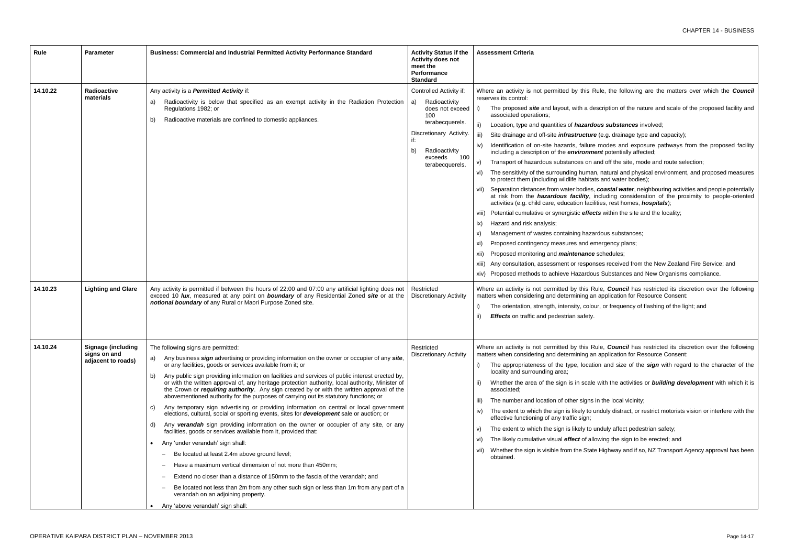Rule, the following are the matters over which the **Council** 

description of the nature and scale of the proposed facility and

**dous substances** involved;

*ire* (e.g. drainage type and capacity);

re modes and exposure pathways from the proposed facility ment potentially affected;

i and off the site, mode and route selection;

an, natural and physical environment, and proposed measures tats and water bodies);

 $\mathbf s$ , *coastal water*, neighbouring activities and people potentially including consideration of the proximity to people-oriented cilities, rest homes, *hospitals*);

ects within the site and the locality;

zardous substances;

emergency plans;

 $ce$  schedules;

onses received from the New Zealand Fire Service; and

ous Substances and New Organisms compliance.

Rule, *Council* has restricted its discretion over the following an application for Resource Consent:

lour, or frequency of flashing of the light; and

Rule, *Council* has restricted its discretion over the following an application for Resource Consent:

ation and size of the *sign* with regard to the character of the

lle with the activities or *building development* with which it is

is in the local vicinity;

iv) unduly distract, or restrict motorists vision or interfere with the

v unduly affect pedestrian safety;

allowing the sign to be erected; and

ate Highway and if so, NZ Transport Agency approval has been

| <b>Rule</b> | <b>Parameter</b>                                                | Business: Commercial and Industrial Permitted Activity Performance Standard                                                                                                                                                                                                                                                                                                                                                                                                                                                                                                                                                                                                                                                                                                                                                                                                                                                                                                                                                                                                                                                                                                                                                                                                                                                                                                                               | <b>Activity Status if the</b><br><b>Activity does not</b><br>meet the<br>Performance<br><b>Standard</b>                                                                                   | <b>Assessment Criteria</b>                                                                                                                                                                                                                                                                                                                                                                                                                                                                                                                                                                                                                                                                                                                                                                                                                                                                                                                                                                     |
|-------------|-----------------------------------------------------------------|-----------------------------------------------------------------------------------------------------------------------------------------------------------------------------------------------------------------------------------------------------------------------------------------------------------------------------------------------------------------------------------------------------------------------------------------------------------------------------------------------------------------------------------------------------------------------------------------------------------------------------------------------------------------------------------------------------------------------------------------------------------------------------------------------------------------------------------------------------------------------------------------------------------------------------------------------------------------------------------------------------------------------------------------------------------------------------------------------------------------------------------------------------------------------------------------------------------------------------------------------------------------------------------------------------------------------------------------------------------------------------------------------------------|-------------------------------------------------------------------------------------------------------------------------------------------------------------------------------------------|------------------------------------------------------------------------------------------------------------------------------------------------------------------------------------------------------------------------------------------------------------------------------------------------------------------------------------------------------------------------------------------------------------------------------------------------------------------------------------------------------------------------------------------------------------------------------------------------------------------------------------------------------------------------------------------------------------------------------------------------------------------------------------------------------------------------------------------------------------------------------------------------------------------------------------------------------------------------------------------------|
| 14.10.22    | Radioactive<br>materials                                        | Any activity is a Permitted Activity if:<br>Radioactivity is below that specified as an exempt activity in the Radiation Protection<br>a)<br>Regulations 1982; or<br>Radioactive materials are confined to domestic appliances.<br>b)                                                                                                                                                                                                                                                                                                                                                                                                                                                                                                                                                                                                                                                                                                                                                                                                                                                                                                                                                                                                                                                                                                                                                                     | Controlled Activity if:<br>Radioactivity<br>a)<br>does not exceed<br>100<br>terabecquerels.<br>Discretionary Activity.<br>if:<br>Radioactivity<br>b)<br>exceeds<br>100<br>terabecquerels. | Where an activity is not permitted by this F<br>reserves its control:<br>The proposed site and layout, with a de<br>associated operations;<br>ii)<br>Location, type and quantities of hazard<br>iii)<br>Site drainage and off-site <i>infrastructur</i><br>Identification of on-site hazards, failure<br>iv)<br>including a description of the environm<br>Transport of hazardous substances on a<br>V)<br>The sensitivity of the surrounding huma<br>VI)<br>to protect them (including wildlife habita<br>vii) Separation distances from water bodies<br>at risk from the <i>hazardous facility</i> , i<br>activities (e.g. child care, education faci<br>viii) Potential cumulative or synergistic effed<br>Hazard and risk analysis;<br>ix)<br>Management of wastes containing haza<br>X)<br>Proposed contingency measures and ei<br>xi)<br>Proposed monitoring and <i>maintenance</i><br>xii)<br>xiii) Any consultation, assessment or respor<br>xiv) Proposed methods to achieve Hazardor |
| 14.10.23    | <b>Lighting and Glare</b>                                       | Any activity is permitted if between the hours of 22:00 and 07:00 any artificial lighting does not<br>exceed 10 lux, measured at any point on boundary of any Residential Zoned site or at the<br>notional boundary of any Rural or Maori Purpose Zoned site.                                                                                                                                                                                                                                                                                                                                                                                                                                                                                                                                                                                                                                                                                                                                                                                                                                                                                                                                                                                                                                                                                                                                             | Restricted<br><b>Discretionary Activity</b>                                                                                                                                               | Where an activity is not permitted by this R<br>matters when considering and determining ar<br>The orientation, strength, intensity, colo<br>Effects on traffic and pedestrian safety.<br>ii)                                                                                                                                                                                                                                                                                                                                                                                                                                                                                                                                                                                                                                                                                                                                                                                                  |
| 14.10.24    | <b>Signage (including</b><br>signs on and<br>adjacent to roads) | The following signs are permitted:<br>Any business sign advertising or providing information on the owner or occupier of any site,<br>a)<br>or any facilities, goods or services available from it; or<br>Any public sign providing information on facilities and services of public interest erected by,<br>b)<br>or with the written approval of, any heritage protection authority, local authority, Minister of<br>the Crown or <i>requiring authority</i> . Any sign created by or with the written approval of the<br>abovementioned authority for the purposes of carrying out its statutory functions; or<br>Any temporary sign advertising or providing information on central or local government<br>C)<br>elections, cultural, social or sporting events, sites for <b>development</b> sale or auction; or<br>Any verandah sign providing information on the owner or occupier of any site, or any<br>d)<br>facilities, goods or services available from it, provided that:<br>Any 'under verandah' sign shall:<br>$\bullet$<br>Be located at least 2.4m above ground level;<br>Have a maximum vertical dimension of not more than 450mm;<br>Extend no closer than a distance of 150mm to the fascia of the verandah; and<br>Be located not less than 2m from any other such sign or less than 1m from any part of a<br>verandah on an adjoining property.<br>Any 'above verandah' sign shall: | Restricted<br><b>Discretionary Activity</b>                                                                                                                                               | Where an activity is not permitted by this R<br>matters when considering and determining are<br>The appropriateness of the type, locati<br>locality and surrounding area;<br>Whether the area of the sign is in scale<br>associated;<br>The number and location of other signs<br>iii)<br>The extent to which the sign is likely to a<br>iv)<br>effective functioning of any traffic sign;<br>The extent to which the sign is likely to<br>V)<br>The likely cumulative visual effect of all<br>vi)<br>Whether the sign is visible from the Stat<br>vii)<br>obtained.                                                                                                                                                                                                                                                                                                                                                                                                                           |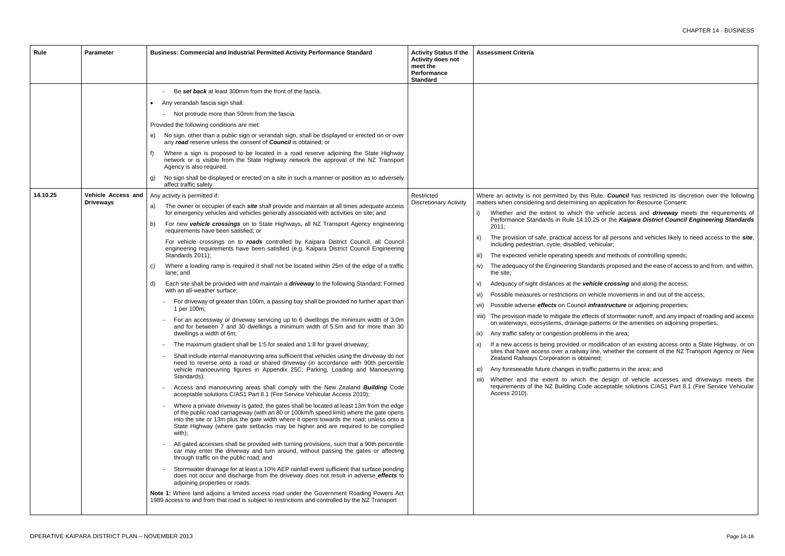vehicle access and *driveway* meets the requirements of **25 or the Kaipara District Council Engineering Standards** 

for all persons and vehicles likely to need access to the *site*, ehicular;

iion and methods of controlling speeds;

dards proposed and the ease of access to and from, and within,

*nicle crossing* and along the access;

ehicle movements in and out of the access;

*nfrastructure* or adjoining properties;

ects of stormwater runoff, and any impact of roading and access patterns or the amenities on adjoining properties;

ms in the area;

nodification of an existing access onto a State Highway, or on sites that have access over a railway line, whether the consent of the NZ Transport Agency or New

fic patterns in the area; and

the design of vehicle accesses and driveways meets the receptable solutions C/AS1 Part 8.1 (Fire Service Vehicular

| Rule     | <b>Parameter</b>                       | Business: Commercial and Industrial Permitted Activity Performance Standard                                                                                                                                                                                                                                                                                                                                                                                                                                                                                                                                                                                                                                                                                                                                                                                                                                                                                                                                                                                                                                                                                                                                                                                                                                                                                                                                                                                                                                                                                                                                                                                                                                                                                                                                                                                                                                                                                                                                                                                                                                                                                                                                                                                                                                                                                                                                                                                                                                                                                                                                                                                                                                                                                                                                                                                                                                                                                                                                                                                                                                                                                                                                                                                                                                    | <b>Activity Status if the</b><br><b>Activity does not</b><br>meet the<br>Performance<br><b>Standard</b> | <b>Assessment Criteria</b>                                                                                                                                                                                                                                                                                                                                                                                                                                                                                                                                                                                                                                                                                                                                                                                                                                                                                                                                                                                                                                                            |
|----------|----------------------------------------|----------------------------------------------------------------------------------------------------------------------------------------------------------------------------------------------------------------------------------------------------------------------------------------------------------------------------------------------------------------------------------------------------------------------------------------------------------------------------------------------------------------------------------------------------------------------------------------------------------------------------------------------------------------------------------------------------------------------------------------------------------------------------------------------------------------------------------------------------------------------------------------------------------------------------------------------------------------------------------------------------------------------------------------------------------------------------------------------------------------------------------------------------------------------------------------------------------------------------------------------------------------------------------------------------------------------------------------------------------------------------------------------------------------------------------------------------------------------------------------------------------------------------------------------------------------------------------------------------------------------------------------------------------------------------------------------------------------------------------------------------------------------------------------------------------------------------------------------------------------------------------------------------------------------------------------------------------------------------------------------------------------------------------------------------------------------------------------------------------------------------------------------------------------------------------------------------------------------------------------------------------------------------------------------------------------------------------------------------------------------------------------------------------------------------------------------------------------------------------------------------------------------------------------------------------------------------------------------------------------------------------------------------------------------------------------------------------------------------------------------------------------------------------------------------------------------------------------------------------------------------------------------------------------------------------------------------------------------------------------------------------------------------------------------------------------------------------------------------------------------------------------------------------------------------------------------------------------------------------------------------------------------------------------------------------------|---------------------------------------------------------------------------------------------------------|---------------------------------------------------------------------------------------------------------------------------------------------------------------------------------------------------------------------------------------------------------------------------------------------------------------------------------------------------------------------------------------------------------------------------------------------------------------------------------------------------------------------------------------------------------------------------------------------------------------------------------------------------------------------------------------------------------------------------------------------------------------------------------------------------------------------------------------------------------------------------------------------------------------------------------------------------------------------------------------------------------------------------------------------------------------------------------------|
| 14.10.25 | Vehicle Access and<br><b>Driveways</b> | Be set back at least 300mm from the front of the fascia.<br>Any verandah fascia sign shall:<br>$\bullet$<br>Not protrude more than 50mm from the fascia.<br>$-$<br>Provided the following conditions are met:<br>No sign, other than a public sign or verandah sign, shall be displayed or erected on or over<br>e)<br>any road reserve unless the consent of Council is obtained; or<br>Where a sign is proposed to be located in a road reserve adjoining the State Highway<br>f)<br>network or is visible from the State Highway network the approval of the NZ Transport<br>Agency is also required.<br>No sign shall be displayed or erected on a site in such a manner or position as to adversely<br>g)<br>affect traffic safety.<br>Any activity is permitted if:<br>The owner or occupier of each <i>site</i> shall provide and maintain at all times adequate access<br>a)<br>for emergency vehicles and vehicles generally associated with activities on site; and<br>For new vehicle crossings on to State Highways, all NZ Transport Agency engineering<br>b)<br>requirements have been satisfied; or<br>For vehicle crossings on to roads controlled by Kaipara District Council, all Council<br>engineering requirements have been satisfied (e.g. Kaipara District Council Engineering<br>Standards 2011);<br>Where a loading ramp is required it shall not be located within 25m of the edge of a traffic<br>C)<br>lane; and<br>Each site shall be provided with and maintain a <i>driveway</i> to the following Standard: Formed<br>d)<br>with an all-weather surface;<br>For driveway of greater than 100m, a passing bay shall be provided no further apart than<br>$\overline{\phantom{m}}$<br>1 per 100m;<br>For an accessway or driveway servicing up to 6 dwellings the minimum width of 3.0m<br>and for between 7 and 30 dwellings a minimum width of 5.5m and for more than 30<br>dwellings a width of 6m;<br>The maximum gradient shall be 1:5 for sealed and 1:8 for gravel driveway;<br>Shall include internal manoeuvring area sufficient that vehicles using the driveway do not<br>need to reverse onto a road or shared driveway (in accordance with 90th percentile<br>vehicle manoeuvring figures in Appendix 25C: Parking, Loading and Manoeuvring<br>Standards);<br>Access and manoeuvring areas shall comply with the New Zealand <b>Building</b> Code<br>acceptable solutions C/AS1 Part 8.1 (Fire Service Vehicular Access 2010);<br>Where a private driveway is gated, the gates shall be located at least 13m from the edge<br>of the public road carriageway (with an 80 or 100km/h speed limit) where the gate opens<br>into the site or 13m plus the gate width where it opens towards the road; unless onto a<br>State Highway (where gate setbacks may be higher and are required to be complied<br>with);<br>All gated accesses shall be provided with turning provisions, such that a 90th percentile<br>car may enter the driveway and turn around, without passing the gates or affecting<br>through traffic on the public road; and<br>Stormwater drainage for at least a 10% AEP rainfall event sufficient that surface ponding<br>does not occur and discharge from the driveway does not result in adverse_effects to<br>adjoining properties or roads. | Restricted<br><b>Discretionary Activity</b>                                                             | Where an activity is not permitted by this Rule<br>matters when considering and determining an ap<br>Whether and the extent to which the ve<br>Performance Standards in Rule 14.10.25 o<br>2011:<br>The provision of safe, practical access for a<br>$\parallel$<br>including pedestrian, cycle, disabled, vehic<br>The expected vehicle operating speeds and<br>iii)<br>The adequacy of the Engineering Standards<br>IV)<br>the site;<br>Adequacy of sight distances at the vehicle<br>V)<br>Possible measures or restrictions on vehicl<br>vi)<br>Possible adverse effects on Council infras<br>VII)<br>viii) The provision made to mitigate the effects of<br>on waterways, ecosystems, drainage patte<br>Any traffic safety or congestion problems in<br>ix)<br>If a new access is being provided or modif<br>X)<br>sites that have access over a railway line,<br>Zealand Railways Corporation is obtained;<br>Any foreseeable future changes in traffic pa<br>XI)<br>Whether and the extent to which the o<br>xii)<br>requirements of the NZ Building Code acc<br>Access 2010). |
|          |                                        | Note 1: Where land adjoins a limited access road under the Government Roading Powers Act<br>1989 access to and from that road is subject to restrictions and controlled by the NZ Transport                                                                                                                                                                                                                                                                                                                                                                                                                                                                                                                                                                                                                                                                                                                                                                                                                                                                                                                                                                                                                                                                                                                                                                                                                                                                                                                                                                                                                                                                                                                                                                                                                                                                                                                                                                                                                                                                                                                                                                                                                                                                                                                                                                                                                                                                                                                                                                                                                                                                                                                                                                                                                                                                                                                                                                                                                                                                                                                                                                                                                                                                                                                    |                                                                                                         |                                                                                                                                                                                                                                                                                                                                                                                                                                                                                                                                                                                                                                                                                                                                                                                                                                                                                                                                                                                                                                                                                       |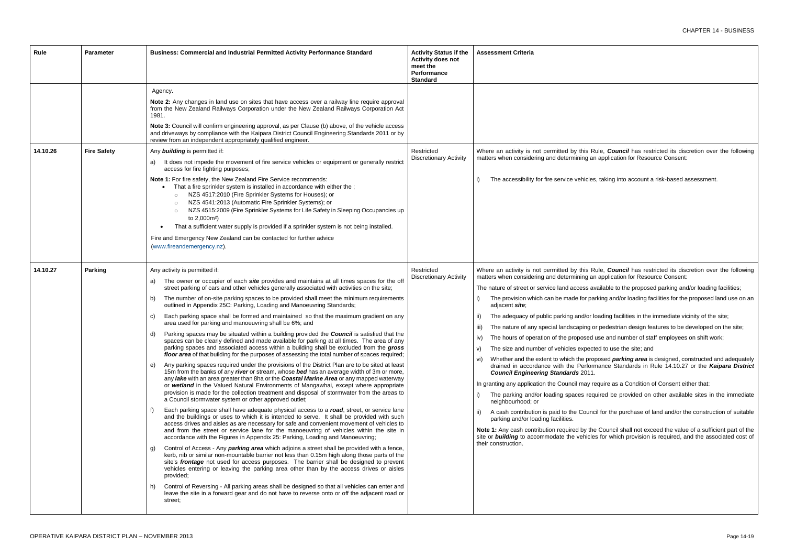is, taking into account a risk-based assessment.

Rule, *Council* has restricted its discretion over the following In application for Resource Consent:

- available to the proposed parking and/or loading facilities;
- arking and/or loading facilities for the proposed land use on an
- loading facilities in the immediate vicinity of the site;
- or pedestrian design features to be developed on the site;
- I use and number of staff employees on shift work;
- ted to use the site; and
- pposed *parking area* is designed, constructed and adequately mance Standards in Rule 14.10.27 or the **Kaipara District**
- require as a Condition of Consent either that:
- quired be provided on other available sites in the immediate
- icil for the purchase of land and/or the construction of suitable

**ne Council shall not exceed the value of a sufficient part of the** es for which provision is required, and the associated cost of

| <b>Rule</b> | <b>Parameter</b>   | Business: Commercial and Industrial Permitted Activity Performance Standard                                                                                                                                                                                                                                                                                                                                                                                                                                                                                                                                                                                                                                                                                                                                                                                                                                                                                                                                                                                                                                                                                                                                                                                                                                                                                                                                                                                                                                                                                                                                                                                                                                                                                                                                                                                                                                                                                                                                                                                                                                                                                                                                                                                                                                                                                                                                                                                                                                                                                                                                                 | <b>Activity Status if the</b><br><b>Activity does not</b><br>meet the<br><b>Performance</b><br><b>Standard</b> | <b>Assessment Criteria</b>                                                                                                                                                                                                                                                                                                                                                                                                                                                                                                                                                                                                                                                                                                                                                                                                                                                                    |
|-------------|--------------------|-----------------------------------------------------------------------------------------------------------------------------------------------------------------------------------------------------------------------------------------------------------------------------------------------------------------------------------------------------------------------------------------------------------------------------------------------------------------------------------------------------------------------------------------------------------------------------------------------------------------------------------------------------------------------------------------------------------------------------------------------------------------------------------------------------------------------------------------------------------------------------------------------------------------------------------------------------------------------------------------------------------------------------------------------------------------------------------------------------------------------------------------------------------------------------------------------------------------------------------------------------------------------------------------------------------------------------------------------------------------------------------------------------------------------------------------------------------------------------------------------------------------------------------------------------------------------------------------------------------------------------------------------------------------------------------------------------------------------------------------------------------------------------------------------------------------------------------------------------------------------------------------------------------------------------------------------------------------------------------------------------------------------------------------------------------------------------------------------------------------------------------------------------------------------------------------------------------------------------------------------------------------------------------------------------------------------------------------------------------------------------------------------------------------------------------------------------------------------------------------------------------------------------------------------------------------------------------------------------------------------------|----------------------------------------------------------------------------------------------------------------|-----------------------------------------------------------------------------------------------------------------------------------------------------------------------------------------------------------------------------------------------------------------------------------------------------------------------------------------------------------------------------------------------------------------------------------------------------------------------------------------------------------------------------------------------------------------------------------------------------------------------------------------------------------------------------------------------------------------------------------------------------------------------------------------------------------------------------------------------------------------------------------------------|
| 14.10.26    | <b>Fire Safety</b> | Agency.<br>Note 2: Any changes in land use on sites that have access over a railway line require approval<br>from the New Zealand Railways Corporation under the New Zealand Railways Corporation Act<br>1981.<br>Note 3: Council will confirm engineering approval, as per Clause (b) above, of the vehicle access<br>and driveways by compliance with the Kaipara District Council Engineering Standards 2011 or by<br>review from an independent appropriately qualified engineer.<br>Any <b>building</b> is permitted if:<br>It does not impede the movement of fire service vehicles or equipment or generally restrict<br>a)<br>access for fire fighting purposes;<br>Note 1: For fire safety, the New Zealand Fire Service recommends:<br>That a fire sprinkler system is installed in accordance with either the;<br>NZS 4517:2010 (Fire Sprinkler Systems for Houses); or<br>$\circ$                                                                                                                                                                                                                                                                                                                                                                                                                                                                                                                                                                                                                                                                                                                                                                                                                                                                                                                                                                                                                                                                                                                                                                                                                                                                                                                                                                                                                                                                                                                                                                                                                                                                                                                               | Restricted<br><b>Discretionary Activity</b>                                                                    | Where an activity is not permitted by this R<br>matters when considering and determining are<br>The accessibility for fire service vehicles                                                                                                                                                                                                                                                                                                                                                                                                                                                                                                                                                                                                                                                                                                                                                   |
|             |                    | NZS 4541:2013 (Automatic Fire Sprinkler Systems); or<br>$\circ$<br>NZS 4515:2009 (Fire Sprinkler Systems for Life Safety in Sleeping Occupancies up<br>$\circ$<br>to 2,000m <sup>2</sup> )<br>That a sufficient water supply is provided if a sprinkler system is not being installed.<br>Fire and Emergency New Zealand can be contacted for further advice<br>(www.fireandemergency.nz).                                                                                                                                                                                                                                                                                                                                                                                                                                                                                                                                                                                                                                                                                                                                                                                                                                                                                                                                                                                                                                                                                                                                                                                                                                                                                                                                                                                                                                                                                                                                                                                                                                                                                                                                                                                                                                                                                                                                                                                                                                                                                                                                                                                                                                  |                                                                                                                |                                                                                                                                                                                                                                                                                                                                                                                                                                                                                                                                                                                                                                                                                                                                                                                                                                                                                               |
| 14.10.27    | <b>Parking</b>     | Any activity is permitted if:<br>The owner or occupier of each site provides and maintains at all times spaces for the off<br>a)<br>street parking of cars and other vehicles generally associated with activities on the site;<br>The number of on-site parking spaces to be provided shall meet the minimum requirements<br>b)<br>outlined in Appendix 25C: Parking, Loading and Manoeuvring Standards;<br>Each parking space shall be formed and maintained so that the maximum gradient on any<br>C)<br>area used for parking and manoeuvring shall be 6%; and<br>Parking spaces may be situated within a building provided the <b>Council</b> is satisfied that the<br>d)<br>spaces can be clearly defined and made available for parking at all times. The area of any<br>parking spaces and associated access within a building shall be excluded from the gross<br>floor area of that building for the purposes of assessing the total number of spaces required;<br>Any parking spaces required under the provisions of the District Plan are to be sited at least<br>e)<br>15m from the banks of any river or stream, whose bed has an average width of 3m or more,<br>any lake with an area greater than 8ha or the Coastal Marine Area or any mapped waterway<br>or wetland in the Valued Natural Environments of Mangawhai, except where appropriate<br>provision is made for the collection treatment and disposal of stormwater from the areas to<br>a Council stormwater system or other approved outlet;<br>Each parking space shall have adequate physical access to a road, street, or service lane<br>f)<br>and the buildings or uses to which it is intended to serve. It shall be provided with such<br>access drives and aisles as are necessary for safe and convenient movement of vehicles to<br>and from the street or service lane for the manoeuvring of vehicles within the site in<br>accordance with the Figures in Appendix 25: Parking, Loading and Manoeuvring;<br>Control of Access - Any parking area which adjoins a street shall be provided with a fence,<br>g)<br>kerb, nib or similar non-mountable barrier not less than 0.15m high along those parts of the<br>site's frontage not used for access purposes. The barrier shall be designed to prevent<br>vehicles entering or leaving the parking area other than by the access drives or aisles<br>provided;<br>Control of Reversing - All parking areas shall be designed so that all vehicles can enter and<br>h)<br>leave the site in a forward gear and do not have to reverse onto or off the adjacent road or<br>street; | Restricted<br><b>Discretionary Activity</b>                                                                    | Where an activity is not permitted by this R<br>matters when considering and determining ar<br>The nature of street or service land access av<br>The provision which can be made for pa<br>adjacent site;<br>The adequacy of public parking and/or I<br>$\vert \vert$<br>The nature of any special landscaping o<br>iii)<br>The hours of operation of the proposed<br>iv)<br>The size and number of vehicles expect<br>Whether and the extent to which the pro<br>VI)<br>drained in accordance with the Perforr<br><b>Council Engineering Standards 2011.</b><br>In granting any application the Council may re<br>The parking and/or loading spaces req<br>neighbourhood; or<br>A cash contribution is paid to the Cound<br>parking and/or loading facilities.<br>Note 1: Any cash contribution required by the<br>site or <b>building</b> to accommodate the vehicle<br>their construction. |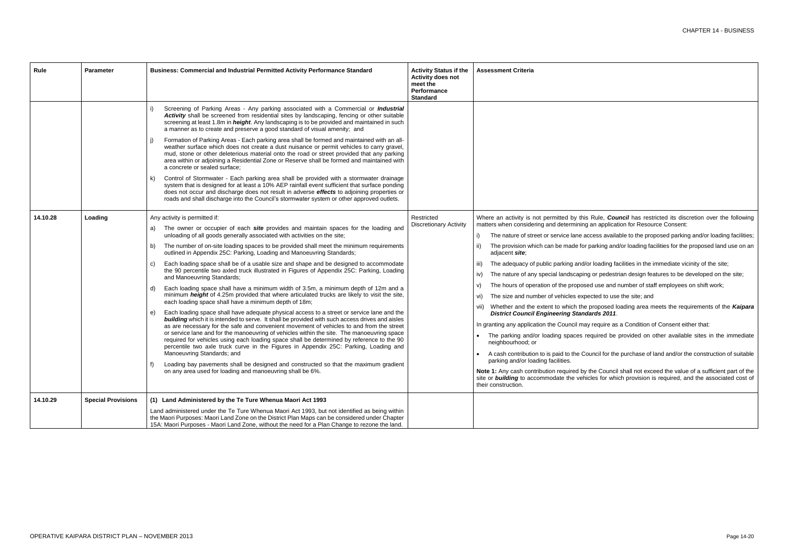cess available to the proposed parking and/or loading facilities; barking and/or loading facilities for the proposed land use on an

r loading facilities in the immediate vicinity of the site;

or pedestrian design features to be developed on the site;

d use and number of staff employees on shift work;

cted to use the site; and

proposed loading area meets the requirements of the *Kaipara District Council Engineering Standards 2011*.

require as a Condition of Consent either that:

quired be provided on other available sites in the immediate

uncil for the purchase of land and/or the construction of suitable

he Council shall not exceed the value of a sufficient part of the les for which provision is required, and the associated cost of

| <b>Rule</b> | <b>Parameter</b>          | Business: Commercial and Industrial Permitted Activity Performance Standard                                                                                                                                                                                                                                                                                                                                                                                                                                                                                                                                                                                                                                                                                                                                                                                                                                                                                                                                                                                                                                                                                                                                                                                                                                                                                                                                                                                                                                                                                                                                                                             | <b>Activity Status if the</b><br><b>Activity does not</b><br>meet the<br>Performance<br><b>Standard</b> | <b>Assessment Criteria</b>                                                                                                                                                                                                                                                                                                                                                                                                                                                                                                                                                                                                                                                                                                                                                                                                     |
|-------------|---------------------------|---------------------------------------------------------------------------------------------------------------------------------------------------------------------------------------------------------------------------------------------------------------------------------------------------------------------------------------------------------------------------------------------------------------------------------------------------------------------------------------------------------------------------------------------------------------------------------------------------------------------------------------------------------------------------------------------------------------------------------------------------------------------------------------------------------------------------------------------------------------------------------------------------------------------------------------------------------------------------------------------------------------------------------------------------------------------------------------------------------------------------------------------------------------------------------------------------------------------------------------------------------------------------------------------------------------------------------------------------------------------------------------------------------------------------------------------------------------------------------------------------------------------------------------------------------------------------------------------------------------------------------------------------------|---------------------------------------------------------------------------------------------------------|--------------------------------------------------------------------------------------------------------------------------------------------------------------------------------------------------------------------------------------------------------------------------------------------------------------------------------------------------------------------------------------------------------------------------------------------------------------------------------------------------------------------------------------------------------------------------------------------------------------------------------------------------------------------------------------------------------------------------------------------------------------------------------------------------------------------------------|
|             |                           | Screening of Parking Areas - Any parking associated with a Commercial or Industrial<br>Activity shall be screened from residential sites by landscaping, fencing or other suitable<br>screening at least 1.8m in <i>height</i> . Any landscaping is to be provided and maintained in such<br>a manner as to create and preserve a good standard of visual amenity; and<br>Formation of Parking Areas - Each parking area shall be formed and maintained with an all-<br>weather surface which does not create a dust nuisance or permit vehicles to carry gravel,<br>mud, stone or other deleterious material onto the road or street provided that any parking<br>area within or adjoining a Residential Zone or Reserve shall be formed and maintained with<br>a concrete or sealed surface;<br>Control of Stormwater - Each parking area shall be provided with a stormwater drainage<br>k)<br>system that is designed for at least a 10% AEP rainfall event sufficient that surface ponding<br>does not occur and discharge does not result in adverse effects to adjoining properties or<br>roads and shall discharge into the Council's stormwater system or other approved outlets.                                                                                                                                                                                                                                                                                                                                                                                                                                                              |                                                                                                         |                                                                                                                                                                                                                                                                                                                                                                                                                                                                                                                                                                                                                                                                                                                                                                                                                                |
| 14.10.28    | Loading                   | Any activity is permitted if:<br>The owner or occupier of each site provides and maintain spaces for the loading and<br>a)<br>unloading of all goods generally associated with activities on the site;<br>The number of on-site loading spaces to be provided shall meet the minimum requirements<br>b)<br>outlined in Appendix 25C: Parking, Loading and Manoeuvring Standards;<br>Each loading space shall be of a usable size and shape and be designed to accommodate<br>C)<br>the 90 percentile two axled truck illustrated in Figures of Appendix 25C: Parking, Loading<br>and Manoeuvring Standards;<br>Each loading space shall have a minimum width of 3.5m, a minimum depth of 12m and a<br>d)<br>minimum <i>height</i> of 4.25m provided that where articulated trucks are likely to visit the site,<br>each loading space shall have a minimum depth of 18m;<br>Each loading space shall have adequate physical access to a street or service lane and the<br>e)<br>building which it is intended to serve. It shall be provided with such access drives and aisles<br>as are necessary for the safe and convenient movement of vehicles to and from the street<br>or service lane and for the manoeuvring of vehicles within the site. The manoeuvring space<br>required for vehicles using each loading space shall be determined by reference to the 90<br>percentile two axle truck curve in the Figures in Appendix 25C: Parking, Loading and<br>Manoeuvring Standards; and<br>Loading bay pavements shall be designed and constructed so that the maximum gradient<br>f)<br>on any area used for loading and manoeuvring shall be 6%. | Restricted<br><b>Discretionary Activity</b>                                                             | Where an activity is not permitted by this<br>matters when considering and determining a<br>The nature of street or service lane aco<br>The provision which can be made for p<br>ii)<br>adjacent site;<br>The adequacy of public parking and/or<br>iii)<br>The nature of any special landscaping<br>IV)<br>The hours of operation of the proposed<br>V)<br>The size and number of vehicles exper<br>VI)<br>vii) Whether and the extent to which the p<br><b>District Council Engineering Standa</b><br>In granting any application the Council may<br>The parking and/or loading spaces ree<br>neighbourhood; or<br>A cash contribution to is paid to the Cou<br>parking and/or loading facilities.<br>Note 1: Any cash contribution required by tl<br>site or <b>building</b> to accommodate the vehic<br>their construction. |
| 14.10.29    | <b>Special Provisions</b> | (1) Land Administered by the Te Ture Whenua Maori Act 1993<br>Land administered under the Te Ture Whenua Maori Act 1993, but not identified as being within<br>the Maori Purposes: Maori Land Zone on the District Plan Maps can be considered under Chapter<br>15A: Maori Purposes - Maori Land Zone, without the need for a Plan Change to rezone the land.                                                                                                                                                                                                                                                                                                                                                                                                                                                                                                                                                                                                                                                                                                                                                                                                                                                                                                                                                                                                                                                                                                                                                                                                                                                                                           |                                                                                                         |                                                                                                                                                                                                                                                                                                                                                                                                                                                                                                                                                                                                                                                                                                                                                                                                                                |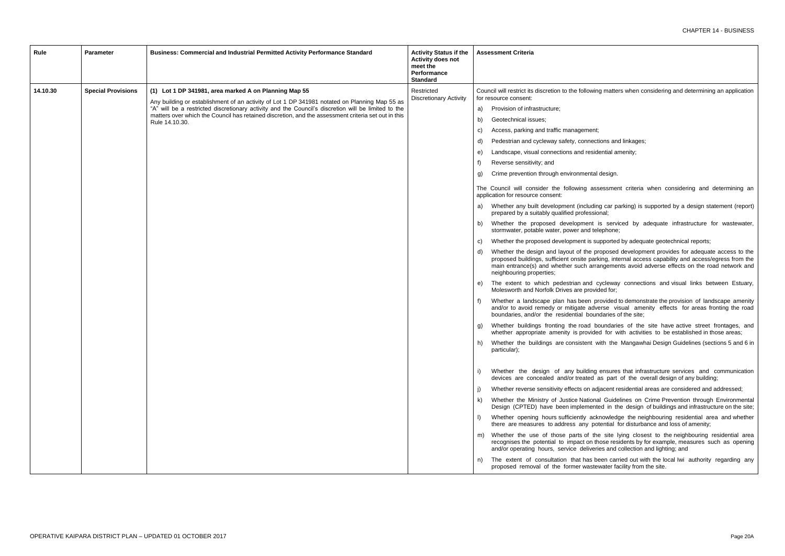ving matters when considering and determining an application

ections and linkages;

sidential amenity;

al design.

assessment criteria when considering and determining an

ding car parking) is supported by a design statement (report) sional;

is serviced by adequate infrastructure for wastewater, telephone;

supported by adequate geotechnical reports;

proposed development provides for adequate access to the arking, internal access capability and access/egress from the rrangements avoid adverse effects on the road network and

cycleway connections and visual links between Estuary, vided for;

provided to demonstrate the provision of landscape amenity dverse visual amenity effects for areas fronting the road undaries of the site;

boundaries of the site have active street frontages, and ded for with activities to be established in those areas;

with the Mangawhai Design Guidelines (sections 5 and 6 in

ig ensures that infrastructure services and communication as part of the overall design of any building;

adjacent residential areas are considered and addressed;

nal Guidelines on Crime Prevention through Environmental nted in the design of buildings and infrastructure on the site;

cknowledge the neighbouring residential area and whether potential for disturbance and loss of amenity;

the site lying closest to the neighbouring residential area those residents by for example, measures such as opening eries and collection and lighting; and

been carried out with the local Iwi authority regarding any tewater facility from the site.

| Rule     | <b>Parameter</b>          | Business: Commercial and Industrial Permitted Activity Performance Standard                                                                                                                          | <b>Activity Status if the</b><br><b>Activity does not</b><br>meet the<br>Performance<br><b>Standard</b> | <b>Assessment Criteria</b>                                                                                                                                        |
|----------|---------------------------|------------------------------------------------------------------------------------------------------------------------------------------------------------------------------------------------------|---------------------------------------------------------------------------------------------------------|-------------------------------------------------------------------------------------------------------------------------------------------------------------------|
| 14.10.30 | <b>Special Provisions</b> | (1) Lot 1 DP 341981, area marked A on Planning Map 55                                                                                                                                                | Restricted<br><b>Discretionary Activity</b>                                                             | Council will restrict its discretion to the followin<br>for resource consent:                                                                                     |
|          |                           | Any building or establishment of an activity of Lot 1 DP 341981 notated on Planning Map 55 as<br>"A" will be a restricted discretionary activity and the Council's discretion will be limited to the |                                                                                                         | Provision of infrastructure;<br>a)                                                                                                                                |
|          |                           | matters over which the Council has retained discretion, and the assessment criteria set out in this                                                                                                  |                                                                                                         | Geotechnical issues;<br>b)                                                                                                                                        |
|          |                           | Rule 14.10.30.                                                                                                                                                                                       |                                                                                                         | Access, parking and traffic management;<br>C)                                                                                                                     |
|          |                           |                                                                                                                                                                                                      |                                                                                                         | Pedestrian and cycleway safety, connect<br>d)                                                                                                                     |
|          |                           |                                                                                                                                                                                                      |                                                                                                         | Landscape, visual connections and resid<br>e)                                                                                                                     |
|          |                           |                                                                                                                                                                                                      |                                                                                                         | Reverse sensitivity; and<br>f)                                                                                                                                    |
|          |                           |                                                                                                                                                                                                      |                                                                                                         | Crime prevention through environmental<br>g)                                                                                                                      |
|          |                           |                                                                                                                                                                                                      |                                                                                                         | The Council will consider the following ass<br>application for resource consent:                                                                                  |
|          |                           |                                                                                                                                                                                                      |                                                                                                         | Whether any built development (includin<br>a)<br>prepared by a suitably qualified professic                                                                       |
|          |                           |                                                                                                                                                                                                      |                                                                                                         | Whether the proposed development<br>b)<br>stormwater, potable water, power and tel                                                                                |
|          |                           |                                                                                                                                                                                                      |                                                                                                         | Whether the proposed development is su<br>C)                                                                                                                      |
|          |                           |                                                                                                                                                                                                      |                                                                                                         | Whether the design and layout of the pr<br>d)<br>proposed buildings, sufficient onsite park<br>main entrance(s) and whether such arra<br>neighbouring properties; |
|          |                           |                                                                                                                                                                                                      |                                                                                                         | The extent to which pedestrian and o<br>e)<br>Molesworth and Norfolk Drives are provid                                                                            |
|          |                           |                                                                                                                                                                                                      |                                                                                                         | Whether a landscape plan has been pi<br>f)<br>and/or to avoid remedy or mitigate adve<br>boundaries, and/or the residential boun                                  |
|          |                           |                                                                                                                                                                                                      |                                                                                                         | Whether buildings fronting the road be<br>whether appropriate amenity is provide                                                                                  |
|          |                           |                                                                                                                                                                                                      |                                                                                                         | Whether the buildings are consistent w<br>h)<br>particular);                                                                                                      |
|          |                           |                                                                                                                                                                                                      |                                                                                                         | Whether the design of any building<br>devices are concealed and/or treated a                                                                                      |
|          |                           |                                                                                                                                                                                                      |                                                                                                         | Whether reverse sensitivity effects on ad                                                                                                                         |
|          |                           |                                                                                                                                                                                                      |                                                                                                         | Whether the Ministry of Justice Nationa<br>k)<br>Design (CPTED) have been implement                                                                               |
|          |                           |                                                                                                                                                                                                      |                                                                                                         | Whether opening hours sufficiently ack<br>there are measures to address any po                                                                                    |
|          |                           |                                                                                                                                                                                                      |                                                                                                         | Whether the use of those parts of the<br>m)<br>recognises the potential to impact on th<br>and/or operating hours, service deliveri                               |
|          |                           |                                                                                                                                                                                                      |                                                                                                         | The extent of consultation that has be<br>n)<br>proposed removal of the former waste                                                                              |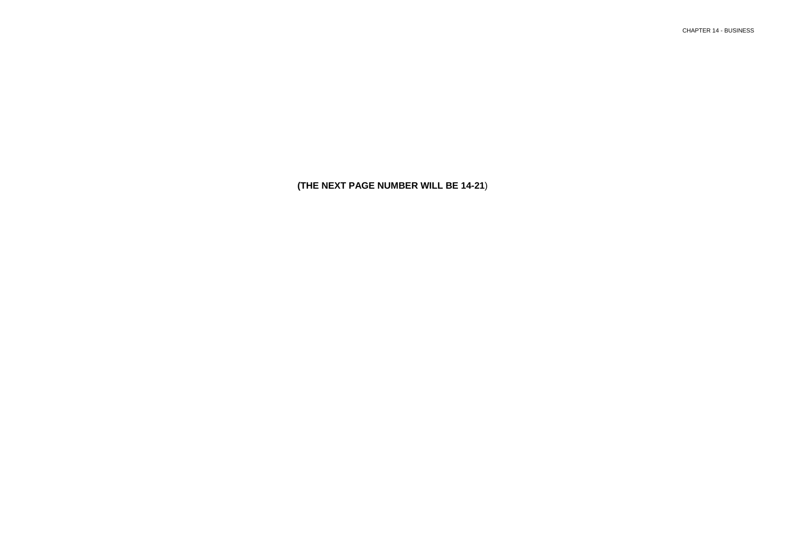# CHAPTER 14 - BUSINESS

**(THE NEXT PAGE NUMBER WILL BE 14-21**)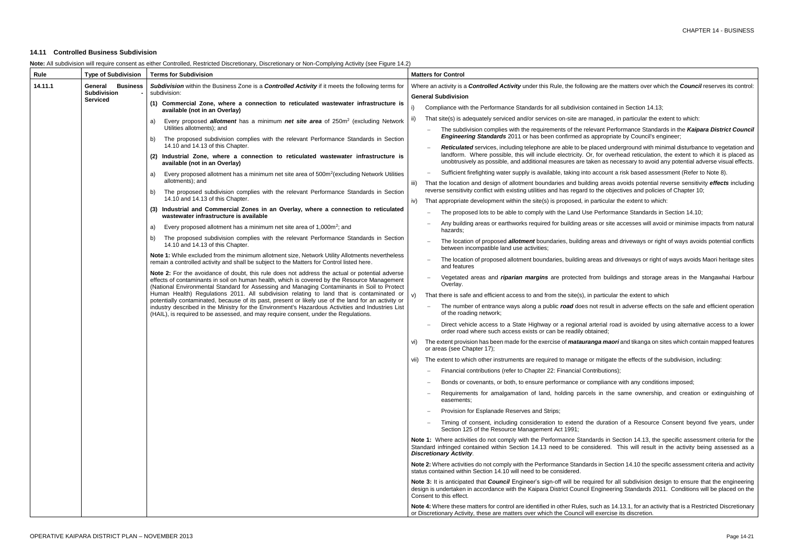# Ig are the matters over which the **Council** reserves its control:

- contained in Section 14.13;
- anaged, in particular the extent to which:
- vant Performance Standards in the *Kaipara District Council* appropriate by Council's engineer;
- aced underground with minimal disturbance to vegetation and for overhead reticulation, the extent to which it is placed as ten as necessary to avoid any potential adverse visual effects.
- account a risk based assessment (Refer to Note 8).
- ng areas avoids potential reverse sensitivity *effects* including the objectives and policies of Chapter 10;
- articular the extent to which:
- Performance Standards in Section 14.10;
- as or site accesses will avoid or minimise impacts from natural
- areas and driveways or right of ways avoids potential conflicts
- eas and driveways or right of ways avoids Maori heritage sites
- om buildings and storage areas in the Mangawhai Harbour
- particular the extent to which
- ot result in adverse effects on the safe and efficient operation
- terial road is avoided by using alternative access to a lower
- **iga maori** and tikanga on sites which contain mapped features
- mitigate the effects of the subdivision, including:
- tributions);
- mpliance with any conditions imposed;
- in the same ownership, and creation or extinguishing of
- duration of a Resource Consent beyond five years, under
- ards in Section 14.13, the specific assessment criteria for the idered. This will result in the activity being assessed as a
- Is in Section 14.10 the specific assessment criteria and activity
- ired for all subdivision design to ensure that the engineering Ingineering Standards 2011. Conditions will be placed on the
- $\alpha$ ch as 14.13.1, for an activity that is a Restricted Discretionary exercise its discretion.

# **14.11 Controlled Business Subdivision**

| Note: All subdivision will require consent as either Controlled, Restricted Discretionary, Discretionary or Non-Complying Activity (see Figure 14.2) |
|------------------------------------------------------------------------------------------------------------------------------------------------------|
|                                                                                                                                                      |

| Rule    | <b>Type of Subdivision</b>            | <b>Terms for Subdivision</b>                                                                                                                                                                                                                                                                    | <b>Matters for Control</b>                                                                                                                                                               |                                                                                                                   |
|---------|---------------------------------------|-------------------------------------------------------------------------------------------------------------------------------------------------------------------------------------------------------------------------------------------------------------------------------------------------|------------------------------------------------------------------------------------------------------------------------------------------------------------------------------------------|-------------------------------------------------------------------------------------------------------------------|
| 14.11.1 | <b>Business</b><br>General            | Subdivision within the Business Zone is a Controlled Activity if it meets the following terms for                                                                                                                                                                                               | Where an activity is a <b>Controlled Activity</b> under this Rule, the following are                                                                                                     |                                                                                                                   |
|         | <b>Subdivision</b><br><b>Serviced</b> | subdivision:                                                                                                                                                                                                                                                                                    | <b>General Subdivision</b>                                                                                                                                                               |                                                                                                                   |
|         |                                       | (1) Commercial Zone, where a connection to reticulated wastewater infrastructure is<br>available (not in an Overlay)                                                                                                                                                                            | Compliance with the Performance Standards for all subdivision contain                                                                                                                    |                                                                                                                   |
|         |                                       | Every proposed allotment has a minimum net site area of 250m <sup>2</sup> (excluding Network<br>a)                                                                                                                                                                                              | That site(s) is adequately serviced and/or services on-site are manage<br>ii)                                                                                                            |                                                                                                                   |
|         |                                       | Utilities allotments); and<br>The proposed subdivision complies with the relevant Performance Standards in Section<br>b)                                                                                                                                                                        | The subdivision complies with the requirements of the relevant F<br>Engineering Standards 2011 or has been confirmed as approp                                                           |                                                                                                                   |
|         |                                       | 14.10 and 14.13 of this Chapter.                                                                                                                                                                                                                                                                | Reticulated services, including telephone are able to be placed                                                                                                                          |                                                                                                                   |
|         |                                       | (2) Industrial Zone, where a connection to reticulated wastewater infrastructure is<br>available (not in an Overlay)                                                                                                                                                                            | landform. Where possible, this will include electricity. Or, for o<br>unobtrusively as possible, and additional measures are taken as                                                    |                                                                                                                   |
|         |                                       | Every proposed allotment has a minimum net site area of 500m <sup>2</sup> (excluding Network Utilities<br>a)<br>allotments); and                                                                                                                                                                | Sufficient firefighting water supply is available, taking into accou                                                                                                                     |                                                                                                                   |
|         |                                       | The proposed subdivision complies with the relevant Performance Standards in Section<br>b)                                                                                                                                                                                                      | That the location and design of allotment boundaries and building are<br>iii)<br>reverse sensitivity conflict with existing utilities and has regard to the o                            |                                                                                                                   |
|         |                                       | 14.10 and 14.13 of this Chapter.                                                                                                                                                                                                                                                                | That appropriate development within the site(s) is proposed, in particu<br>iv)                                                                                                           |                                                                                                                   |
|         |                                       | (3) Industrial and Commercial Zones in an Overlay, where a connection to reticulated<br>wastewater infrastructure is available                                                                                                                                                                  | The proposed lots to be able to comply with the Land Use Perfo                                                                                                                           |                                                                                                                   |
|         |                                       | Every proposed allotment has a minimum net site area of 1,000m <sup>2</sup> ; and<br>a)                                                                                                                                                                                                         | Any building areas or earthworks required for building areas or s<br>hazards:                                                                                                            |                                                                                                                   |
|         |                                       | b)                                                                                                                                                                                                                                                                                              | The proposed subdivision complies with the relevant Performance Standards in Section<br>14.10 and 14.13 of this Chapter.                                                                 | The location of proposed <i>allotment</i> boundaries, building areas<br>between incompatible land use activities; |
|         |                                       | Note 1: While excluded from the minimum allotment size, Network Utility Allotments nevertheless<br>remain a controlled activity and shall be subject to the Matters for Control listed here.                                                                                                    | The location of proposed allotment boundaries, building areas ar<br>and features                                                                                                         |                                                                                                                   |
|         |                                       | Note 2: For the avoidance of doubt, this rule does not address the actual or potential adverse<br>effects of contaminants in soil on human health, which is covered by the Resource Management<br>(National Environmental Standard for Assessing and Managing Contaminants in Soil to Protect   | Vegetated areas and riparian margins are protected from bu<br>Overlay.                                                                                                                   |                                                                                                                   |
|         |                                       | Human Health) Regulations 2011. All subdivision relating to land that is contaminated or                                                                                                                                                                                                        | That there is safe and efficient access to and from the site(s), in partic                                                                                                               |                                                                                                                   |
|         |                                       | potentially contaminated, because of its past, present or likely use of the land for an activity or<br>industry described in the Ministry for the Environment's Hazardous Activities and Industries List<br>(HAIL), is required to be assessed, and may require consent, under the Regulations. | The number of entrance ways along a public road does not rest<br>of the roading network;                                                                                                 |                                                                                                                   |
|         |                                       |                                                                                                                                                                                                                                                                                                 | Direct vehicle access to a State Highway or a regional arterial<br>order road where such access exists or can be readily obtained;                                                       |                                                                                                                   |
|         |                                       |                                                                                                                                                                                                                                                                                                 | The extent provision has been made for the exercise of <i>matauranga m</i><br>VI)<br>or areas (see Chapter 17);                                                                          |                                                                                                                   |
|         |                                       |                                                                                                                                                                                                                                                                                                 | vii) The extent to which other instruments are required to manage or mitig                                                                                                               |                                                                                                                   |
|         |                                       |                                                                                                                                                                                                                                                                                                 | Financial contributions (refer to Chapter 22: Financial Contribution<br>$\overline{\phantom{0}}$                                                                                         |                                                                                                                   |
|         |                                       |                                                                                                                                                                                                                                                                                                 | Bonds or covenants, or both, to ensure performance or compliar                                                                                                                           |                                                                                                                   |
|         |                                       |                                                                                                                                                                                                                                                                                                 | Requirements for amalgamation of land, holding parcels in t<br>easements:                                                                                                                |                                                                                                                   |
|         |                                       |                                                                                                                                                                                                                                                                                                 | Provision for Esplanade Reserves and Strips;                                                                                                                                             |                                                                                                                   |
|         |                                       |                                                                                                                                                                                                                                                                                                 | Timing of consent, including consideration to extend the dura<br>Section 125 of the Resource Management Act 1991;                                                                        |                                                                                                                   |
|         |                                       |                                                                                                                                                                                                                                                                                                 | Note 1: Where activities do not comply with the Performance Standards in<br>Standard infringed contained within Section 14.13 need to be considered<br><b>Discretionary Activity.</b>    |                                                                                                                   |
|         |                                       |                                                                                                                                                                                                                                                                                                 | Note 2: Where activities do not comply with the Performance Standards in S<br>status contained within Section 14.10 will need to be considered.                                          |                                                                                                                   |
|         |                                       |                                                                                                                                                                                                                                                                                                 | Note 3: It is anticipated that Council Engineer's sign-off will be required fo<br>design is undertaken in accordance with the Kaipara District Council Engine<br>Consent to this effect. |                                                                                                                   |
|         |                                       |                                                                                                                                                                                                                                                                                                 | Note 4: Where these matters for control are identified in other Rules, such as<br>or Discretionary Activity, these are matters over which the Council will exerc                         |                                                                                                                   |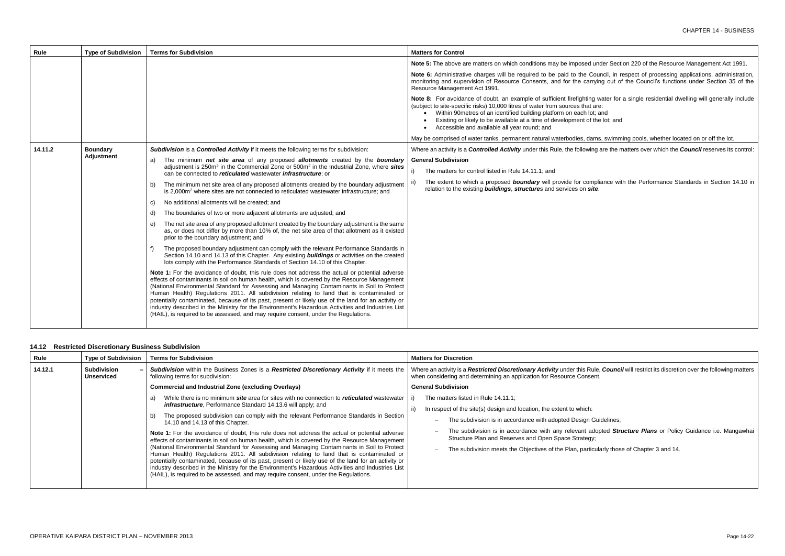under Section 220 of the Resource Management Act 1991.

founcil, in respect of processing applications, administration, rying out of the Council's functions under Section 35 of the

g water for a single residential dwelling will generally include<br>are: the lot; and

ims, swimming pools, whether located on or off the lot.

ng are the matters over which the **Council** reserves its control:

19 pliance with the Performance Standards in Section 14.10 in

Le, **Council** will restrict its discretion over the following matters

Guidelines;

dopted *Structure Plans* or Policy Guidance i.e. Mangawhai

cularly those of Chapter 3 and 14.

| Rule    | <b>Type of Subdivision</b> | <b>Terms for Subdivision</b>                                                                                                                                                                                                                                                                                                                                                                                                                                                                                                                                                                                                                                                                        | <b>Matters for Control</b>                                                                                                                                                                                                                                                                                                                                    |
|---------|----------------------------|-----------------------------------------------------------------------------------------------------------------------------------------------------------------------------------------------------------------------------------------------------------------------------------------------------------------------------------------------------------------------------------------------------------------------------------------------------------------------------------------------------------------------------------------------------------------------------------------------------------------------------------------------------------------------------------------------------|---------------------------------------------------------------------------------------------------------------------------------------------------------------------------------------------------------------------------------------------------------------------------------------------------------------------------------------------------------------|
|         |                            |                                                                                                                                                                                                                                                                                                                                                                                                                                                                                                                                                                                                                                                                                                     | Note 5: The above are matters on which conditions may be imposed under                                                                                                                                                                                                                                                                                        |
|         |                            |                                                                                                                                                                                                                                                                                                                                                                                                                                                                                                                                                                                                                                                                                                     | Note 6: Administrative charges will be required to be paid to the Council<br>monitoring and supervision of Resource Consents, and for the carrying or<br>Resource Management Act 1991.                                                                                                                                                                        |
|         |                            |                                                                                                                                                                                                                                                                                                                                                                                                                                                                                                                                                                                                                                                                                                     | Note 8: For avoidance of doubt, an example of sufficient firefighting wate<br>(subject to site-specific risks) 10,000 litres of water from sources that are:<br>Within 90metres of an identified building platform on each lot; and<br>Existing or likely to be available at a time of development of the lot<br>Accessible and available all year round; and |
|         |                            |                                                                                                                                                                                                                                                                                                                                                                                                                                                                                                                                                                                                                                                                                                     | May be comprised of water tanks, permanent natural waterbodies, dams, sv                                                                                                                                                                                                                                                                                      |
| 14.11.2 | <b>Boundary</b>            | Subdivision is a Controlled Activity if it meets the following terms for subdivision:                                                                                                                                                                                                                                                                                                                                                                                                                                                                                                                                                                                                               | Where an activity is a <b>Controlled Activity</b> under this Rule, the following are                                                                                                                                                                                                                                                                          |
|         | <b>Adjustment</b>          | The minimum net site area of any proposed allotments created by the boundary<br>a)<br>adjustment is $250m^2$ in the Commercial Zone or $500m^2$ in the Industrial Zone, where sites<br>can be connected to <i>reticulated</i> wastewater <i>infrastructure</i> ; or                                                                                                                                                                                                                                                                                                                                                                                                                                 | <b>General Subdivision</b>                                                                                                                                                                                                                                                                                                                                    |
|         |                            |                                                                                                                                                                                                                                                                                                                                                                                                                                                                                                                                                                                                                                                                                                     | The matters for control listed in Rule 14.11.1; and                                                                                                                                                                                                                                                                                                           |
|         |                            | The minimum net site area of any proposed allotments created by the boundary adjustment<br>b)<br>is 2,000m <sup>2</sup> where sites are not connected to reticulated wastewater infrastructure; and                                                                                                                                                                                                                                                                                                                                                                                                                                                                                                 | The extent to which a proposed <b>boundary</b> will provide for compliand<br>relation to the existing <b>buildings</b> , structures and services on site.                                                                                                                                                                                                     |
|         |                            | No additional allotments will be created; and<br>C)                                                                                                                                                                                                                                                                                                                                                                                                                                                                                                                                                                                                                                                 |                                                                                                                                                                                                                                                                                                                                                               |
|         |                            | The boundaries of two or more adjacent allotments are adjusted; and<br>d)                                                                                                                                                                                                                                                                                                                                                                                                                                                                                                                                                                                                                           |                                                                                                                                                                                                                                                                                                                                                               |
|         |                            | The net site area of any proposed allotment created by the boundary adjustment is the same<br>e)<br>as, or does not differ by more than 10% of, the net site area of that allotment as it existed<br>prior to the boundary adjustment; and                                                                                                                                                                                                                                                                                                                                                                                                                                                          |                                                                                                                                                                                                                                                                                                                                                               |
|         |                            | The proposed boundary adjustment can comply with the relevant Performance Standards in<br>Section 14.10 and 14.13 of this Chapter. Any existing <b>buildings</b> or activities on the created<br>lots comply with the Performance Standards of Section 14.10 of this Chapter.                                                                                                                                                                                                                                                                                                                                                                                                                       |                                                                                                                                                                                                                                                                                                                                                               |
|         |                            | <b>Note 1:</b> For the avoidance of doubt, this rule does not address the actual or potential adverse<br>effects of contaminants in soil on human health, which is covered by the Resource Management<br>(National Environmental Standard for Assessing and Managing Contaminants in Soil to Protect<br>Human Health) Regulations 2011. All subdivision relating to land that is contaminated or<br>potentially contaminated, because of its past, present or likely use of the land for an activity or<br>industry described in the Ministry for the Environment's Hazardous Activities and Industries List<br>(HAIL), is required to be assessed, and may require consent, under the Regulations. |                                                                                                                                                                                                                                                                                                                                                               |

# **14.12 Restricted Discretionary Business Subdivision**

| Rule    | <b>Type of Subdivision</b>              | <b>Terms for Subdivision</b>                                                                                                                                                                             | <b>Matters for Discretion</b>                                                                                                                      |  |
|---------|-----------------------------------------|----------------------------------------------------------------------------------------------------------------------------------------------------------------------------------------------------------|----------------------------------------------------------------------------------------------------------------------------------------------------|--|
| 14.12.1 | <b>Subdivision</b><br><b>Unserviced</b> | Subdivision within the Business Zones is a Restricted Discretionary Activity if it meets the<br>following terms for subdivision:                                                                         | Where an activity is a Restricted Discretionary Activity under this Rule,<br>when considering and determining an application for Resource Consent. |  |
|         |                                         | <b>Commercial and Industrial Zone (excluding Overlays)</b>                                                                                                                                               | <b>General Subdivision</b>                                                                                                                         |  |
|         |                                         | While there is no minimum <b>site</b> area for sites with no connection to <b>reticulated</b> wastewater<br>a)                                                                                           | The matters listed in Rule 14.11.1;                                                                                                                |  |
|         |                                         | <b>infrastructure</b> , Performance Standard 14.13.6 will apply; and                                                                                                                                     | In respect of the site(s) design and location, the extent to which:                                                                                |  |
|         |                                         | The proposed subdivision can comply with the relevant Performance Standards in Section<br>b)<br>14.10 and 14.13 of this Chapter.                                                                         | The subdivision is in accordance with adopted Design Gui<br>$\overline{\phantom{0}}$                                                               |  |
|         |                                         | <b>Note 1:</b> For the avoidance of doubt, this rule does not address the actual or potential adverse<br>effects of contaminants in soil on human health, which is covered by the Resource Management    | The subdivision is in accordance with any relevant adop<br>$\overline{\phantom{0}}$<br>Structure Plan and Reserves and Open Space Strategy;        |  |
|         |                                         | (National Environmental Standard for Assessing and Managing Contaminants in Soil to Protect<br>Human Health) Regulations 2011. All subdivision relating to land that is contaminated or                  | The subdivision meets the Objectives of the Plan, particula<br>-                                                                                   |  |
|         |                                         | potentially contaminated, because of its past, present or likely use of the land for an activity or<br>industry described in the Ministry for the Environment's Hazardous Activities and Industries List |                                                                                                                                                    |  |
|         |                                         | (HAIL), is required to be assessed, and may require consent, under the Regulations.                                                                                                                      |                                                                                                                                                    |  |
|         |                                         |                                                                                                                                                                                                          |                                                                                                                                                    |  |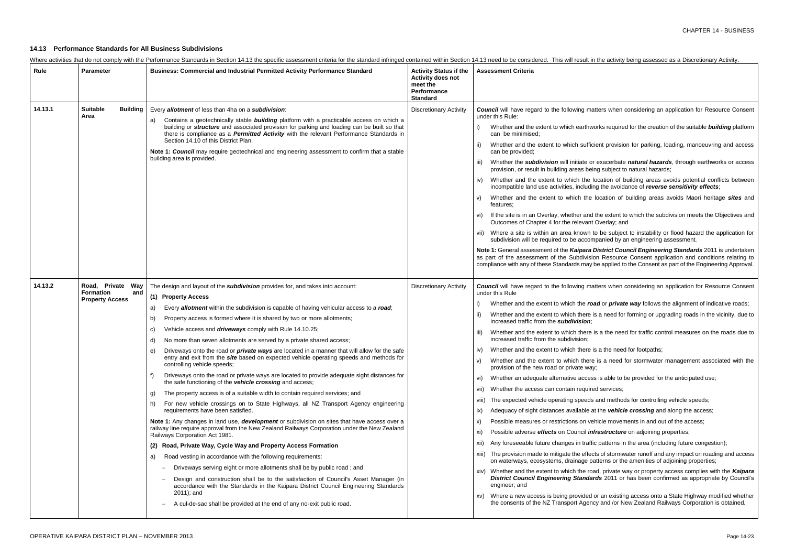n the activity being assessed as a Discretionary Activity.

atters when considering an application for Resource Consent

vorks required for the creation of the suitable **building** platform

cient provision for parking, loading, manoeuvring and access

iexacerbate *natural hazards*, through earthworks or access ing subject to natural hazards;

location of building areas avoids potential conflicts between ng the avoidance of *reverse sensitivity effects*;

location of building areas avoids Maori heritage *sites* and

the extent to which the subdivision meets the Objectives and Overlay; and

to be subject to instability or flood hazard the application for npanied by an engineering assessment.

**District Council Engineering Standards** 2011 is undertaken ion Resource Consent application and conditions relating to be applied to the Consent as part of the Engineering Approval.

atters when considering an application for Resource Consent

**ad** or *private way* follows the alignment of indicative roads;

is a need for forming or upgrading roads in the vicinity, due to

is a the need for traffic control measures on the roads due to

is a the need for footpaths;

is a need for stormwater management associated with the

is is able to be provided for the anticipated use;

ed services;

and methods for controlling vehicle speeds;

at the **vehicle crossing** and along the access;

ehicle movements in and out of the access;

*ifrastructure* on adjoining properties;

ic patterns in the area (including future congestion);

cts of stormwater runoff and any impact on roading and access atterns or the amenities of adjoining properties;

ad, private way or property access complies with the *Kaipara rds* 2011 or has been confirmed as appropriate by Council's

or an existing access onto a State Highway modified whether tcy and /or New Zealand Railways Corporation is obtained.

# **14.13 Performance Standards for All Business Subdivisions**

| Where activities that do not comply with the Performance Standards in Section 14.13 the specific assessment criteria for the standard infringed contained within Section 14.13 need to be considered. This will result in |  |  |
|---------------------------------------------------------------------------------------------------------------------------------------------------------------------------------------------------------------------------|--|--|
|                                                                                                                                                                                                                           |  |  |

| Rule    | <b>Parameter</b>                                                          | Business: Commercial and Industrial Permitted Activity Performance Standard                                                                                                                                                                                                                                                                                                                                                                                                                                                                                                                                                                                                                                                                                                                                                                                                                                                                                                                                                                                                                                                                                                                                                                                                                                                                                                                                                                                                                                                                                                                                                                                                                                                                                                                                                            | <b>Activity Status if the</b><br><b>Activity does not</b><br>meet the<br><b>Performance</b><br><b>Standard</b> | <b>Assessment Criteria</b>                                                                                                                                                                                                                                                                                                                                                                                                                                                                                                                                                                                                                                                                                                                                                                                                                                                                                                                                                                                                                                                                                                             |
|---------|---------------------------------------------------------------------------|----------------------------------------------------------------------------------------------------------------------------------------------------------------------------------------------------------------------------------------------------------------------------------------------------------------------------------------------------------------------------------------------------------------------------------------------------------------------------------------------------------------------------------------------------------------------------------------------------------------------------------------------------------------------------------------------------------------------------------------------------------------------------------------------------------------------------------------------------------------------------------------------------------------------------------------------------------------------------------------------------------------------------------------------------------------------------------------------------------------------------------------------------------------------------------------------------------------------------------------------------------------------------------------------------------------------------------------------------------------------------------------------------------------------------------------------------------------------------------------------------------------------------------------------------------------------------------------------------------------------------------------------------------------------------------------------------------------------------------------------------------------------------------------------------------------------------------------|----------------------------------------------------------------------------------------------------------------|----------------------------------------------------------------------------------------------------------------------------------------------------------------------------------------------------------------------------------------------------------------------------------------------------------------------------------------------------------------------------------------------------------------------------------------------------------------------------------------------------------------------------------------------------------------------------------------------------------------------------------------------------------------------------------------------------------------------------------------------------------------------------------------------------------------------------------------------------------------------------------------------------------------------------------------------------------------------------------------------------------------------------------------------------------------------------------------------------------------------------------------|
| 14.13.1 | <b>Suitable</b><br><b>Building</b><br>Area                                | Every allotment of less than 4ha on a subdivision:<br>Contains a geotechnically stable <b>building</b> platform with a practicable access on which a<br>a)<br>building or structure and associated provision for parking and loading can be built so that<br>there is compliance as a <i>Permitted Activity</i> with the relevant Performance Standards in<br>Section 14.10 of this District Plan.<br>Note 1: Council may require geotechnical and engineering assessment to confirm that a stable<br>building area is provided.                                                                                                                                                                                                                                                                                                                                                                                                                                                                                                                                                                                                                                                                                                                                                                                                                                                                                                                                                                                                                                                                                                                                                                                                                                                                                                       | <b>Discretionary Activity</b>                                                                                  | <b>Council</b> will have regard to the following mat<br>under this Rule:<br>Whether and the extent to which earthwo<br>can be minimised;<br>Whether and the extent to which sufficient<br>ii)<br>can be provided;<br>Whether the <b>subdivision</b> will initiate or<br>iii)<br>provision, or result in building areas bein<br>Whether and the extent to which the Ic<br>iv)<br>incompatible land use activities, including<br>Whether and the extent to which the I<br>V)<br>features;<br>If the site is in an Overlay, whether and t<br>VI)<br>Outcomes of Chapter 4 for the relevant 0<br>Where a site is within an area known to<br>subdivision will be required to be accomp<br>Note 1: General assessment of the Kaipara D<br>as part of the assessment of the Subdivisio<br>compliance with any of these Standards may b                                                                                                                                                                                                                                                                                                        |
| 14.13.2 | Road, Private<br>Way<br><b>Formation</b><br>and<br><b>Property Access</b> | The design and layout of the subdivision provides for, and takes into account:<br>(1) Property Access<br>Every allotment within the subdivision is capable of having vehicular access to a road;<br>a)<br>Property access is formed where it is shared by two or more allotments;<br>b)<br>Vehicle access and <i>driveways</i> comply with Rule 14.10.25;<br>C)<br>No more than seven allotments are served by a private shared access;<br>d)<br>Driveways onto the road or <i>private ways</i> are located in a manner that will allow for the safe<br>e)<br>entry and exit from the site based on expected vehicle operating speeds and methods for<br>controlling vehicle speeds;<br>Driveways onto the road or private ways are located to provide adequate sight distances for<br>f)<br>the safe functioning of the <b>vehicle crossing</b> and access;<br>The property access is of a suitable width to contain required services; and<br>g)<br>For new vehicle crossings on to State Highways, all NZ Transport Agency engineering<br>h)<br>requirements have been satisfied.<br>Note 1: Any changes in land use, development or subdivision on sites that have access over a<br>railway line require approval from the New Zealand Railways Corporation under the New Zealand<br>Railways Corporation Act 1981.<br>Road, Private Way, Cycle Way and Property Access Formation<br>Road vesting in accordance with the following requirements:<br>a)<br>Driveways serving eight or more allotments shall be by public road; and<br>$\overline{\phantom{a}}$<br>Design and construction shall be to the satisfaction of Council's Asset Manager (in<br>accordance with the Standards in the Kaipara District Council Engineering Standards<br>2011); and<br>A cul-de-sac shall be provided at the end of any no-exit public road. | <b>Discretionary Activity</b>                                                                                  | <b>Council</b> will have regard to the following mat<br>under this Rule<br>Whether and the extent to which the roa<br>Whether and the extent to which there is<br>ii)<br>increased traffic from the subdivision;<br>Whether and the extent to which there is<br>TH)<br>increased traffic from the subdivision;<br>Whether and the extent to which there is<br>iv)<br>Whether and the extent to which there<br>V)<br>provision of the new road or private way;<br>Whether an adequate alternative access<br>VI)<br>Whether the access can contain required<br>VII)<br>The expected vehicle operating speeds a<br>Viii)<br>Adequacy of sight distances available at<br>ix)<br>Possible measures or restrictions on veh<br>X)<br>Possible adverse effects on Council infi<br>XI)<br>Any foreseeable future changes in traffic<br>xii)<br>The provision made to mitigate the effect<br>on waterways, ecosystems, drainage pa<br>xiv) Whether and the extent to which the road<br><b>District Council Engineering Standard</b><br>engineer; and<br>Where a new access is being provided o<br>XV)<br>the consents of the NZ Transport Agency |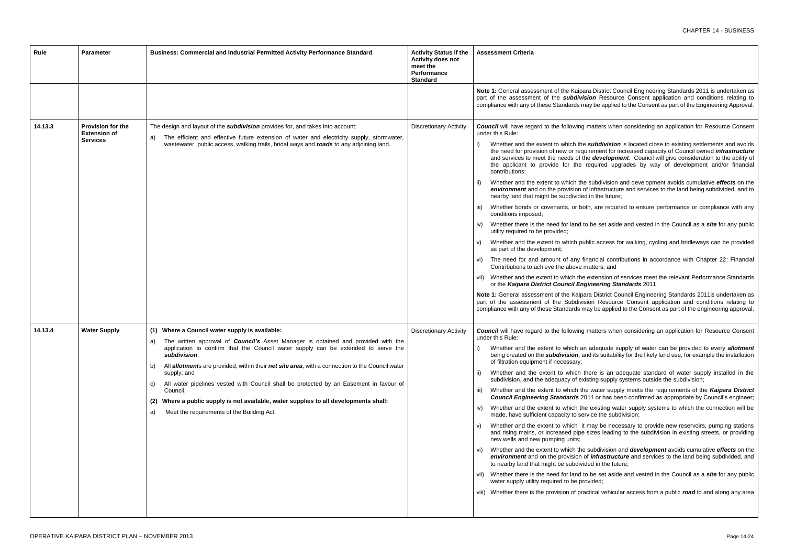**District Council Engineering Standards 2011 is undertaken as on** Resource Consent application and conditions relating to y be applied to the Consent as part of the Engineering Approval.

natters when considering an application for Resource Consent

subdivision is located close to existing settlements and avoids tement for increased capacity of Council owned *infrastructure* development. Council will give consideration to the ability of equired upgrades by way of development and/or financial

subdivision and development avoids cumulative *effects* on the *nfrastructure and services to the land being subdivided, and to* in the future;

are required to ensure performance or compliance with any

be set aside and vested in the Council as a *site* for any public

ic access for walking, cycling and bridleways can be provided

ancial contributions in accordance with Chapter 22: Financial atters; and

xtension of services meet the relevant Performance Standards or the *Kaipara District Council Engineering Standards* 2011.

**District Council Engineering Standards 2011is undertaken as** on Resource Consent application and conditions relating to y be applied to the Consent as part of the engineering approval.

natters when considering an application for Resource Consent

adequate supply of water can be provided to every *allotment* i its suitability for the likely land use, for example the installation

ere is an adequate standard of water supply installed in the ing supply systems outside the subdivision;

water supply meets the requirements of the Kaipara District 1 or has been confirmed as appropriate by Council's engineer;

existing water supply systems to which the connection will be ice the subdivision;

ay be necessary to provide new reservoirs, pumping stations izes leading to the subdivision in existing streets, or providing

ubdivision and *development* avoids cumulative *effects* on the *infrastructure* and services to the land being subdivided, and d in the future;

be set aside and vested in the Council as a *site* for any public ided;

ical vehicular access from a public *road* to and along any area

| Rule    | <b>Parameter</b>                                                   | Business: Commercial and Industrial Permitted Activity Performance Standard                                                                                                                                                                                                                                                                                                                                                                                                                                                                                                                                                      | <b>Activity Status if the</b><br><b>Activity does not</b><br>meet the<br>Performance<br><b>Standard</b> | <b>Assessment Criteria</b>                                                                                                                                                                                                                                                                                                                                                                                                                                                                                                                                                                                                                                                                                                                                                                                                                                                                                                                                               |
|---------|--------------------------------------------------------------------|----------------------------------------------------------------------------------------------------------------------------------------------------------------------------------------------------------------------------------------------------------------------------------------------------------------------------------------------------------------------------------------------------------------------------------------------------------------------------------------------------------------------------------------------------------------------------------------------------------------------------------|---------------------------------------------------------------------------------------------------------|--------------------------------------------------------------------------------------------------------------------------------------------------------------------------------------------------------------------------------------------------------------------------------------------------------------------------------------------------------------------------------------------------------------------------------------------------------------------------------------------------------------------------------------------------------------------------------------------------------------------------------------------------------------------------------------------------------------------------------------------------------------------------------------------------------------------------------------------------------------------------------------------------------------------------------------------------------------------------|
|         |                                                                    |                                                                                                                                                                                                                                                                                                                                                                                                                                                                                                                                                                                                                                  |                                                                                                         | Note 1: General assessment of the Kaipara<br>part of the assessment of the subdivisio<br>compliance with any of these Standards may                                                                                                                                                                                                                                                                                                                                                                                                                                                                                                                                                                                                                                                                                                                                                                                                                                      |
| 14.13.3 | <b>Provision for the</b><br><b>Extension of</b><br><b>Services</b> | The design and layout of the <b>subdivision</b> provides for, and takes into account:<br>The efficient and effective future extension of water and electricity supply, stormwater,<br>a)<br>wastewater, public access, walking trails, bridal ways and roads to any adjoining land.                                                                                                                                                                                                                                                                                                                                              | <b>Discretionary Activity</b>                                                                           | <b>Council</b> will have regard to the following m<br>under this Rule:<br>Whether and the extent to which the s<br>i)<br>the need for provision of new or require<br>and services to meet the needs of the<br>the applicant to provide for the re<br>contributions;<br>Whether and the extent to which the s<br>ii)<br>environment and on the provision of i<br>nearby land that might be subdivided in<br>Whether bonds or covenants, or both<br>iii)<br>conditions imposed;<br>Whether there is the need for land to I<br>iv)<br>utility required to be provided;<br>Whether and the extent to which publi<br>V)<br>as part of the development;<br>vi) The need for and amount of any fina<br>Contributions to achieve the above ma<br>vii) Whether and the extent to which the extent<br>or the Kaipara District Council Engir<br>Note 1: General assessment of the Kaipara<br>part of the assessment of the Subdivisio<br>compliance with any of these Standards may |
| 14.13.4 | <b>Water Supply</b>                                                | (1) Where a Council water supply is available:<br>The written approval of <b>Council's</b> Asset Manager is obtained and provided with the<br>application to confirm that the Council water supply can be extended to serve the<br>subdivision:<br>All allotments are provided, within their net site area, with a connection to the Council water<br>b)<br>supply; and<br>All water pipelines vested with Council shall be protected by an Easement in favour of<br>C)<br>Council.<br>(2) Where a public supply is not available, water supplies to all developments shall:<br>Meet the requirements of the Building Act.<br>a) | <b>Discretionary Activity</b>                                                                           | <b>Council</b> will have regard to the following m<br>under this Rule:<br>Whether and the extent to which an a<br>being created on the subdivision, and<br>of filtration equipment if necessary;<br>Whether and the extent to which the<br>subdivision, and the adequacy of exist<br>Whether and the extent to which the<br>iii)<br><b>Council Engineering Standards 201</b><br>Whether and the extent to which the e<br>IV)<br>made, have sufficient capacity to servi<br>Whether and the extent to which it m<br>V)<br>and rising mains, or increased pipe si<br>new wells and new pumping units;<br>Whether and the extent to which the si<br>Vi)<br>environment and on the provision of<br>to nearby land that might be subdivide<br>vii) Whether there is the need for land to b<br>water supply utility required to be provi<br>viii) Whether there is the provision of pract                                                                                      |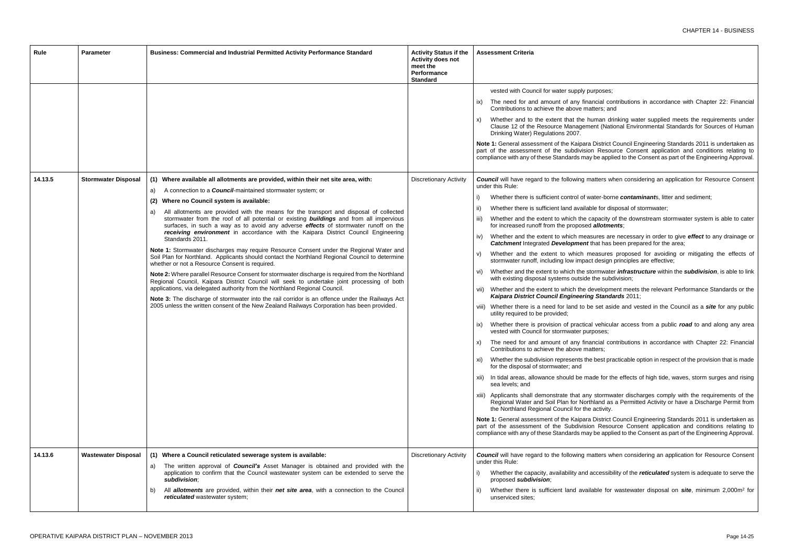urposes;

- ancial contributions in accordance with Chapter 22: Financial atters; and
- uman drinking water supplied meets the requirements under ent (National Environmental Standards for Sources of Human
- **District Council Engineering Standards 2011 is undertaken as** on Resource Consent application and conditions relating to y be applied to the Consent as part of the Engineering Approval.
- natters when considering an application for Resource Consent
- vater-borne *contaminant*s, litter and sediment;
- ble for disposal of stormwater;
- capacity of the downstream stormwater system is able to cater **diallotments**;
- sures are necessary in order to give *effect* to any drainage or that has been prepared for the area;
- neasures proposed for avoiding or mitigating the effects of t design principles are effective;
- tormwater *infrastructure* within the *subdivision*, is able to link the subdivision;
- levelopment meets the relevant Performance Standards or the *Kaipara District Council Engineering Standards* 2011;
- ve set aside and vested in the Council as a *site* for any public
- al vehicular access from a public *road* to and along any area rposes;
- ancial contributions in accordance with Chapter 22: Financial atters;
- a best practicable option in respect of the provision that is made
- ade for the effects of high tide, waves, storm surges and rising
- stormwater discharges comply with the requirements of the hland as a Permitted Activity or have a Discharge Permit from the activity.
- **District Council Engineering Standards 2011 is undertaken as** on Resource Consent application and conditions relating to y be applied to the Consent as part of the Engineering Approval.
- natters when considering an application for Resource Consent
- accessibility of the *reticulated* system is adequate to serve the
- ii) Whether there is sufficient land available for wastewater disposal on *site*, minimum 2,000m<sup>2</sup> for

| vested with Council for water supply pr<br>The need for and amount of any fina<br>ix)<br>Contributions to achieve the above ma<br>Whether and to the extent that the hi<br>X)<br>Clause 12 of the Resource Managem<br>Drinking Water) Regulations 2007.<br>Note 1: General assessment of the Kaipara<br>part of the assessment of the subdivisio<br>compliance with any of these Standards may<br>14.13.5<br><b>Stormwater Disposal</b><br>(1) Where available all allotments are provided, within their net site area, with:<br><b>Council</b> will have regard to the following m<br><b>Discretionary Activity</b><br>under this Rule:<br>A connection to a <b>Council-</b> maintained stormwater system; or<br>a)<br>Whether there is sufficient control of w<br>$\vert$<br>Where no Council system is available:<br>(2)<br>Whether there is sufficient land availab<br>ii)<br>All allotments are provided with the means for the transport and disposal of collected<br>a)<br>stormwater from the roof of all potential or existing <b>buildings</b> and from all impervious<br>Whether and the extent to which the c<br>iii)<br>surfaces, in such a way as to avoid any adverse effects of stormwater runoff on the<br>for increased runoff from the proposed<br>receiving environment in accordance with the Kaipara District Council Engineering<br>Whether and the extent to which meas<br>iv)<br>Standards 2011.<br><b>Catchment Integrated Development</b><br>Note 1: Stormwater discharges may require Resource Consent under the Regional Water and<br>Whether and the extent to which m<br>V)<br>Soil Plan for Northland. Applicants should contact the Northland Regional Council to determine<br>stormwater runoff, including low impac<br>whether or not a Resource Consent is required.<br>Whether and the extent to which the st<br>vi)<br>Note 2: Where parallel Resource Consent for stormwater discharge is required from the Northland<br>with existing disposal systems outside<br>Regional Council, Kaipara District Council will seek to undertake joint processing of both<br>applications, via delegated authority from the Northland Regional Council.<br>vii) Whether and the extent to which the d<br>Kaipara District Council Engineering<br>Note 3: The discharge of stormwater into the rail corridor is an offence under the Railways Act<br>2005 unless the written consent of the New Zealand Railways Corporation has been provided.<br>viii) Whether there is a need for land to be<br>utility required to be provided;<br>Whether there is provision of practica<br>ix)<br>vested with Council for stormwater pur<br>The need for and amount of any fina<br>X)<br>Contributions to achieve the above ma<br>xi) Whether the subdivision represents the<br>for the disposal of stormwater; and<br>xii) In tidal areas, allowance should be ma<br>sea levels; and<br>xiii) Applicants shall demonstrate that any<br>Regional Water and Soil Plan for Nortl<br>the Northland Regional Council for the<br>Note 1: General assessment of the Kaipara<br>part of the assessment of the Subdivisio<br>compliance with any of these Standards may<br>14.13.6<br><b>Wastewater Disposal</b><br>(1) Where a Council reticulated sewerage system is available:<br><b>Council</b> will have regard to the following m<br><b>Discretionary Activity</b><br>under this Rule:<br>The written approval of <b>Council's</b> Asset Manager is obtained and provided with the<br>a)<br>application to confirm that the Council wastewater system can be extended to serve the<br>Whether the capacity, availability and a<br>subdivision;<br>proposed subdivision;<br>All allotments are provided, within their net site area, with a connection to the Council<br>Whether there is sufficient land avail<br>ii)<br>b)<br>reticulated wastewater system;<br>unserviced sites: | Rule | <b>Parameter</b> | Business: Commercial and Industrial Permitted Activity Performance Standard | <b>Activity Status if the</b><br><b>Activity does not</b><br>meet the<br>Performance<br><b>Standard</b> | <b>Assessment Criteria</b> |
|--------------------------------------------------------------------------------------------------------------------------------------------------------------------------------------------------------------------------------------------------------------------------------------------------------------------------------------------------------------------------------------------------------------------------------------------------------------------------------------------------------------------------------------------------------------------------------------------------------------------------------------------------------------------------------------------------------------------------------------------------------------------------------------------------------------------------------------------------------------------------------------------------------------------------------------------------------------------------------------------------------------------------------------------------------------------------------------------------------------------------------------------------------------------------------------------------------------------------------------------------------------------------------------------------------------------------------------------------------------------------------------------------------------------------------------------------------------------------------------------------------------------------------------------------------------------------------------------------------------------------------------------------------------------------------------------------------------------------------------------------------------------------------------------------------------------------------------------------------------------------------------------------------------------------------------------------------------------------------------------------------------------------------------------------------------------------------------------------------------------------------------------------------------------------------------------------------------------------------------------------------------------------------------------------------------------------------------------------------------------------------------------------------------------------------------------------------------------------------------------------------------------------------------------------------------------------------------------------------------------------------------------------------------------------------------------------------------------------------------------------------------------------------------------------------------------------------------------------------------------------------------------------------------------------------------------------------------------------------------------------------------------------------------------------------------------------------------------------------------------------------------------------------------------------------------------------------------------------------------------------------------------------------------------------------------------------------------------------------------------------------------------------------------------------------------------------------------------------------------------------------------------------------------------------------------------------------------------------------------------------------------------------------------------------------------------------------------------------------------------------------------------------------------------------------------------------------------------------------------------------------------------------|------|------------------|-----------------------------------------------------------------------------|---------------------------------------------------------------------------------------------------------|----------------------------|
|                                                                                                                                                                                                                                                                                                                                                                                                                                                                                                                                                                                                                                                                                                                                                                                                                                                                                                                                                                                                                                                                                                                                                                                                                                                                                                                                                                                                                                                                                                                                                                                                                                                                                                                                                                                                                                                                                                                                                                                                                                                                                                                                                                                                                                                                                                                                                                                                                                                                                                                                                                                                                                                                                                                                                                                                                                                                                                                                                                                                                                                                                                                                                                                                                                                                                                                                                                                                                                                                                                                                                                                                                                                                                                                                                                                                                                                                                                  |      |                  |                                                                             |                                                                                                         |                            |
|                                                                                                                                                                                                                                                                                                                                                                                                                                                                                                                                                                                                                                                                                                                                                                                                                                                                                                                                                                                                                                                                                                                                                                                                                                                                                                                                                                                                                                                                                                                                                                                                                                                                                                                                                                                                                                                                                                                                                                                                                                                                                                                                                                                                                                                                                                                                                                                                                                                                                                                                                                                                                                                                                                                                                                                                                                                                                                                                                                                                                                                                                                                                                                                                                                                                                                                                                                                                                                                                                                                                                                                                                                                                                                                                                                                                                                                                                                  |      |                  |                                                                             |                                                                                                         |                            |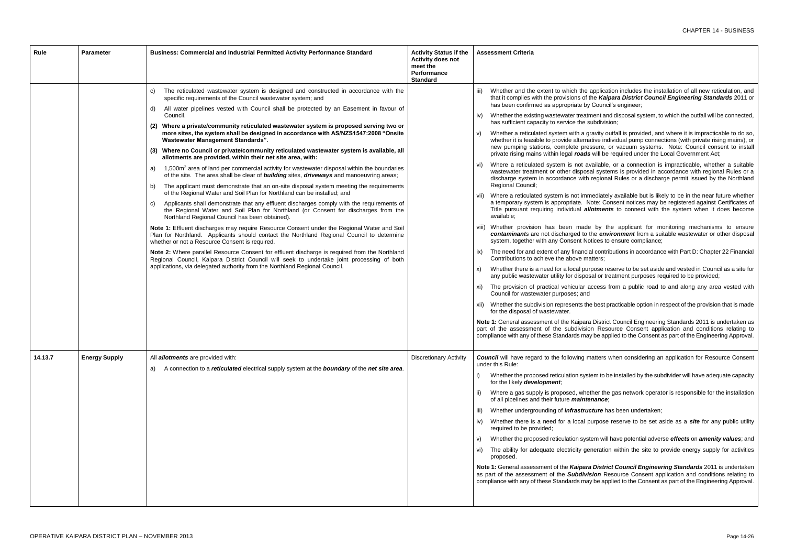application includes the installation of all new reticulation, and he Kaipara District Council Engineering Standards 2011 or Council's engineer;

nent and disposal system, to which the outfall will be connected, ubdivision;

ravity outfall is provided, and where it is impracticable to do so, ative individual pump connections (with private rising mains), or ssure, or vacuum systems. Note: Council consent to install will be required under the Local Government Act;

vailable, or a connection is impracticable, whether a suitable al systems is provided in accordance with regional Rules or a regional Rules or a discharge permit issued by the Northland

ediately available but is likely to be in the near future whether ote: Consent notices may be registered against Certificates of **Iotments** to connect with the system when it does become

by the applicant for monitoring mechanisms to ensure he *environment* from a suitable wastewater or other disposal tices to ensure compliance;

contributions in accordance with Part D: Chapter 22 Financial

pose reserve to be set aside and vested in Council as a site for al or treatment purposes required to be provided;

ccess from a public road to and along any area vested with

best practicable option in respect of the provision that is made

**District Council Engineering Standards 2011 is undertaken as** n Resource Consent application and conditions relating to y be applied to the Consent as part of the Engineering Approval.

natters when considering an application for Resource Consent

em to be installed by the subdivider will have adequate capacity

ther the gas network operator is responsible for the installation mance;

**cture** has been undertaken;

urpose reserve to be set aside as a *site* for any public utility

em will have potential adverse *effects* on *amenity values*; and

neration within the site to provide energy supply for activities

**District Council Engineering Standards** 2011 is undertaken sion Resource Consent application and conditions relating to be applied to the Consent as part of the Engineering Approval.

| Rule    | <b>Parameter</b>     | <b>Business: Commercial and Industrial Permitted Activity Performance Standard</b>                                                                                                                                                        | <b>Activity Status if the</b><br><b>Activity does not</b><br>meet the<br>Performance<br><b>Standard</b> | <b>Assessment Criteria</b>                                                                                                                          |
|---------|----------------------|-------------------------------------------------------------------------------------------------------------------------------------------------------------------------------------------------------------------------------------------|---------------------------------------------------------------------------------------------------------|-----------------------------------------------------------------------------------------------------------------------------------------------------|
|         |                      | The reticulated-wastewater system is designed and constructed in accordance with the<br>C)<br>specific requirements of the Council wastewater system; and                                                                                 |                                                                                                         | Whether and the extent to which the applic<br>that it complies with the provisions of the Ka<br>has been confirmed as appropriate by Cour           |
|         |                      | All water pipelines vested with Council shall be protected by an Easement in favour of<br>d)<br>Council.                                                                                                                                  |                                                                                                         | Whether the existing wastewater treatment a<br>IV)<br>has sufficient capacity to service the subdiv                                                 |
|         |                      | Where a private/community reticulated wastewater system is proposed serving two or<br>(2)<br>more sites, the system shall be designed in accordance with AS/NZS1547:2008 "Onsite<br><b>Wastewater Management Standards".</b>              |                                                                                                         | Whether a reticulated system with a gravity<br>V)<br>whether it is feasible to provide alternative in                                               |
|         |                      | Where no Council or private/community reticulated wastewater system is available, all<br>(3)<br>allotments are provided, within their net site area, with:                                                                                |                                                                                                         | new pumping stations, complete pressure<br>private rising mains within legal roads will b                                                           |
|         |                      | 1,500m <sup>2</sup> area of land per commercial activity for wastewater disposal within the boundaries<br>a)<br>of the site. The area shall be clear of <b>building</b> sites, <b>driveways</b> and manoeuvring areas;                    |                                                                                                         | Where a reticulated system is not availab<br>vi)<br>wastewater treatment or other disposal sys<br>discharge system in accordance with regio         |
|         |                      | The applicant must demonstrate that an on-site disposal system meeting the requirements<br>b)<br>of the Regional Water and Soil Plan for Northland can be installed; and                                                                  |                                                                                                         | Regional Council;<br>vii) Where a reticulated system is not immediat                                                                                |
|         |                      | Applicants shall demonstrate that any effluent discharges comply with the requirements of<br>C)<br>the Regional Water and Soil Plan for Northland (or Consent for discharges from the<br>Northland Regional Council has been obtained).   |                                                                                                         | a temporary system is appropriate. Note: 0<br>Title pursuant requiring individual allotme<br>available;                                             |
|         |                      | Note 1: Effluent discharges may require Resource Consent under the Regional Water and Soil<br>Plan for Northland. Applicants should contact the Northland Regional Council to determine<br>whether or not a Resource Consent is required. |                                                                                                         | viii) Whether provision has been made by<br>contaminants are not discharged to the en<br>system, together with any Consent Notices                  |
|         |                      | Note 2: Where parallel Resource Consent for effluent discharge is required from the Northland<br>Regional Council, Kaipara District Council will seek to undertake joint processing of both                                               |                                                                                                         | The need for and extent of any financial con<br>IX)<br>Contributions to achieve the above matters;                                                  |
|         |                      | applications, via delegated authority from the Northland Regional Council.                                                                                                                                                                |                                                                                                         | Whether there is a need for a local purpose<br>X)<br>any public wastewater utility for disposal or                                                  |
|         |                      |                                                                                                                                                                                                                                           |                                                                                                         | The provision of practical vehicular access<br>XI)<br>Council for wastewater purposes; and                                                          |
|         |                      |                                                                                                                                                                                                                                           |                                                                                                         | xii) Whether the subdivision represents the best<br>for the disposal of wastewater.                                                                 |
|         |                      |                                                                                                                                                                                                                                           |                                                                                                         | Note 1: General assessment of the Kaipara Distr<br>part of the assessment of the subdivision Re<br>compliance with any of these Standards may be a  |
| 14.13.7 | <b>Energy Supply</b> | All <b>allotments</b> are provided with:<br>A connection to a reticulated electrical supply system at the boundary of the net site area.<br>a)                                                                                            | <b>Discretionary Activity</b>                                                                           | <b>Council</b> will have regard to the following matters<br>under this Rule:                                                                        |
|         |                      |                                                                                                                                                                                                                                           |                                                                                                         | Whether the proposed reticulation system to<br>for the likely development;                                                                          |
|         |                      |                                                                                                                                                                                                                                           |                                                                                                         | Where a gas supply is proposed, whether tl<br>$\vert \vert \vert$<br>of all pipelines and their future maintenanc                                   |
|         |                      |                                                                                                                                                                                                                                           |                                                                                                         | Whether undergrounding of <i>infrastructure</i><br>iii)                                                                                             |
|         |                      |                                                                                                                                                                                                                                           |                                                                                                         | Whether there is a need for a local purpos<br>IV)<br>required to be provided;                                                                       |
|         |                      |                                                                                                                                                                                                                                           |                                                                                                         | Whether the proposed reticulation system w<br>V)                                                                                                    |
|         |                      |                                                                                                                                                                                                                                           |                                                                                                         | The ability for adequate electricity generati<br>vi)<br>proposed.                                                                                   |
|         |                      |                                                                                                                                                                                                                                           |                                                                                                         | Note 1: General assessment of the Kaipara Dist<br>as part of the assessment of the Subdivision I<br>compliance with any of these Standards may be a |
|         |                      |                                                                                                                                                                                                                                           |                                                                                                         |                                                                                                                                                     |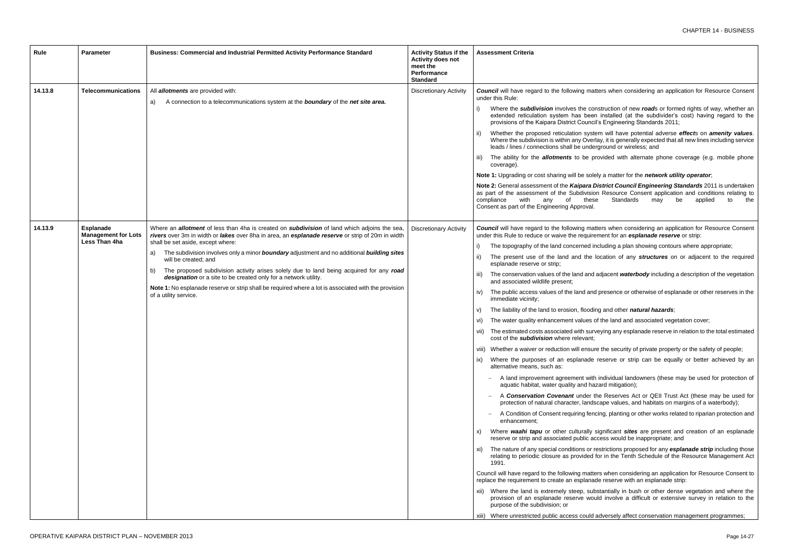natters when considering an application for Resource Consent

- construction of new *road*s or formed rights of way, whether an en installed (at the subdivider's cost) having regard to the ncil's Engineering Standards 2011;
- stem will have potential adverse effects on *amenity values*. erlay, it is generally expected that all new lines including service lerground or wireless; and
- provided with alternate phone coverage (e.g. mobile phone

blely a matter for the *network utility operator*;

**District Council Engineering Standards** 2011 is undertaken sion Resource Consent application and conditions relating to ese Standards may be applied to the

natters when considering an application for Resource Consent irement for an *esplanade reserve* or strip:

- I including a plan showing contours where appropriate;
- location of any *structures* on or adjacent to the required
- id adjacent *waterbody* including a description of the vegetation
- nd presence or otherwise of esplanade or other reserves in the
- ding and other *natural hazards*;
- of the land and associated vegetation cover;
- urveying any esplanade reserve in relation to the total estimated
- ure the security of private property or the safety of people;
- le reserve or strip can be equally or better achieved by an
- ith individual landowners (these may be used for protection of azard mitigation);
- the Reserves Act or QEII Trust Act (these may be used for dscape values, and habitats on margins of a waterbody);
- ncing, planting or other works related to riparian protection and
- significant *sites* are present and creation of an esplanade access would be inappropriate; and
- restrictions proposed for any *esplanade strip* including those d for in the Tenth Schedule of the Resource Management Act
- tters when considering an application for Resource Consent to ade reserve with an esplanade strip:
- ubstantially in bush or other dense vegetation and where the ould involve a difficult or extensive survey in relation to the

d adversely affect conservation management programmes;

| Rule    | <b>Parameter</b>                                                | Business: Commercial and Industrial Permitted Activity Performance Standard                                                                                                                                                                                                                                                                                                                                                                                                                                                                                                                                                                                                          | <b>Activity Status if the</b><br><b>Activity does not</b><br>meet the<br><b>Performance</b><br><b>Standard</b> | <b>Assessment Criteria</b>                                                                                                                                                                                                                                                                                                                                                                                                                                                                                                                                                                                                                                                                                                                                                                                                                                                                                                                                                                                                                                                                                                                                                                                                                                                                                                                                                                                        |
|---------|-----------------------------------------------------------------|--------------------------------------------------------------------------------------------------------------------------------------------------------------------------------------------------------------------------------------------------------------------------------------------------------------------------------------------------------------------------------------------------------------------------------------------------------------------------------------------------------------------------------------------------------------------------------------------------------------------------------------------------------------------------------------|----------------------------------------------------------------------------------------------------------------|-------------------------------------------------------------------------------------------------------------------------------------------------------------------------------------------------------------------------------------------------------------------------------------------------------------------------------------------------------------------------------------------------------------------------------------------------------------------------------------------------------------------------------------------------------------------------------------------------------------------------------------------------------------------------------------------------------------------------------------------------------------------------------------------------------------------------------------------------------------------------------------------------------------------------------------------------------------------------------------------------------------------------------------------------------------------------------------------------------------------------------------------------------------------------------------------------------------------------------------------------------------------------------------------------------------------------------------------------------------------------------------------------------------------|
| 14.13.8 | <b>Telecommunications</b>                                       | All <i>allotments</i> are provided with:<br>A connection to a telecommunications system at the <b>boundary</b> of the net site area.<br>a)                                                                                                                                                                                                                                                                                                                                                                                                                                                                                                                                           | <b>Discretionary Activity</b>                                                                                  | <b>Council</b> will have regard to the following ma<br>under this Rule:<br>Where the subdivision involves the co<br>extended reticulation system has bee<br>provisions of the Kaipara District Counc<br>Whether the proposed reticulation syst<br>ii)<br>Where the subdivision is within any Over<br>leads / lines / connections shall be unde<br>The ability for the <b>allotments</b> to be p<br>iii)<br>coverage).<br>Note 1: Upgrading or cost sharing will be sold<br>Note 2: General assessment of the Kaipara I<br>as part of the assessment of the Subdivisio<br>compliance<br>with<br>any<br>thes<br>of<br>Consent as part of the Engineering Approval.                                                                                                                                                                                                                                                                                                                                                                                                                                                                                                                                                                                                                                                                                                                                                  |
| 14.13.9 | <b>Esplanade</b><br><b>Management for Lots</b><br>Less Than 4ha | Where an <i>allotment</i> of less than 4ha is created on <i>subdivision</i> of land which adjoins the sea,<br>rivers over 3m in width or lakes over 8ha in area, an esplanade reserve or strip of 20m in width<br>shall be set aside, except where:<br>The subdivision involves only a minor boundary adjustment and no additional building sites<br>a)<br>will be created; and<br>The proposed subdivision activity arises solely due to land being acquired for any road<br>b)<br>designation or a site to be created only for a network utility.<br>Note 1: No esplanade reserve or strip shall be required where a lot is associated with the provision<br>of a utility service. | <b>Discretionary Activity</b>                                                                                  | <b>Council</b> will have regard to the following ma<br>under this Rule to reduce or waive the require<br>The topography of the land concerned i<br>The present use of the land and the<br>ii)<br>esplanade reserve or strip;<br>The conservation values of the land and<br>iii)<br>and associated wildlife present;<br>The public access values of the land and<br>iv)<br>immediate vicinity;<br>The liability of the land to erosion, floodi<br>V)<br>The water quality enhancement values<br>vi)<br>The estimated costs associated with sur<br>cost of the subdivision where relevant;<br>viii) Whether a waiver or reduction will ensu<br>Where the purposes of an esplanade<br>ix)<br>alternative means, such as:<br>A land improvement agreement with<br>aquatic habitat, water quality and ha<br>A Conservation Covenant under<br>protection of natural character, land<br>A Condition of Consent requiring fen<br>enhancement:<br>Where waahi tapu or other culturally<br>X)<br>reserve or strip and associated public a<br>The nature of any special conditions or<br>XI)<br>relating to periodic closure as provided<br>1991.<br>Council will have regard to the following matt<br>replace the requirement to create an esplana<br>xii) Where the land is extremely steep, sul<br>provision of an esplanade reserve wo<br>purpose of the subdivision; or<br>xiii) Where unrestricted public access could |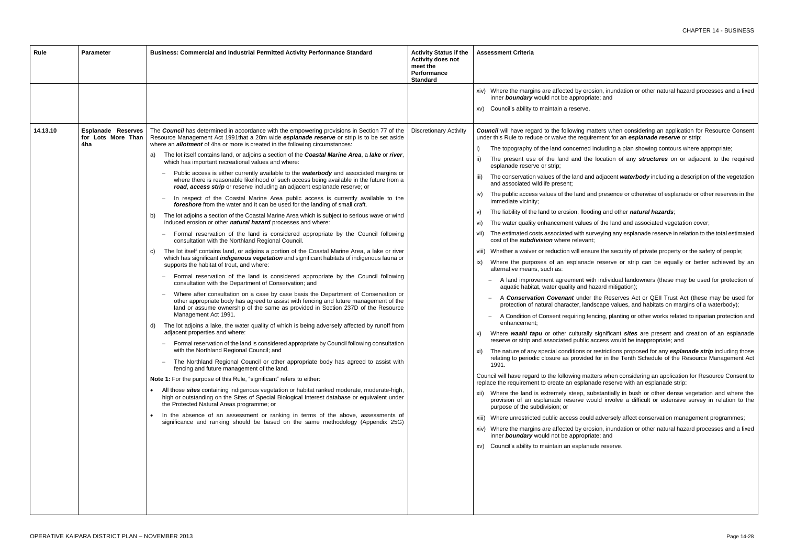osion, inundation or other natural hazard processes and a fixed *iate*; and

natters when considering an application for Resource Consent irement for an *esplanade reserve* or strip:

- I including a plan showing contours where appropriate;
- location of any *structures* on or adjacent to the required
- id adjacent *waterbody* including a description of the vegetation
- ind presence or otherwise of esplanade or other reserves in the
- ding and other *natural hazards*;
- of the land and associated vegetation cover;
- urveying any esplanade reserve in relation to the total estimated
- sure the security of private property or the safety of people;
- le reserve or strip can be equally or better achieved by an
- ith individual landowners (these may be used for protection of hazard mitigation);
- r the Reserves Act or QEII Trust Act (these may be used for dscape values, and habitats on margins of a waterbody);
- encing, planting or other works related to riparian protection and
- significant *sites* are present and creation of an esplanade access would be inappropriate; and
- r restrictions proposed for any *esplanade strip* including those d for in the Tenth Schedule of the Resource Management Act
- Itters when considering an application for Resource Consent to ade reserve with an esplanade strip:
- ubstantially in bush or other dense vegetation and where the vould involve a difficult or extensive survey in relation to the
- Id adversely affect conservation management programmes;
- osion, inundation or other natural hazard processes and a fixed *iate*; and
- ade reserve.

| Rule     | <b>Parameter</b>                                       | Business: Commercial and Industrial Permitted Activity Performance Standard                                                                                                                                                                                                                                                                                                                                                                                                                                                                                                                                                                                                                                                                                                                                                                                                                                                                                                                                                                                                                                                                                                                                                                                                                                                                                                                                                                                                                                                                                                                                                                                                                                                                                                                                                                                                                                                                                                                                                                                                                                                                                                                                                                                                                                                                                                                                                                                                                                                                                                                                                                                                                                                                                                                                                                        | <b>Activity Status if the</b><br><b>Activity does not</b><br>meet the<br><b>Performance</b><br><b>Standard</b> | <b>Assessment Criteria</b>                                                                                                                                                                                                                                                                                                                                                                                                                                                                                                                                                                                                                                                                                                                                                                                                                                                                                                                                                                                                                                                                                                                                                                                                                                                                                                                                                                                                                                                                                                                                                |
|----------|--------------------------------------------------------|----------------------------------------------------------------------------------------------------------------------------------------------------------------------------------------------------------------------------------------------------------------------------------------------------------------------------------------------------------------------------------------------------------------------------------------------------------------------------------------------------------------------------------------------------------------------------------------------------------------------------------------------------------------------------------------------------------------------------------------------------------------------------------------------------------------------------------------------------------------------------------------------------------------------------------------------------------------------------------------------------------------------------------------------------------------------------------------------------------------------------------------------------------------------------------------------------------------------------------------------------------------------------------------------------------------------------------------------------------------------------------------------------------------------------------------------------------------------------------------------------------------------------------------------------------------------------------------------------------------------------------------------------------------------------------------------------------------------------------------------------------------------------------------------------------------------------------------------------------------------------------------------------------------------------------------------------------------------------------------------------------------------------------------------------------------------------------------------------------------------------------------------------------------------------------------------------------------------------------------------------------------------------------------------------------------------------------------------------------------------------------------------------------------------------------------------------------------------------------------------------------------------------------------------------------------------------------------------------------------------------------------------------------------------------------------------------------------------------------------------------------------------------------------------------------------------------------------------------|----------------------------------------------------------------------------------------------------------------|---------------------------------------------------------------------------------------------------------------------------------------------------------------------------------------------------------------------------------------------------------------------------------------------------------------------------------------------------------------------------------------------------------------------------------------------------------------------------------------------------------------------------------------------------------------------------------------------------------------------------------------------------------------------------------------------------------------------------------------------------------------------------------------------------------------------------------------------------------------------------------------------------------------------------------------------------------------------------------------------------------------------------------------------------------------------------------------------------------------------------------------------------------------------------------------------------------------------------------------------------------------------------------------------------------------------------------------------------------------------------------------------------------------------------------------------------------------------------------------------------------------------------------------------------------------------------|
|          |                                                        |                                                                                                                                                                                                                                                                                                                                                                                                                                                                                                                                                                                                                                                                                                                                                                                                                                                                                                                                                                                                                                                                                                                                                                                                                                                                                                                                                                                                                                                                                                                                                                                                                                                                                                                                                                                                                                                                                                                                                                                                                                                                                                                                                                                                                                                                                                                                                                                                                                                                                                                                                                                                                                                                                                                                                                                                                                                    |                                                                                                                | xiv) Where the margins are affected by eros<br>inner boundary would not be appropria<br>xv) Council's ability to maintain a reserve.                                                                                                                                                                                                                                                                                                                                                                                                                                                                                                                                                                                                                                                                                                                                                                                                                                                                                                                                                                                                                                                                                                                                                                                                                                                                                                                                                                                                                                      |
| 14.13.10 | <b>Esplanade Reserves</b><br>for Lots More Than<br>4ha | The Council has determined in accordance with the empowering provisions in Section 77 of the<br>Resource Management Act 1991that a 20m wide esplanade reserve or strip is to be set aside<br>where an <b>allotment</b> of 4ha or more is created in the following circumstances:<br>The lot itself contains land, or adjoins a section of the Coastal Marine Area, a lake or river,<br>a)<br>which has important recreational values and where:<br>Public access is either currently available to the <b>waterbody</b> and associated margins or<br>where there is reasonable likelihood of such access being available in the future from a<br>road, access strip or reserve including an adjacent esplanade reserve; or<br>In respect of the Coastal Marine Area public access is currently available to the<br>foreshore from the water and it can be used for the landing of small craft.<br>The lot adjoins a section of the Coastal Marine Area which is subject to serious wave or wind<br>b)<br>induced erosion or other natural hazard processes and where:<br>Formal reservation of the land is considered appropriate by the Council following<br>consultation with the Northland Regional Council.<br>The lot itself contains land, or adjoins a portion of the Coastal Marine Area, a lake or river<br>C)<br>which has significant <i>indigenous</i> vegetation and significant habitats of indigenous fauna or<br>supports the habitat of trout, and where:<br>Formal reservation of the land is considered appropriate by the Council following<br>consultation with the Department of Conservation; and<br>Where after consultation on a case by case basis the Department of Conservation or<br>other appropriate body has agreed to assist with fencing and future management of the<br>land or assume ownership of the same as provided in Section 237D of the Resource<br>Management Act 1991.<br>The lot adjoins a lake, the water quality of which is being adversely affected by runoff from<br>d)<br>adjacent properties and where:<br>Formal reservation of the land is considered appropriate by Council following consultation<br>with the Northland Regional Council; and<br>The Northland Regional Council or other appropriate body has agreed to assist with<br>fencing and future management of the land.<br>Note 1: For the purpose of this Rule, "significant" refers to either:<br>All those sites containing indigenous vegetation or habitat ranked moderate, moderate-high,<br>$\bullet$<br>high or outstanding on the Sites of Special Biological Interest database or equivalent under<br>the Protected Natural Areas programme; or<br>In the absence of an assessment or ranking in terms of the above, assessments of<br>significance and ranking should be based on the same methodology (Appendix 25G) | <b>Discretionary Activity</b>                                                                                  | <b>Council</b> will have regard to the following ma<br>under this Rule to reduce or waive the require<br>The topography of the land concerned i<br>The present use of the land and the<br>ii)<br>esplanade reserve or strip;<br>The conservation values of the land and<br>iii)<br>and associated wildlife present;<br>The public access values of the land an<br>iv)<br>immediate vicinity;<br>The liability of the land to erosion, floodi<br>V)<br>The water quality enhancement values<br>vi)<br>The estimated costs associated with sur<br>vii)<br>cost of the <i>subdivision</i> where relevant;<br>viii) Whether a waiver or reduction will ensu<br>Where the purposes of an esplanade<br>ix)<br>alternative means, such as:<br>A land improvement agreement with<br>aquatic habitat, water quality and ha<br>A Conservation Covenant under<br>protection of natural character, lands<br>A Condition of Consent requiring fen<br>enhancement;<br>Where waahi tapu or other culturally<br>X)<br>reserve or strip and associated public a<br>The nature of any special conditions or<br>XI)<br>relating to periodic closure as provided<br>1991.<br>Council will have regard to the following matt<br>replace the requirement to create an esplana<br>xii) Where the land is extremely steep, sul<br>provision of an esplanade reserve wo<br>purpose of the subdivision; or<br>xiii) Where unrestricted public access could<br>xiv) Where the margins are affected by eros<br>inner boundary would not be appropria<br>xv) Council's ability to maintain an esplanad |